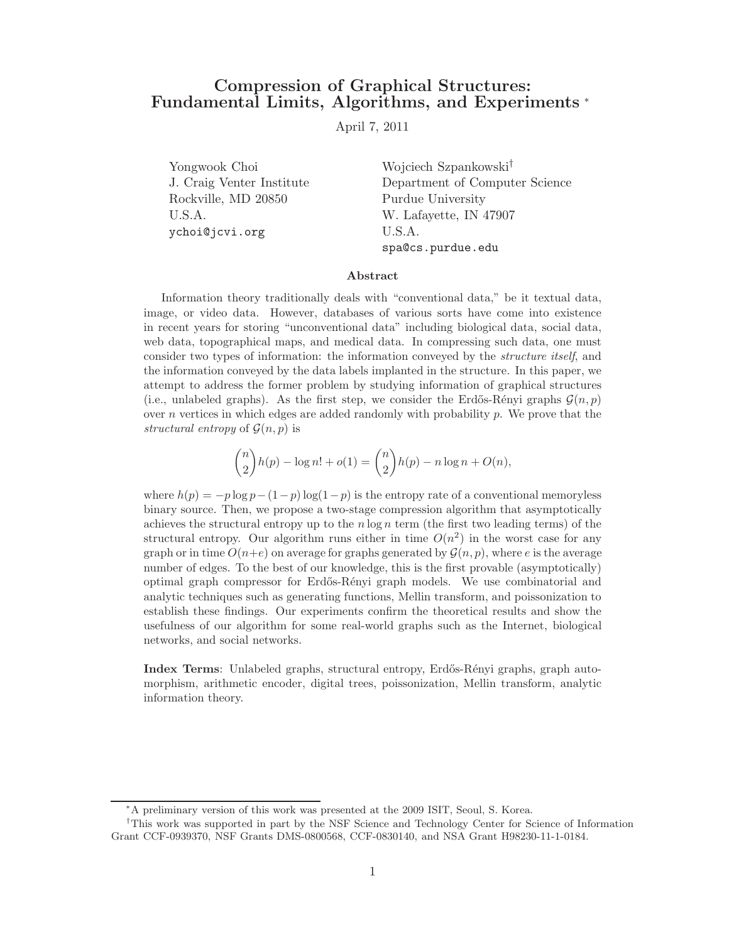# Compression of Graphical Structures: Fundamental Limits, Algorithms, and Experiments <sup>∗</sup>

April 7, 2011

Yongwook Choi Wojciech Szpankowski† Rockville, MD 20850 Purdue University U.S.A. W. Lafayette, IN 47907 ychoi@jcvi.org U.S.A.

J. Craig Venter Institute Department of Computer Science spa@cs.purdue.edu

#### Abstract

Information theory traditionally deals with "conventional data," be it textual data, image, or video data. However, databases of various sorts have come into existence in recent years for storing "unconventional data" including biological data, social data, web data, topographical maps, and medical data. In compressing such data, one must consider two types of information: the information conveyed by the structure itself, and the information conveyed by the data labels implanted in the structure. In this paper, we attempt to address the former problem by studying information of graphical structures (i.e., unlabeled graphs). As the first step, we consider the Erdős-Rényi graphs  $\mathcal{G}(n, p)$ over n vertices in which edges are added randomly with probability  $p$ . We prove that the structural entropy of  $\mathcal{G}(n, p)$  is

$$
\binom{n}{2}h(p) - \log n! + o(1) = \binom{n}{2}h(p) - n\log n + O(n),
$$

where  $h(p) = -p \log p - (1-p) \log(1-p)$  is the entropy rate of a conventional memoryless binary source. Then, we propose a two-stage compression algorithm that asymptotically achieves the structural entropy up to the  $n \log n$  term (the first two leading terms) of the structural entropy. Our algorithm runs either in time  $O(n^2)$  in the worst case for any graph or in time  $O(n+e)$  on average for graphs generated by  $\mathcal{G}(n, p)$ , where e is the average number of edges. To the best of our knowledge, this is the first provable (asymptotically) optimal graph compressor for Erdős-Rényi graph models. We use combinatorial and analytic techniques such as generating functions, Mellin transform, and poissonization to establish these findings. Our experiments confirm the theoretical results and show the usefulness of our algorithm for some real-world graphs such as the Internet, biological networks, and social networks.

Index Terms: Unlabeled graphs, structural entropy, Erd˝os-R´enyi graphs, graph automorphism, arithmetic encoder, digital trees, poissonization, Mellin transform, analytic information theory.

<sup>∗</sup>A preliminary version of this work was presented at the 2009 ISIT, Seoul, S. Korea.

<sup>†</sup>This work was supported in part by the NSF Science and Technology Center for Science of Information Grant CCF-0939370, NSF Grants DMS-0800568, CCF-0830140, and NSA Grant H98230-11-1-0184.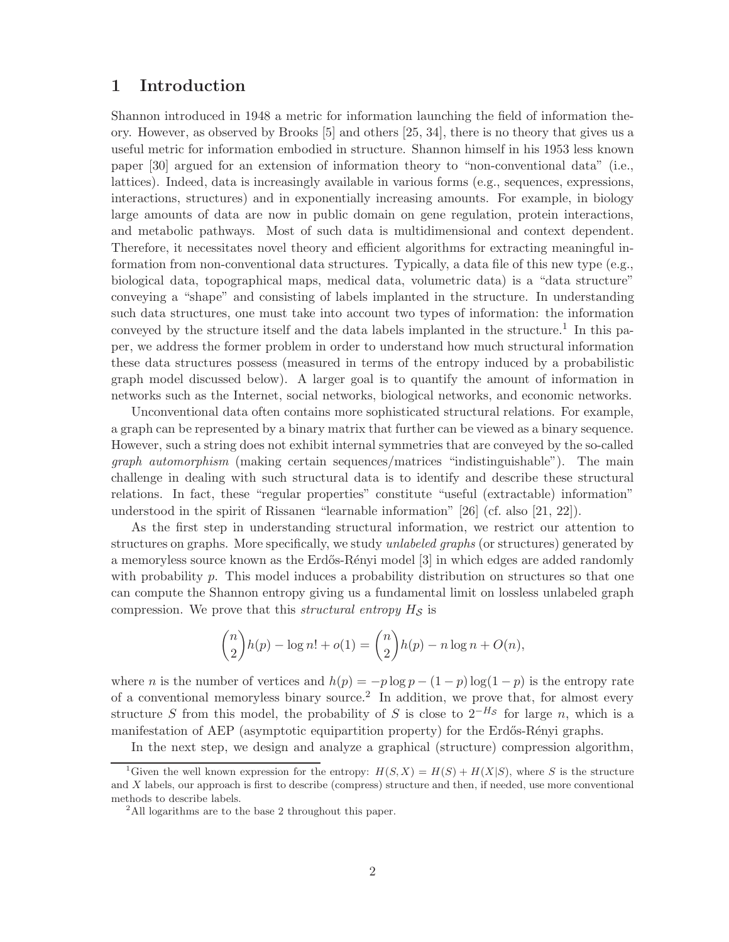## 1 Introduction

Shannon introduced in 1948 a metric for information launching the field of information theory. However, as observed by Brooks [5] and others [25, 34], there is no theory that gives us a useful metric for information embodied in structure. Shannon himself in his 1953 less known paper [30] argued for an extension of information theory to "non-conventional data" (i.e., lattices). Indeed, data is increasingly available in various forms (e.g., sequences, expressions, interactions, structures) and in exponentially increasing amounts. For example, in biology large amounts of data are now in public domain on gene regulation, protein interactions, and metabolic pathways. Most of such data is multidimensional and context dependent. Therefore, it necessitates novel theory and efficient algorithms for extracting meaningful information from non-conventional data structures. Typically, a data file of this new type (e.g., biological data, topographical maps, medical data, volumetric data) is a "data structure" conveying a "shape" and consisting of labels implanted in the structure. In understanding such data structures, one must take into account two types of information: the information conveyed by the structure itself and the data labels implanted in the structure.<sup>1</sup> In this paper, we address the former problem in order to understand how much structural information these data structures possess (measured in terms of the entropy induced by a probabilistic graph model discussed below). A larger goal is to quantify the amount of information in networks such as the Internet, social networks, biological networks, and economic networks.

Unconventional data often contains more sophisticated structural relations. For example, a graph can be represented by a binary matrix that further can be viewed as a binary sequence. However, such a string does not exhibit internal symmetries that are conveyed by the so-called graph automorphism (making certain sequences/matrices "indistinguishable"). The main challenge in dealing with such structural data is to identify and describe these structural relations. In fact, these "regular properties" constitute "useful (extractable) information" understood in the spirit of Rissanen "learnable information" [26] (cf. also [21, 22]).

As the first step in understanding structural information, we restrict our attention to structures on graphs. More specifically, we study unlabeled graphs (or structures) generated by a memoryless source known as the Erdős-Rényi model [3] in which edges are added randomly with probability p. This model induces a probability distribution on structures so that one can compute the Shannon entropy giving us a fundamental limit on lossless unlabeled graph compression. We prove that this *structural entropy*  $H_S$  is

$$
\binom{n}{2}h(p) - \log n! + o(1) = \binom{n}{2}h(p) - n\log n + O(n),
$$

where *n* is the number of vertices and  $h(p) = -p \log p - (1 - p) \log(1 - p)$  is the entropy rate of a conventional memoryless binary source.<sup>2</sup> In addition, we prove that, for almost every structure S from this model, the probability of S is close to  $2^{-H_s}$  for large n, which is a manifestation of AEP (asymptotic equipartition property) for the Erdős-Rényi graphs.

In the next step, we design and analyze a graphical (structure) compression algorithm,

<sup>&</sup>lt;sup>1</sup>Given the well known expression for the entropy:  $H(S, X) = H(S) + H(X|S)$ , where S is the structure and X labels, our approach is first to describe (compress) structure and then, if needed, use more conventional methods to describe labels.

<sup>&</sup>lt;sup>2</sup>All logarithms are to the base 2 throughout this paper.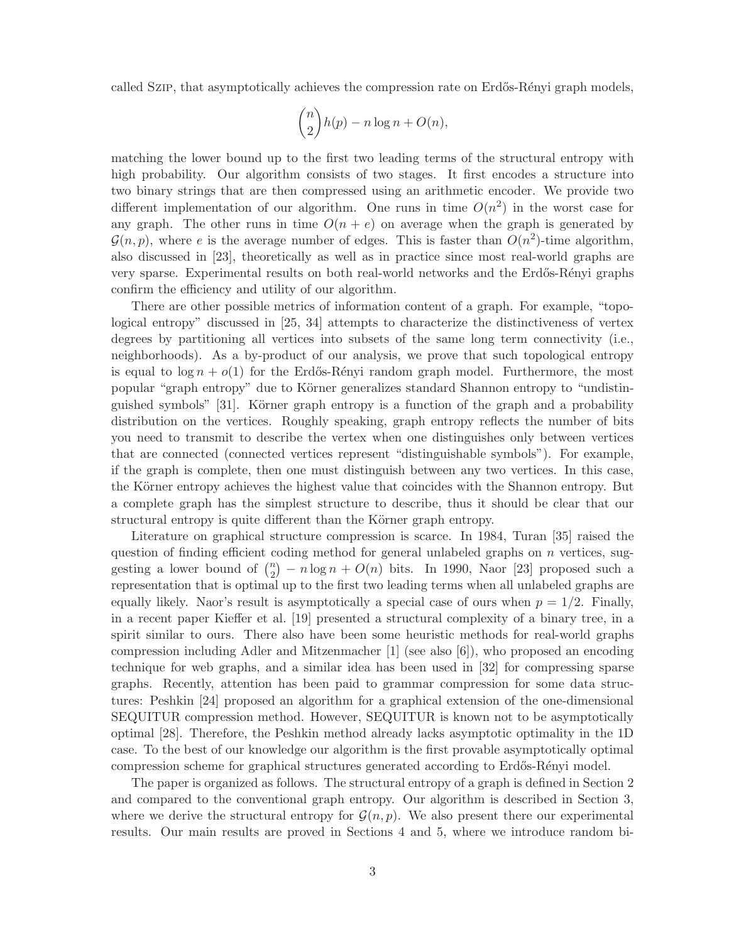called Szip, that asymptotically achieves the compression rate on Erdős-Rényi graph models,

$$
\binom{n}{2}h(p) - n\log n + O(n),
$$

matching the lower bound up to the first two leading terms of the structural entropy with high probability. Our algorithm consists of two stages. It first encodes a structure into two binary strings that are then compressed using an arithmetic encoder. We provide two different implementation of our algorithm. One runs in time  $O(n^2)$  in the worst case for any graph. The other runs in time  $O(n + e)$  on average when the graph is generated by  $\mathcal{G}(n, p)$ , where e is the average number of edges. This is faster than  $O(n^2)$ -time algorithm, also discussed in [23], theoretically as well as in practice since most real-world graphs are very sparse. Experimental results on both real-world networks and the Erdős-Rényi graphs confirm the efficiency and utility of our algorithm.

There are other possible metrics of information content of a graph. For example, "topological entropy" discussed in [25, 34] attempts to characterize the distinctiveness of vertex degrees by partitioning all vertices into subsets of the same long term connectivity (i.e., neighborhoods). As a by-product of our analysis, we prove that such topological entropy is equal to  $\log n + o(1)$  for the Erdős-Rényi random graph model. Furthermore, the most popular "graph entropy" due to Körner generalizes standard Shannon entropy to "undistinguished symbols" [31]. Körner graph entropy is a function of the graph and a probability distribution on the vertices. Roughly speaking, graph entropy reflects the number of bits you need to transmit to describe the vertex when one distinguishes only between vertices that are connected (connected vertices represent "distinguishable symbols"). For example, if the graph is complete, then one must distinguish between any two vertices. In this case, the Körner entropy achieves the highest value that coincides with the Shannon entropy. But a complete graph has the simplest structure to describe, thus it should be clear that our structural entropy is quite different than the Körner graph entropy.

Literature on graphical structure compression is scarce. In 1984, Turan [35] raised the question of finding efficient coding method for general unlabeled graphs on  $n$  vertices, suggesting a lower bound of  $\binom{n}{2}$  $\binom{n}{2} - n \log n + O(n)$  bits. In 1990, Naor [23] proposed such a representation that is optimal up to the first two leading terms when all unlabeled graphs are equally likely. Naor's result is asymptotically a special case of ours when  $p = 1/2$ . Finally, in a recent paper Kieffer et al. [19] presented a structural complexity of a binary tree, in a spirit similar to ours. There also have been some heuristic methods for real-world graphs compression including Adler and Mitzenmacher [1] (see also [6]), who proposed an encoding technique for web graphs, and a similar idea has been used in [32] for compressing sparse graphs. Recently, attention has been paid to grammar compression for some data structures: Peshkin [24] proposed an algorithm for a graphical extension of the one-dimensional SEQUITUR compression method. However, SEQUITUR is known not to be asymptotically optimal [28]. Therefore, the Peshkin method already lacks asymptotic optimality in the 1D case. To the best of our knowledge our algorithm is the first provable asymptotically optimal compression scheme for graphical structures generated according to Erdős-Rényi model.

The paper is organized as follows. The structural entropy of a graph is defined in Section 2 and compared to the conventional graph entropy. Our algorithm is described in Section 3, where we derive the structural entropy for  $\mathcal{G}(n, p)$ . We also present there our experimental results. Our main results are proved in Sections 4 and 5, where we introduce random bi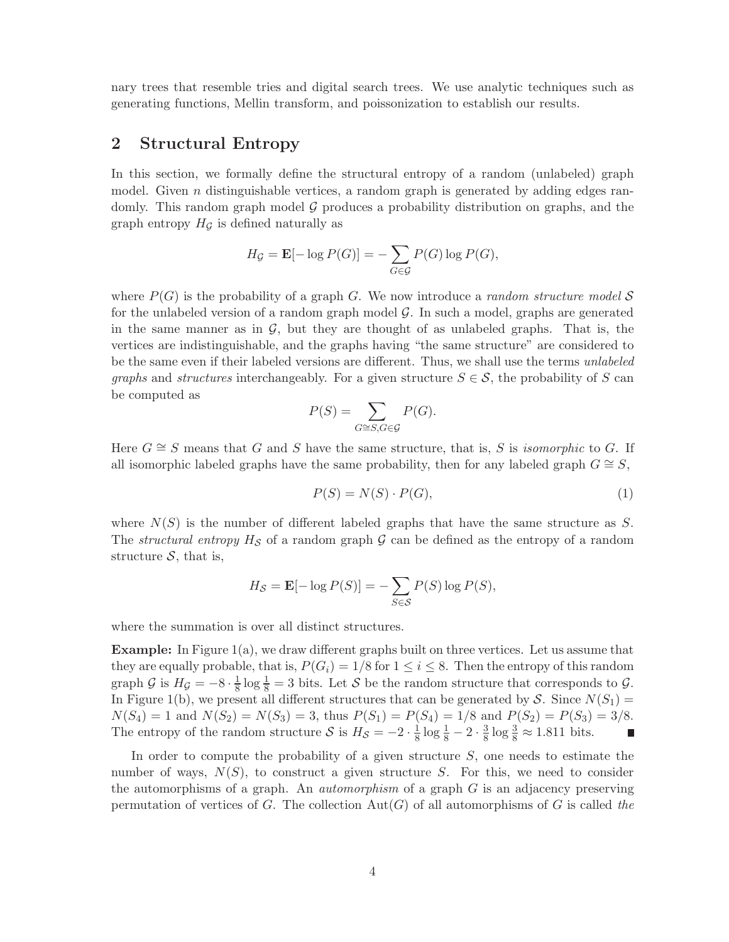nary trees that resemble tries and digital search trees. We use analytic techniques such as generating functions, Mellin transform, and poissonization to establish our results.

# 2 Structural Entropy

In this section, we formally define the structural entropy of a random (unlabeled) graph model. Given  $n$  distinguishable vertices, a random graph is generated by adding edges randomly. This random graph model  $G$  produces a probability distribution on graphs, and the graph entropy  $H_G$  is defined naturally as

$$
H_{\mathcal{G}} = \mathbf{E}[-\log P(G)] = -\sum_{G \in \mathcal{G}} P(G) \log P(G),
$$

where  $P(G)$  is the probability of a graph G. We now introduce a *random structure model* S for the unlabeled version of a random graph model  $\mathcal{G}$ . In such a model, graphs are generated in the same manner as in  $\mathcal{G}$ , but they are thought of as unlabeled graphs. That is, the vertices are indistinguishable, and the graphs having "the same structure" are considered to be the same even if their labeled versions are different. Thus, we shall use the terms *unlabeled* graphs and structures interchangeably. For a given structure  $S \in \mathcal{S}$ , the probability of S can be computed as

$$
P(S) = \sum_{G \cong S, G \in \mathcal{G}} P(G).
$$

Here  $G \cong S$  means that G and S have the same structure, that is, S is *isomorphic* to G. If all isomorphic labeled graphs have the same probability, then for any labeled graph  $G \cong S$ ,

$$
P(S) = N(S) \cdot P(G),\tag{1}
$$

where  $N(S)$  is the number of different labeled graphs that have the same structure as S. The *structural entropy*  $H_S$  of a random graph  $\mathcal G$  can be defined as the entropy of a random structure  $S$ , that is,

$$
H_{\mathcal{S}} = \mathbf{E}[-\log P(S)] = -\sum_{S \in \mathcal{S}} P(S) \log P(S),
$$

where the summation is over all distinct structures.

**Example:** In Figure  $1(a)$ , we draw different graphs built on three vertices. Let us assume that they are equally probable, that is,  $P(G_i) = 1/8$  for  $1 \leq i \leq 8$ . Then the entropy of this random graph  $\mathcal G$  is  $H_{\mathcal G} = -8 \cdot \frac{1}{8}$  $\frac{1}{8}$  log  $\frac{1}{8}$  = 3 bits. Let S be the random structure that corresponds to  $\mathcal{G}$ . In Figure 1(b), we present all different structures that can be generated by S. Since  $N(S_1)$  =  $N(S_4) = 1$  and  $N(S_2) = N(S_3) = 3$ , thus  $P(S_1) = P(S_4) = 1/8$  and  $P(S_2) = P(S_3) = 3/8$ . The entropy of the random structure S is  $H_{\mathcal{S}} = -2 \cdot \frac{1}{8}$  $\frac{1}{8} \log \frac{1}{8} - 2 \cdot \frac{3}{8}$  $\frac{3}{8}$  log  $\frac{3}{8} \approx 1.811$  bits.

In order to compute the probability of a given structure  $S$ , one needs to estimate the number of ways,  $N(S)$ , to construct a given structure S. For this, we need to consider the automorphisms of a graph. An *automorphism* of a graph  $G$  is an adjacency preserving permutation of vertices of G. The collection  $Aut(G)$  of all automorphisms of G is called the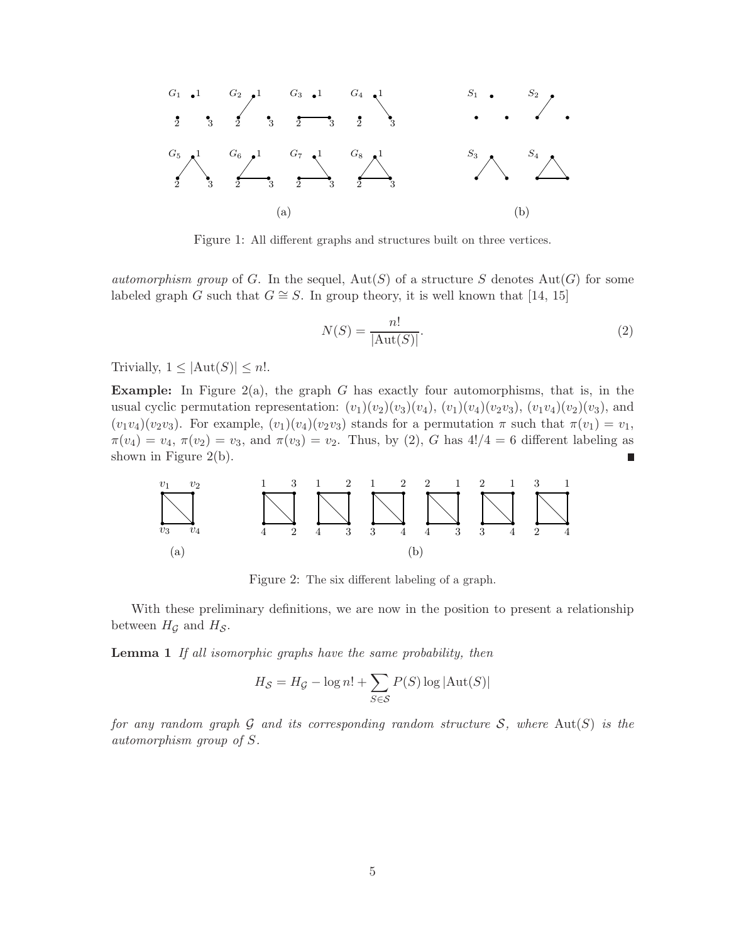

Figure 1: All different graphs and structures built on three vertices.

automorphism group of G. In the sequel,  $Aut(S)$  of a structure S denotes  $Aut(G)$  for some labeled graph G such that  $G \cong S$ . In group theory, it is well known that [14, 15]

$$
N(S) = \frac{n!}{|\text{Aut}(S)|}.
$$
\n<sup>(2)</sup>

Trivially,  $1 \leq |\text{Aut}(S)| \leq n!$ .

**Example:** In Figure 2(a), the graph G has exactly four automorphisms, that is, in the usual cyclic permutation representation:  $(v_1)(v_2)(v_3)(v_4)$ ,  $(v_1)(v_4)(v_2v_3)$ ,  $(v_1v_4)(v_2)(v_3)$ , and  $(v_1v_4)(v_2v_3)$ . For example,  $(v_1)(v_4)(v_2v_3)$  stands for a permutation  $\pi$  such that  $\pi(v_1) = v_1$ ,  $\pi(v_4) = v_4$ ,  $\pi(v_2) = v_3$ , and  $\pi(v_3) = v_2$ . Thus, by (2), G has  $4!/4 = 6$  different labeling as shown in Figure 2(b).



Figure 2: The six different labeling of a graph.

With these preliminary definitions, we are now in the position to present a relationship between  $H_{\mathcal{G}}$  and  $H_{\mathcal{S}}$ .

**Lemma 1** If all isomorphic graphs have the same probability, then

$$
H_{\mathcal{S}} = H_{\mathcal{G}} - \log n! + \sum_{S \in \mathcal{S}} P(S) \log |\text{Aut}(S)|
$$

for any random graph G and its corresponding random structure S, where  $Aut(S)$  is the automorphism group of S.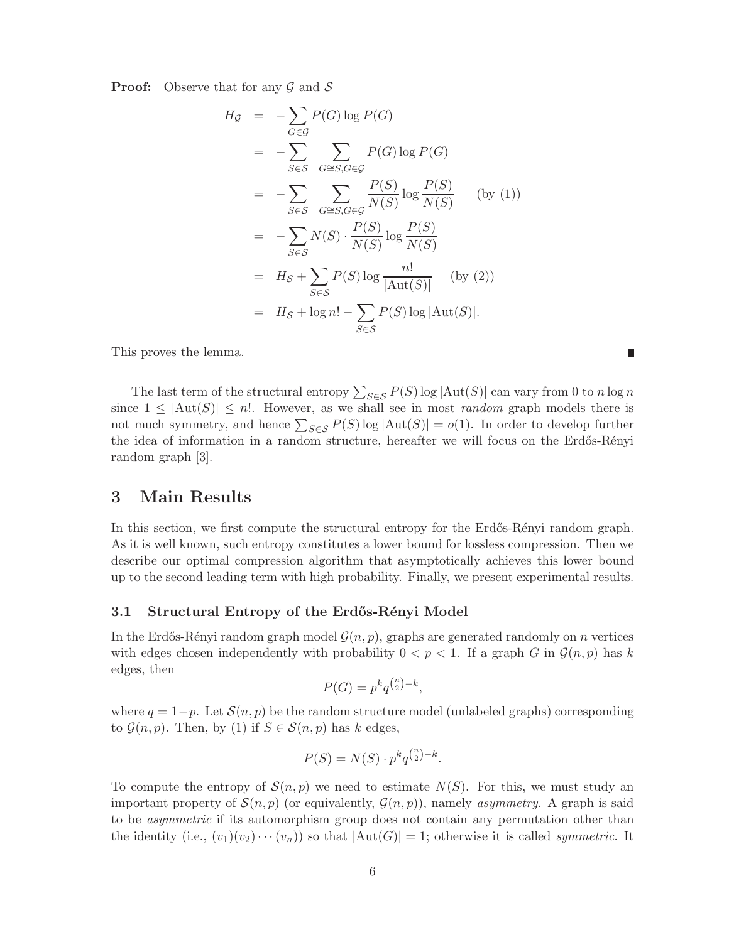**Proof:** Observe that for any  $\mathcal G$  and  $\mathcal S$ 

$$
H_{\mathcal{G}} = -\sum_{G \in \mathcal{G}} P(G) \log P(G)
$$
  
\n
$$
= -\sum_{S \in \mathcal{S}} \sum_{G \cong S, G \in \mathcal{G}} P(G) \log P(G)
$$
  
\n
$$
= -\sum_{S \in \mathcal{S}} \sum_{G \cong S, G \in \mathcal{G}} \frac{P(S)}{N(S)} \log \frac{P(S)}{N(S)} \quad \text{(by (1))}
$$
  
\n
$$
= -\sum_{S \in \mathcal{S}} N(S) \cdot \frac{P(S)}{N(S)} \log \frac{P(S)}{N(S)}
$$
  
\n
$$
= H_{\mathcal{S}} + \sum_{S \in \mathcal{S}} P(S) \log \frac{n!}{|\text{Aut}(S)|} \quad \text{(by (2))}
$$
  
\n
$$
= H_{\mathcal{S}} + \log n! - \sum_{S \in \mathcal{S}} P(S) \log |\text{Aut}(S)|.
$$

This proves the lemma.

The last term of the structural entropy  $\sum_{S \in \mathcal{S}} P(S) \log |\text{Aut}(S)|$  can vary from 0 to n log n since  $1 \leq |\text{Aut}(S)| \leq n!$ . However, as we shall see in most *random* graph models there is not much symmetry, and hence  $\sum_{S \in \mathcal{S}} P(S) \log |\text{Aut}(S)| = o(1)$ . In order to develop further the idea of information in a random structure, hereafter we will focus on the Erdős-Rényi random graph [3].

 $\overline{\phantom{a}}$ 

### 3 Main Results

In this section, we first compute the structural entropy for the Erdős-Rényi random graph. As it is well known, such entropy constitutes a lower bound for lossless compression. Then we describe our optimal compression algorithm that asymptotically achieves this lower bound up to the second leading term with high probability. Finally, we present experimental results.

#### 3.1 Structural Entropy of the Erdős-Rényi Model

In the Erdős-Rényi random graph model  $\mathcal{G}(n, p)$ , graphs are generated randomly on n vertices with edges chosen independently with probability  $0 < p < 1$ . If a graph G in  $\mathcal{G}(n, p)$  has k edges, then

$$
P(G) = p^k q^{\binom{n}{2} - k},
$$

where  $q = 1-p$ . Let  $\mathcal{S}(n, p)$  be the random structure model (unlabeled graphs) corresponding to  $\mathcal{G}(n, p)$ . Then, by (1) if  $S \in \mathcal{S}(n, p)$  has k edges,

$$
P(S) = N(S) \cdot p^k q^{\binom{n}{2} - k}.
$$

To compute the entropy of  $\mathcal{S}(n, p)$  we need to estimate  $N(S)$ . For this, we must study an important property of  $\mathcal{S}(n, p)$  (or equivalently,  $\mathcal{G}(n, p)$ ), namely *asymmetry*. A graph is said to be *asymmetric* if its automorphism group does not contain any permutation other than the identity (i.e.,  $(v_1)(v_2)\cdots(v_n)$ ) so that  $|\text{Aut}(G)| = 1$ ; otherwise it is called *symmetric*. It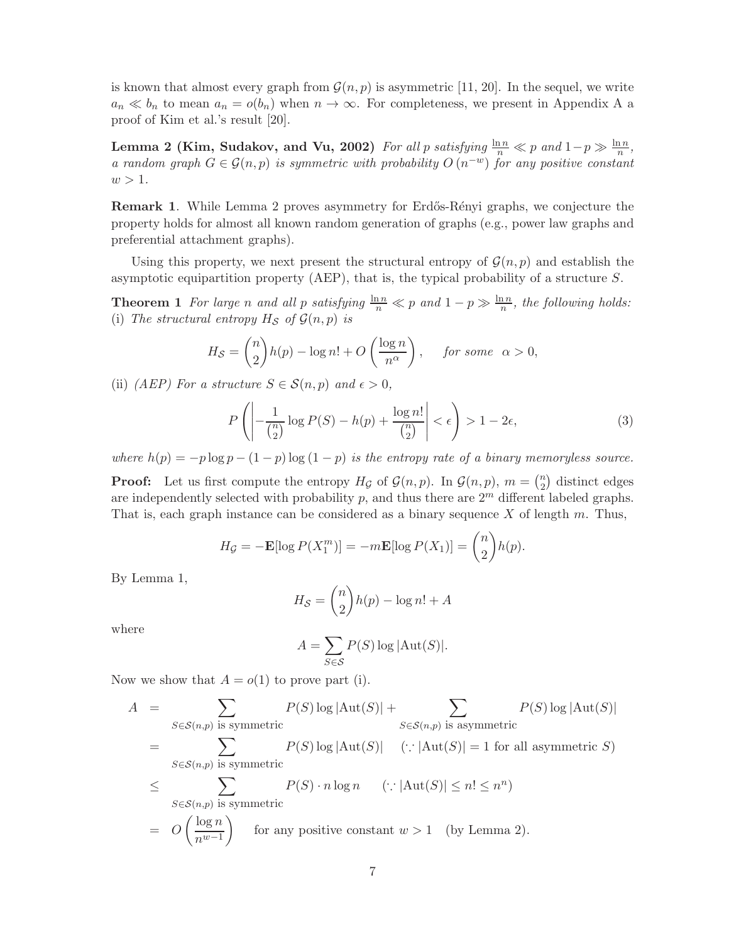is known that almost every graph from  $\mathcal{G}(n, p)$  is asymmetric [11, 20]. In the sequel, we write  $a_n \ll b_n$  to mean  $a_n = o(b_n)$  when  $n \to \infty$ . For completeness, we present in Appendix A a proof of Kim et al.'s result [20].

Lemma 2 (Kim, Sudakov, and Vu, 2002) For all p satisfying  $\frac{\ln n}{n} \ll p$  and  $1-p \gg \frac{\ln n}{n}$ , a random graph  $G \in \mathcal{G}(n, p)$  is symmetric with probability  $O(n^{-w})$  for any positive constant  $w > 1$ .

**Remark 1.** While Lemma 2 proves asymmetry for Erdős-Rényi graphs, we conjecture the property holds for almost all known random generation of graphs (e.g., power law graphs and preferential attachment graphs).

Using this property, we next present the structural entropy of  $\mathcal{G}(n, p)$  and establish the asymptotic equipartition property (AEP), that is, the typical probability of a structure S.

**Theorem 1** For large n and all p satisfying  $\frac{\ln n}{n} \ll p$  and  $1 - p \gg \frac{\ln n}{n}$ , the following holds: (i) The structural entropy  $H_{\mathcal{S}}$  of  $\mathcal{G}(n, p)$  is

$$
H_{\mathcal{S}} = \binom{n}{2} h(p) - \log n! + O\left(\frac{\log n}{n^{\alpha}}\right), \quad \text{for some} \quad \alpha > 0,
$$

(ii) (AEP) For a structure  $S \in \mathcal{S}(n, p)$  and  $\epsilon > 0$ ,

$$
P\left(\left|\frac{1}{\binom{n}{2}}\log P(S) - h(p) + \frac{\log n!}{\binom{n}{2}}\right| < \epsilon\right) > 1 - 2\epsilon,\tag{3}
$$

where  $h(p) = -p \log p - (1 - p) \log (1 - p)$  is the entropy rate of a binary memoryless source.

**Proof:** Let us first compute the entropy  $H_{\mathcal{G}}$  of  $\mathcal{G}(n, p)$ . In  $\mathcal{G}(n, p)$ ,  $m = \binom{n}{2}$  $n_2$  distinct edges are independently selected with probability p, and thus there are  $2<sup>m</sup>$  different labeled graphs. That is, each graph instance can be considered as a binary sequence  $X$  of length  $m$ . Thus,

$$
H_{\mathcal{G}} = -\mathbf{E}[\log P(X_1^m)] = -m\mathbf{E}[\log P(X_1)] = {n \choose 2}h(p).
$$

By Lemma 1,

$$
H_{\mathcal{S}} = \binom{n}{2} h(p) - \log n! + A
$$

where

$$
A = \sum_{S \in \mathcal{S}} P(S) \log |\text{Aut}(S)|.
$$

Now we show that  $A = o(1)$  to prove part (i).

$$
A = \sum_{S \in \mathcal{S}(n,p) \text{ is symmetric}} P(S) \log |\text{Aut}(S)| + \sum_{S \in \mathcal{S}(n,p) \text{ is asymmetric}} P(S) \log |\text{Aut}(S)|
$$
  
= 
$$
\sum_{S \in \mathcal{S}(n,p) \text{ is symmetric}} P(S) \log |\text{Aut}(S)| \quad (\because |\text{Aut}(S)| = 1 \text{ for all asymmetric } S)
$$
  

$$
\leq \sum_{S \in \mathcal{S}(n,p) \text{ is symmetric}} P(S) \cdot n \log n \quad (\because |\text{Aut}(S)| \leq n! \leq n^n)
$$
  
= 
$$
O\left(\frac{\log n}{n^{w-1}}\right) \quad \text{for any positive constant } w > 1 \quad \text{(by Lemma 2).}
$$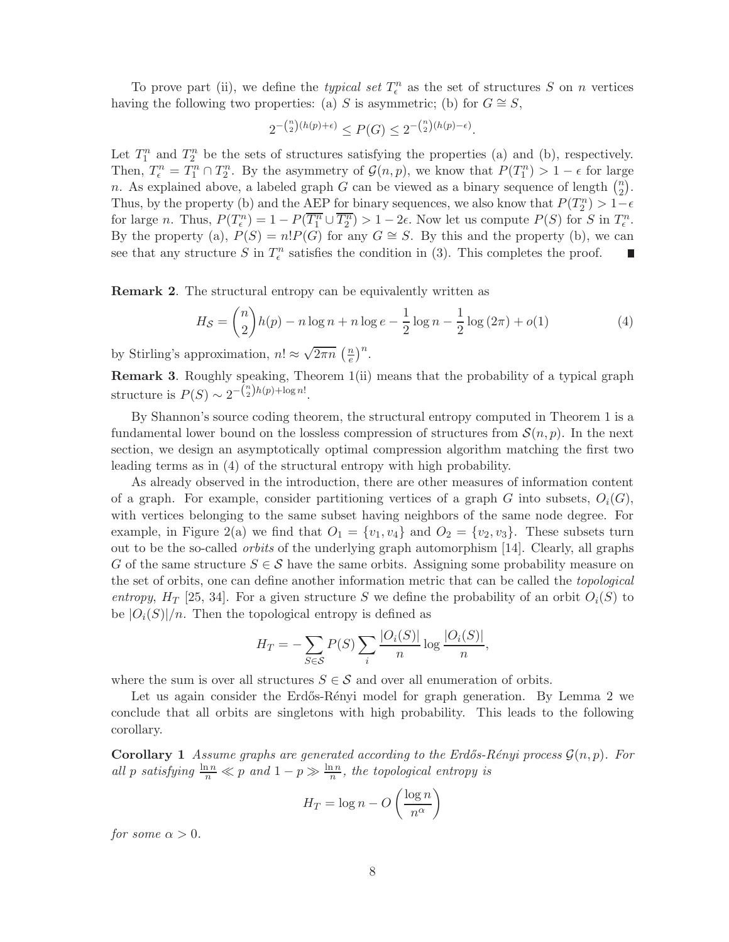To prove part (ii), we define the *typical set*  $T_{\epsilon}^{n}$  as the set of structures S on n vertices having the following two properties: (a) S is asymmetric; (b) for  $G \cong S$ ,

$$
2^{-\binom{n}{2}(h(p)+\epsilon)} \le P(G) \le 2^{-\binom{n}{2}(h(p)-\epsilon)}.
$$

Let  $T_1^n$  and  $T_2^n$  be the sets of structures satisfying the properties (a) and (b), respectively. Then,  $T_{\epsilon}^{n} = T_{1}^{n} \cap T_{2}^{n}$ . By the asymmetry of  $\mathcal{G}(n, p)$ , we know that  $P(T_{1}^{n}) > 1 - \epsilon$  for large n. As explained above, a labeled graph G can be viewed as a binary sequence of length  $\binom{n}{2}$  $\binom{n}{2}$ . Thus, by the property (b) and the AEP for binary sequences, we also know that  $P(T_2^n) > 1-\epsilon$ for large *n*. Thus,  $P(T_{\epsilon}^n) = 1 - P(T_1^n \cup \overline{T_2^n}) > 1 - 2\epsilon$ . Now let us compute  $P(S)$  for S in  $T_{\epsilon}^n$ . By the property (a),  $P(S) = n!P(G)$  for any  $G \cong S$ . By this and the property (b), we can see that any structure S in  $T_{\epsilon}^{n}$  satisfies the condition in (3). This completes the proof.

Remark 2. The structural entropy can be equivalently written as

$$
H_{\mathcal{S}} = \binom{n}{2} h(p) - n \log n + n \log e - \frac{1}{2} \log n - \frac{1}{2} \log (2\pi) + o(1) \tag{4}
$$

by Stirling's approximation,  $n! \approx \sqrt{2\pi n} \left(\frac{n}{e}\right)$  $\frac{n}{e}$  $\Big)^n$ .

Remark 3. Roughly speaking, Theorem 1(ii) means that the probability of a typical graph structure is  $P(S) \sim 2^{-\binom{n}{2}h(p)+\log n!}$ .

By Shannon's source coding theorem, the structural entropy computed in Theorem 1 is a fundamental lower bound on the lossless compression of structures from  $\mathcal{S}(n, p)$ . In the next section, we design an asymptotically optimal compression algorithm matching the first two leading terms as in (4) of the structural entropy with high probability.

As already observed in the introduction, there are other measures of information content of a graph. For example, consider partitioning vertices of a graph G into subsets,  $O_i(G)$ , with vertices belonging to the same subset having neighbors of the same node degree. For example, in Figure 2(a) we find that  $O_1 = \{v_1, v_4\}$  and  $O_2 = \{v_2, v_3\}$ . These subsets turn out to be the so-called orbits of the underlying graph automorphism [14]. Clearly, all graphs G of the same structure  $S \in \mathcal{S}$  have the same orbits. Assigning some probability measure on the set of orbits, one can define another information metric that can be called the topological entropy,  $H_T$  [25, 34]. For a given structure S we define the probability of an orbit  $O_i(S)$  to be  $|O_i(S)|/n$ . Then the topological entropy is defined as

$$
H_T = -\sum_{S \in \mathcal{S}} P(S) \sum_i \frac{|O_i(S)|}{n} \log \frac{|O_i(S)|}{n},
$$

where the sum is over all structures  $S \in \mathcal{S}$  and over all enumeration of orbits.

Let us again consider the Erdős-Rényi model for graph generation. By Lemma 2 we conclude that all orbits are singletons with high probability. This leads to the following corollary.

**Corollary 1** Assume graphs are generated according to the Erdős-Rényi process  $\mathcal{G}(n, p)$ . For all p satisfying  $\frac{\ln n}{n} \ll p$  and  $1 - p \gg \frac{\ln n}{n}$ , the topological entropy is

$$
H_T = \log n - O\left(\frac{\log n}{n^{\alpha}}\right)
$$

for some  $\alpha > 0$ .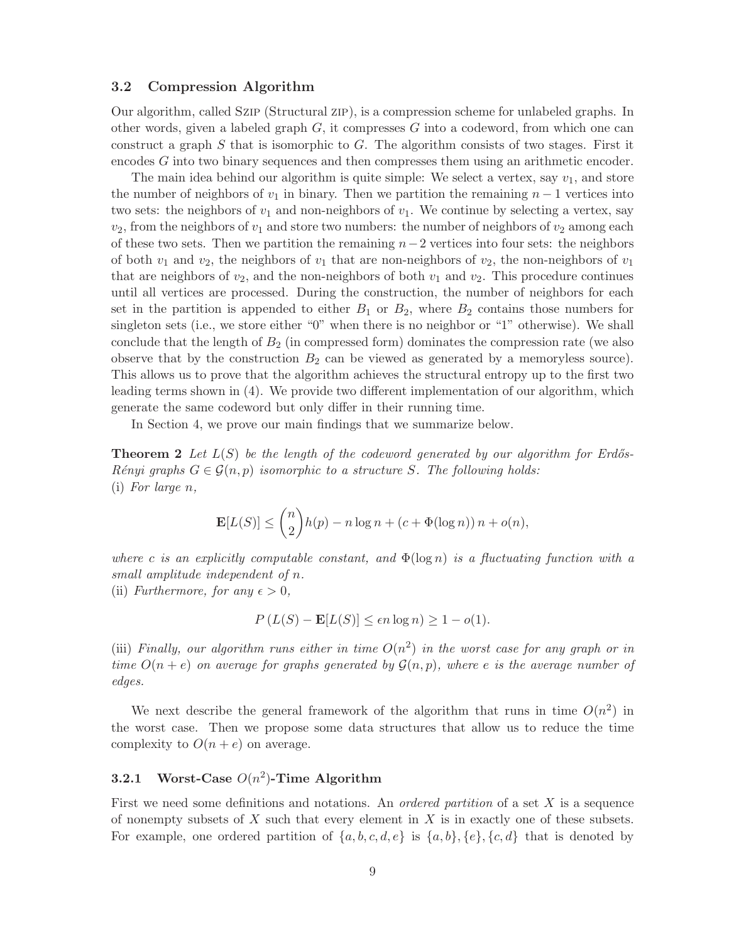#### 3.2 Compression Algorithm

Our algorithm, called Szip (Structural zip), is a compression scheme for unlabeled graphs. In other words, given a labeled graph  $G$ , it compresses  $G$  into a codeword, from which one can construct a graph  $S$  that is isomorphic to  $G$ . The algorithm consists of two stages. First it encodes G into two binary sequences and then compresses them using an arithmetic encoder.

The main idea behind our algorithm is quite simple: We select a vertex, say  $v_1$ , and store the number of neighbors of  $v_1$  in binary. Then we partition the remaining  $n-1$  vertices into two sets: the neighbors of  $v_1$  and non-neighbors of  $v_1$ . We continue by selecting a vertex, say  $v_2$ , from the neighbors of  $v_1$  and store two numbers: the number of neighbors of  $v_2$  among each of these two sets. Then we partition the remaining  $n-2$  vertices into four sets: the neighbors of both  $v_1$  and  $v_2$ , the neighbors of  $v_1$  that are non-neighbors of  $v_2$ , the non-neighbors of  $v_1$ that are neighbors of  $v_2$ , and the non-neighbors of both  $v_1$  and  $v_2$ . This procedure continues until all vertices are processed. During the construction, the number of neighbors for each set in the partition is appended to either  $B_1$  or  $B_2$ , where  $B_2$  contains those numbers for singleton sets (i.e., we store either "0" when there is no neighbor or "1" otherwise). We shall conclude that the length of  $B_2$  (in compressed form) dominates the compression rate (we also observe that by the construction  $B_2$  can be viewed as generated by a memoryless source). This allows us to prove that the algorithm achieves the structural entropy up to the first two leading terms shown in (4). We provide two different implementation of our algorithm, which generate the same codeword but only differ in their running time.

In Section 4, we prove our main findings that we summarize below.

**Theorem 2** Let  $L(S)$  be the length of the codeword generated by our algorithm for Erdős-Rényi graphs  $G \in \mathcal{G}(n, p)$  isomorphic to a structure S. The following holds: (i) For large n,

$$
\mathbf{E}[L(S)] \le {n \choose 2}h(p) - n\log n + (c + \Phi(\log n)) n + o(n),
$$

where c is an explicitly computable constant, and  $\Phi(\log n)$  is a fluctuating function with a small amplitude independent of n. (ii) Furthermore, for any  $\epsilon > 0$ ,

$$
P(L(S) - \mathbf{E}[L(S)] \le \epsilon n \log n) \ge 1 - o(1).
$$

(iii) Finally, our algorithm runs either in time  $O(n^2)$  in the worst case for any graph or in time  $O(n+e)$  on average for graphs generated by  $\mathcal{G}(n,p)$ , where e is the average number of edges.

We next describe the general framework of the algorithm that runs in time  $O(n^2)$  in the worst case. Then we propose some data structures that allow us to reduce the time complexity to  $O(n+e)$  on average.

## **3.2.1** Worst-Case  $O(n^2)$ -Time Algorithm

First we need some definitions and notations. An *ordered partition* of a set  $X$  is a sequence of nonempty subsets of  $X$  such that every element in  $X$  is in exactly one of these subsets. For example, one ordered partition of  $\{a, b, c, d, e\}$  is  $\{a, b\}$ ,  $\{e\}$ ,  $\{c, d\}$  that is denoted by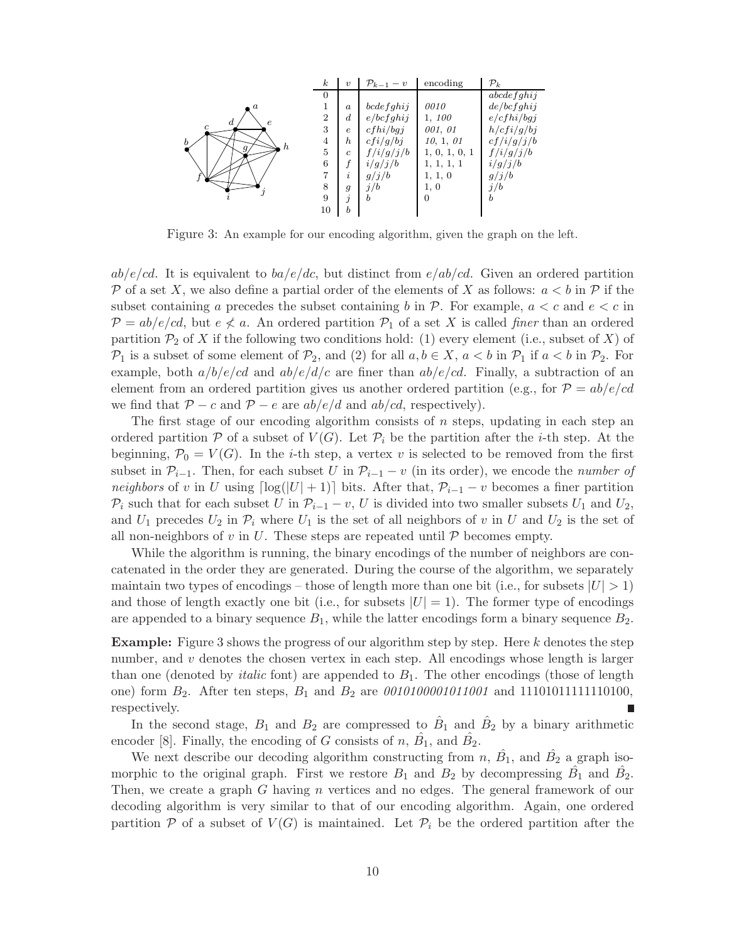| $\boldsymbol{k}$ | $\boldsymbol{v}$    | $\mathcal{P}_{k-1}-v$ | encoding      | $\mathcal{P}_k$ |
|------------------|---------------------|-----------------------|---------------|-----------------|
| $\theta$         |                     |                       |               | abcdefghij      |
|                  | $\boldsymbol{a}$    | bcdefghi j            | 0010          | de/bcfghij      |
| $\overline{2}$   | $\boldsymbol{d}$    | e/bcfghij             | 1, 100        | e/cfhi/bgj      |
| 3                | $\epsilon$          | cfhi/bqi              | 001, 01       | h/cfi/g/bj      |
| $\overline{4}$   | h                   | cfi/g/bj              | 10, 1, 01     | cf/i/g/j/b      |
| 5                | $\mathfrak{c}$      | f/i/g/j/b             | 1, 0, 1, 0, 1 | f/i/g/j/b       |
| 6                |                     | i/g/j/b               | 1, 1, 1, 1    | i/g/j/b         |
|                  | $\boldsymbol{\eta}$ | g/j/b                 | 1, 1, 0       | g/j/b           |
| 8                | $\overline{g}$      | j/b                   | 1, 0          | j/b             |
| 9                | $\jmath$            | b                     | $\Omega$      | b               |
| $10\,$           | $\boldsymbol{b}$    |                       |               |                 |
|                  |                     |                       |               |                 |

Figure 3: An example for our encoding algorithm, given the graph on the left.

 $ab/e/cd$ . It is equivalent to  $ba/e/dc$ , but distinct from  $e/ab/cd$ . Given an ordered partition P of a set X, we also define a partial order of the elements of X as follows:  $a < b$  in P if the subset containing a precedes the subset containing b in  $\mathcal{P}$ . For example,  $a < c$  and  $e < c$  in  $\mathcal{P} = ab/e/cd$ , but  $e \nless a$ . An ordered partition  $\mathcal{P}_1$  of a set X is called *finer* than an ordered partition  $\mathcal{P}_2$  of X if the following two conditions hold: (1) every element (i.e., subset of X) of  $\mathcal{P}_1$  is a subset of some element of  $\mathcal{P}_2$ , and (2) for all  $a, b \in X$ ,  $a < b$  in  $\mathcal{P}_1$  if  $a < b$  in  $\mathcal{P}_2$ . For example, both  $a/b/e/cd$  and  $ab/e/d/c$  are finer than  $ab/e/cd$ . Finally, a subtraction of an element from an ordered partition gives us another ordered partition (e.g., for  $\mathcal{P} = ab/e/cd$ we find that  $P - c$  and  $P - e$  are  $ab/e/d$  and  $ab/cd$ , respectively).

The first stage of our encoding algorithm consists of  $n$  steps, updating in each step an ordered partition  $P$  of a subset of  $V(G)$ . Let  $P_i$  be the partition after the *i*-th step. At the beginning,  $\mathcal{P}_0 = V(G)$ . In the *i*-th step, a vertex v is selected to be removed from the first subset in  $\mathcal{P}_{i-1}$ . Then, for each subset U in  $\mathcal{P}_{i-1} - v$  (in its order), we encode the *number of* neighbors of v in U using  $\lceil \log(|U| + 1) \rceil$  bits. After that,  $\mathcal{P}_{i-1} - v$  becomes a finer partition  $\mathcal{P}_i$  such that for each subset U in  $\mathcal{P}_{i-1} - v$ , U is divided into two smaller subsets  $U_1$  and  $U_2$ , and  $U_1$  precedes  $U_2$  in  $\mathcal{P}_i$  where  $U_1$  is the set of all neighbors of v in U and  $U_2$  is the set of all non-neighbors of v in U. These steps are repeated until  $P$  becomes empty.

While the algorithm is running, the binary encodings of the number of neighbors are concatenated in the order they are generated. During the course of the algorithm, we separately maintain two types of encodings – those of length more than one bit (i.e., for subsets  $|U| > 1$ ) and those of length exactly one bit (i.e., for subsets  $|U| = 1$ ). The former type of encodings are appended to a binary sequence  $B_1$ , while the latter encodings form a binary sequence  $B_2$ .

Example: Figure 3 shows the progress of our algorithm step by step. Here k denotes the step number, and  $v$  denotes the chosen vertex in each step. All encodings whose length is larger than one (denoted by *italic* font) are appended to  $B_1$ . The other encodings (those of length one) form  $B_2$ . After ten steps,  $B_1$  and  $B_2$  are  $0010100001011001$  and 1110101111111110100, respectively.

In the second stage,  $B_1$  and  $B_2$  are compressed to  $\hat{B}_1$  and  $\hat{B}_2$  by a binary arithmetic encoder [8]. Finally, the encoding of G consists of n,  $\hat{B_1}$ , and  $\hat{B_2}$ .

We next describe our decoding algorithm constructing from  $n, \hat{B_1}$ , and  $\hat{B_2}$  a graph isomorphic to the original graph. First we restore  $B_1$  and  $B_2$  by decompressing  $\hat{B_1}$  and  $\hat{B_2}$ . Then, we create a graph G having n vertices and no edges. The general framework of our decoding algorithm is very similar to that of our encoding algorithm. Again, one ordered partition  $P$  of a subset of  $V(G)$  is maintained. Let  $P_i$  be the ordered partition after the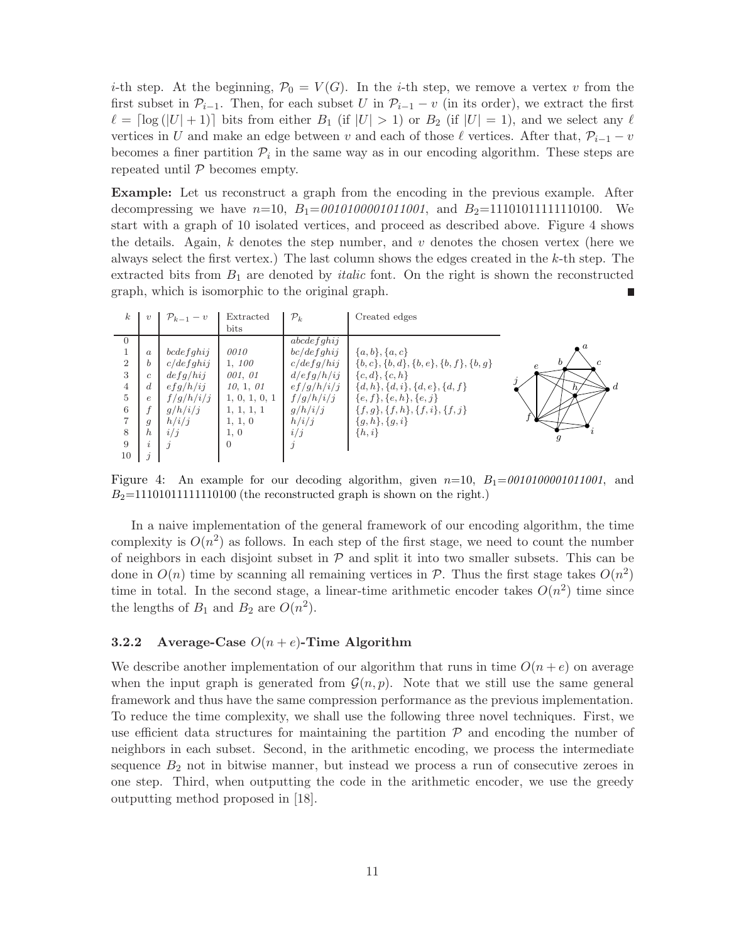*i*-th step. At the beginning,  $\mathcal{P}_0 = V(G)$ . In the *i*-th step, we remove a vertex v from the first subset in  $\mathcal{P}_{i-1}$ . Then, for each subset U in  $\mathcal{P}_{i-1} - v$  (in its order), we extract the first  $\ell = \lceil \log(|U| + 1) \rceil$  bits from either  $B_1$  (if  $|U| > 1$ ) or  $B_2$  (if  $|U| = 1$ ), and we select any  $\ell$ vertices in U and make an edge between v and each of those  $\ell$  vertices. After that,  $\mathcal{P}_{i-1} - v$ becomes a finer partition  $\mathcal{P}_i$  in the same way as in our encoding algorithm. These steps are repeated until  $P$  becomes empty.

Example: Let us reconstruct a graph from the encoding in the previous example. After decompressing we have  $n=10$ ,  $B_1=0010100001011001$ , and  $B_2=11101011111110100$ . We start with a graph of 10 isolated vertices, and proceed as described above. Figure 4 shows the details. Again, k denotes the step number, and  $v$  denotes the chosen vertex (here we always select the first vertex.) The last column shows the edges created in the k-th step. The extracted bits from  $B_1$  are denoted by *italic* font. On the right is shown the reconstructed graph, which is isomorphic to the original graph.

| $\boldsymbol{k}$ |                  | $\mathcal{P}_{k-1}-v$ | Extracted     | $\mathcal{P}_k$ | Created edges                                      |                   |
|------------------|------------------|-----------------------|---------------|-----------------|----------------------------------------------------|-------------------|
|                  |                  |                       | bits          |                 |                                                    |                   |
| $\Omega$         |                  |                       |               | abcdefghi j     |                                                    |                   |
|                  | $\boldsymbol{a}$ | bcdefghi j            | 0010          | bc/defghi j     | $\{a, b\}, \{a, c\}$                               |                   |
| $\overline{2}$   | b                | c/defghi j            | 1, 100        | c/defg/hij      | $\{b, c\}, \{b, d\}, \{b, e\}, \{b, f\}, \{b, g\}$ | <sub>h</sub><br>c |
| 3                | Ċ.               | defq/hij              | 001, 01       | d/efg/h/ij      | ${c,d}, {c,h}$                                     |                   |
| 4                |                  | efg/h/ij              | 10, 1, 01     | ef/g/h/i/j      | $\{d, h\}, \{d, i\}, \{d, e\}, \{d, f\}$           | d                 |
| $\overline{5}$   | e                | f/g/h/i/j             | 1, 0, 1, 0, 1 | f/g/h/i/j       | ${e, f}, {e, h}, {e, j}$                           |                   |
| 6                |                  | g/h/i/j               | 1, 1, 1, 1    | g/h/i/j         | $\{f,g\},\{f,h\},\{f,i\},\{f,j\}$                  |                   |
| ⇁                | g                | h/i/j                 | 1, 1, 0       | h/i/j           | ${g, h}, {g, i}$                                   |                   |
| 8                | h.               | i/j                   | 1,0           | i/j             | $\{h, i\}$                                         |                   |
| 9                |                  |                       | $\Omega$      |                 |                                                    |                   |
| 10               |                  |                       |               |                 |                                                    |                   |

Figure 4: An example for our decoding algorithm, given  $n=10$ ,  $B_1=0010100001011001$ , and  $B_2=11101011111110100$  (the reconstructed graph is shown on the right.)

In a naive implementation of the general framework of our encoding algorithm, the time complexity is  $O(n^2)$  as follows. In each step of the first stage, we need to count the number of neighbors in each disjoint subset in  $P$  and split it into two smaller subsets. This can be done in  $O(n)$  time by scanning all remaining vertices in  $P$ . Thus the first stage takes  $O(n^2)$ time in total. In the second stage, a linear-time arithmetic encoder takes  $O(n^2)$  time since the lengths of  $B_1$  and  $B_2$  are  $O(n^2)$ .

### 3.2.2 Average-Case  $O(n+e)$ -Time Algorithm

We describe another implementation of our algorithm that runs in time  $O(n+e)$  on average when the input graph is generated from  $\mathcal{G}(n, p)$ . Note that we still use the same general framework and thus have the same compression performance as the previous implementation. To reduce the time complexity, we shall use the following three novel techniques. First, we use efficient data structures for maintaining the partition  $P$  and encoding the number of neighbors in each subset. Second, in the arithmetic encoding, we process the intermediate sequence  $B_2$  not in bitwise manner, but instead we process a run of consecutive zeroes in one step. Third, when outputting the code in the arithmetic encoder, we use the greedy outputting method proposed in [18].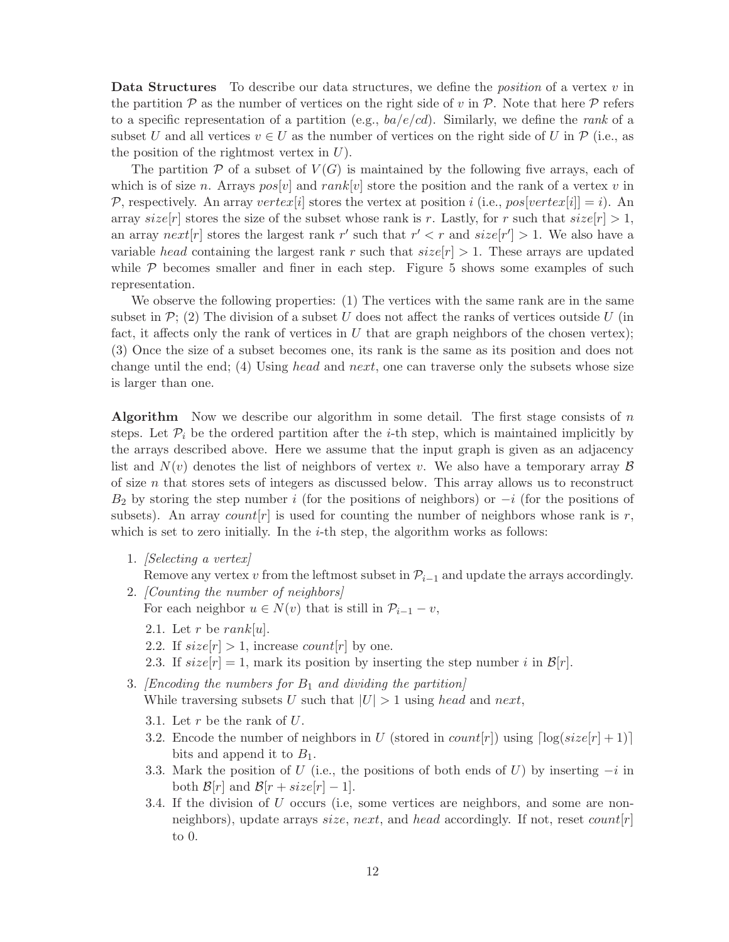**Data Structures** To describe our data structures, we define the *position* of a vertex  $v$  in the partition  $\mathcal P$  as the number of vertices on the right side of v in  $\mathcal P$ . Note that here  $\mathcal P$  refers to a specific representation of a partition (e.g.,  $ba/e/cd$ ). Similarly, we define the rank of a subset U and all vertices  $v \in U$  as the number of vertices on the right side of U in  $\mathcal{P}$  (i.e., as the position of the rightmost vertex in  $U$ ).

The partition  $P$  of a subset of  $V(G)$  is maintained by the following five arrays, each of which is of size n. Arrays  $pos[v]$  and rank v is the position and the rank of a vertex v in P, respectively. An array vertex is stores the vertex at position i (i.e.,  $pos[vertex[i]] = i$ ). An array  $size[r]$  stores the size of the subset whose rank is r. Lastly, for r such that  $size[r] > 1$ , an array  $next[r]$  stores the largest rank r' such that  $r' < r$  and  $size[r'] > 1$ . We also have a variable head containing the largest rank r such that  $size[r] > 1$ . These arrays are updated while  $P$  becomes smaller and finer in each step. Figure 5 shows some examples of such representation.

We observe the following properties: (1) The vertices with the same rank are in the same subset in  $\mathcal{P}$ ; (2) The division of a subset U does not affect the ranks of vertices outside U (in fact, it affects only the rank of vertices in  $U$  that are graph neighbors of the chosen vertex); (3) Once the size of a subset becomes one, its rank is the same as its position and does not change until the end; (4) Using head and next, one can traverse only the subsets whose size is larger than one.

**Algorithm** Now we describe our algorithm in some detail. The first stage consists of  $n$ steps. Let  $\mathcal{P}_i$  be the ordered partition after the *i*-th step, which is maintained implicitly by the arrays described above. Here we assume that the input graph is given as an adjacency list and  $N(v)$  denotes the list of neighbors of vertex v. We also have a temporary array  $\beta$ of size  $n$  that stores sets of integers as discussed below. This array allows us to reconstruct  $B_2$  by storing the step number i (for the positions of neighbors) or  $-i$  (for the positions of subsets). An array count  $[r]$  is used for counting the number of neighbors whose rank is r, which is set to zero initially. In the  $i$ -th step, the algorithm works as follows:

1. [Selecting a vertex]

Remove any vertex v from the leftmost subset in  $\mathcal{P}_{i-1}$  and update the arrays accordingly.

- 2. [Counting the number of neighbors] For each neighbor  $u \in N(v)$  that is still in  $\mathcal{P}_{i-1} - v$ ,
	- 2.1. Let r be rank[u].
	- 2.2. If  $size[r] > 1$ , increase  $count[r]$  by one.
	- 2.3. If  $size[r] = 1$ , mark its position by inserting the step number i in  $\mathcal{B}[r]$ .
- 3. [Encoding the numbers for  $B_1$  and dividing the partition] While traversing subsets U such that  $|U| > 1$  using head and next,
	- 3.1. Let  $r$  be the rank of  $U$ .
	- 3.2. Encode the number of neighbors in U (stored in  $count[r]$ ) using  $\lceil \log(size[r] + 1) \rceil$ bits and append it to  $B_1$ .
	- 3.3. Mark the position of U (i.e., the positions of both ends of U) by inserting  $-i$  in both  $\mathcal{B}[r]$  and  $\mathcal{B}[r + size[r] - 1]$ .
	- 3.4. If the division of U occurs (i.e, some vertices are neighbors, and some are nonneighbors), update arrays size, next, and head accordingly. If not, reset  $count[r]$ to 0.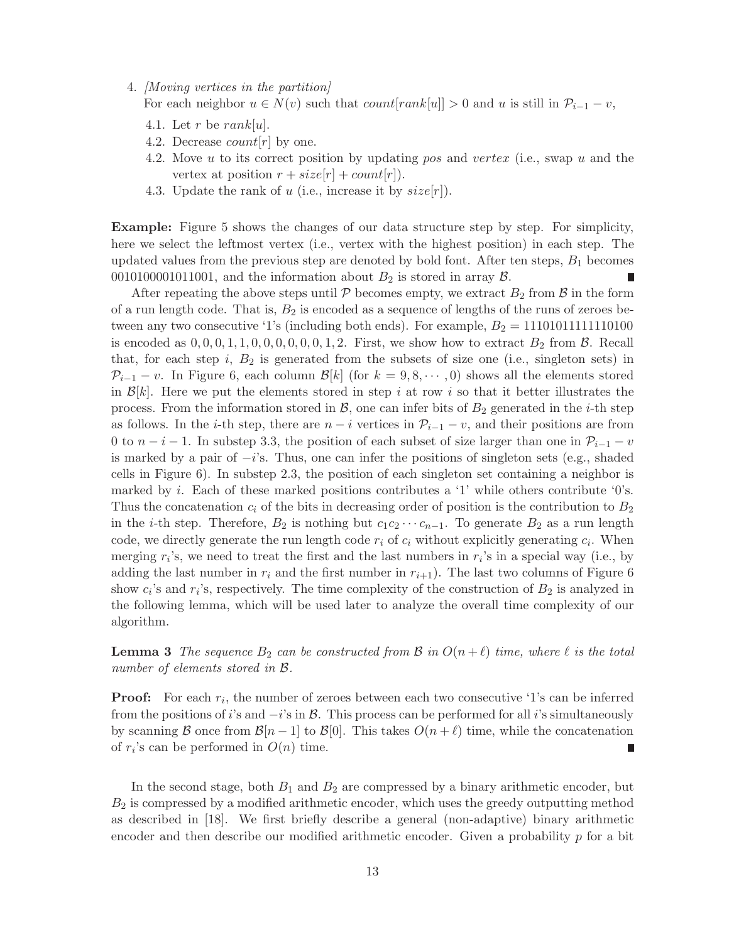4. [Moving vertices in the partition]

For each neighbor  $u \in N(v)$  such that  $count[rank[u]] > 0$  and u is still in  $\mathcal{P}_{i-1} - v$ ,

- 4.1. Let r be rank[u].
- 4.2. Decrease *count*  $[r]$  by one.
- 4.2. Move u to its correct position by updating pos and vertex (i.e., swap u and the vertex at position  $r + size[r] + count[r]$ .
- 4.3. Update the rank of u (i.e., increase it by  $size[r]$ ).

Example: Figure 5 shows the changes of our data structure step by step. For simplicity, here we select the leftmost vertex (i.e., vertex with the highest position) in each step. The updated values from the previous step are denoted by bold font. After ten steps,  $B_1$  becomes 0010100001011001, and the information about  $B_2$  is stored in array  $\beta$ . П

After repeating the above steps until  $P$  becomes empty, we extract  $B_2$  from  $\beta$  in the form of a run length code. That is,  $B_2$  is encoded as a sequence of lengths of the runs of zeroes between any two consecutive '1's (including both ends). For example,  $B_2 = 11101011111110100$ is encoded as  $0, 0, 0, 1, 1, 0, 0, 0, 0, 0, 0, 1, 2$ . First, we show how to extract  $B_2$  from  $\beta$ . Recall that, for each step i,  $B_2$  is generated from the subsets of size one (i.e., singleton sets) in  $\mathcal{P}_{i-1} - v$ . In Figure 6, each column  $\mathcal{B}[k]$  (for  $k = 9, 8, \cdots, 0$ ) shows all the elements stored in  $\mathcal{B}[k]$ . Here we put the elements stored in step i at row i so that it better illustrates the process. From the information stored in  $\mathcal{B}$ , one can infer bits of  $B_2$  generated in the *i*-th step as follows. In the *i*-th step, there are  $n - i$  vertices in  $\mathcal{P}_{i-1} - v$ , and their positions are from 0 to  $n-i-1$ . In substep 3.3, the position of each subset of size larger than one in  $\mathcal{P}_{i-1} - v$ is marked by a pair of  $-i$ 's. Thus, one can infer the positions of singleton sets (e.g., shaded cells in Figure 6). In substep 2.3, the position of each singleton set containing a neighbor is marked by i. Each of these marked positions contributes a '1' while others contribute '0's. Thus the concatenation  $c_i$  of the bits in decreasing order of position is the contribution to  $B_2$ in the *i*-th step. Therefore,  $B_2$  is nothing but  $c_1c_2 \cdots c_{n-1}$ . To generate  $B_2$  as a run length code, we directly generate the run length code  $r_i$  of  $c_i$  without explicitly generating  $c_i$ . When merging  $r_i$ 's, we need to treat the first and the last numbers in  $r_i$ 's in a special way (i.e., by adding the last number in  $r_i$  and the first number in  $r_{i+1}$ ). The last two columns of Figure 6 show  $c_i$ 's and  $r_i$ 's, respectively. The time complexity of the construction of  $B_2$  is analyzed in the following lemma, which will be used later to analyze the overall time complexity of our algorithm.

**Lemma 3** The sequence  $B_2$  can be constructed from B in  $O(n+\ell)$  time, where  $\ell$  is the total number of elements stored in B.

**Proof:** For each  $r_i$ , the number of zeroes between each two consecutive '1's can be inferred from the positions of i's and  $-i$ 's in B. This process can be performed for all i's simultaneously by scanning B once from  $\mathcal{B}[n-1]$  to  $\mathcal{B}[0]$ . This takes  $O(n+\ell)$  time, while the concatenation of  $r_i$ 's can be performed in  $O(n)$  time. П

In the second stage, both  $B_1$  and  $B_2$  are compressed by a binary arithmetic encoder, but  $B_2$  is compressed by a modified arithmetic encoder, which uses the greedy outputting method as described in [18]. We first briefly describe a general (non-adaptive) binary arithmetic encoder and then describe our modified arithmetic encoder. Given a probability  $p$  for a bit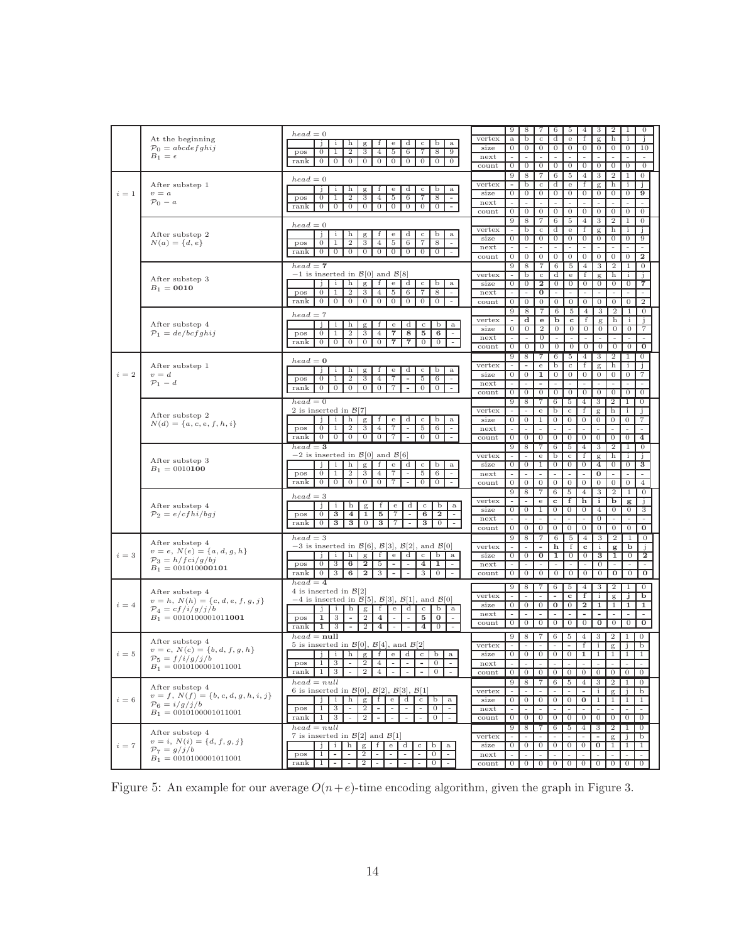|       |                                         | $head = 0$                                                                                                                                                                                                                    |                | 9                        | 8                        | 7                        | 6                        | 5                        | 4                                          | 3                                          | $\boldsymbol{2}$                           | 1                                          | $\theta$         |  |
|-------|-----------------------------------------|-------------------------------------------------------------------------------------------------------------------------------------------------------------------------------------------------------------------------------|----------------|--------------------------|--------------------------|--------------------------|--------------------------|--------------------------|--------------------------------------------|--------------------------------------------|--------------------------------------------|--------------------------------------------|------------------|--|
|       | At the beginning                        |                                                                                                                                                                                                                               | vertex         | $\rm{a}$                 | b                        | $\mathbf{C}$             | d                        | $_{\rm e}$               | f                                          | g                                          | h                                          | i                                          | Ĵ                |  |
|       | $\mathcal{P}_0 = abcdefghij$            | h<br>f<br>$_{\rm e}$<br>d<br>$_{\rm c}$<br>b<br>$\mathbf{a}$<br>j.<br>i<br>g                                                                                                                                                  | size           | $\overline{0}$           | $\boldsymbol{0}$         | $\overline{0}$           | $\mathbf{0}$             | $\mathbf{0}$             | $\mathbf{0}$                               | $\theta$                                   | $\mathbf{0}$                               | $\overline{0}$                             | 10               |  |
|       | $B_1 = \epsilon$                        | $\mathbf{2}$<br>3<br>5<br>6<br>9<br>pos<br>$\mathbf{0}$<br>1<br>4<br>7<br>8                                                                                                                                                   |                | $\sim$                   | $\sim$                   | $\sim$                   |                          |                          | $\sim$                                     | $\sim$                                     | $\sim$                                     | $\sim$                                     | $\sim$           |  |
|       |                                         | $\mathbf{0}$<br>$\mathbf{0}$<br>$\mathbf{0}$<br>$\mathbf{0}$<br>$\mathbf{0}$<br>$\mathbf{0}$<br>$\mathbf{0}$<br>$\mathbf{0}$<br>$\overline{0}$<br>$\mathbf{0}$<br>rank                                                        | next           |                          |                          |                          | $\sim$                   | $\sim$                   |                                            |                                            |                                            |                                            |                  |  |
|       |                                         |                                                                                                                                                                                                                               | count          | $\mathbf{0}$             | $\mathbf{0}$             | $\overline{0}$           | $\overline{0}$           | $\overline{0}$           | $\overline{0}$                             | $\overline{0}$                             | $\overline{0}$                             | $\overline{0}$                             | $\overline{0}$   |  |
|       |                                         | $head = 0$                                                                                                                                                                                                                    |                | 9                        | 8                        | 7                        | 6                        | 5                        | $\overline{4}$                             | 3                                          | $\boldsymbol{2}$                           | 1                                          | $\overline{0}$   |  |
|       | After substep 1                         |                                                                                                                                                                                                                               | vertex         | $\overline{\phantom{a}}$ | b                        | $_{\rm c}$               | d                        | $_{\rm e}$               | f                                          | $\mathbf{g}$                               | h                                          | ÷                                          |                  |  |
| $i=1$ | $v = a$                                 | d<br>Ĵ<br>$\mathbf{i}$<br>h<br>g<br>f<br>e<br>$\mathbf c$<br>b<br>$\rm{a}$                                                                                                                                                    | size           | $\mathbf{0}$             | $\mathbf{0}$             | $\overline{0}$           | $\mathbf{0}$             | $\mathbf{0}$             | $\mathbf{0}$                               | $\theta$                                   | $\theta$                                   | $\theta$                                   | 9                |  |
|       |                                         | $\boldsymbol{2}$<br>$\mathbf{0}$<br>3<br>5<br>6<br>7<br>8<br>1<br>4<br>$\overline{\phantom{a}}$<br>pos                                                                                                                        |                |                          |                          |                          |                          |                          |                                            |                                            |                                            |                                            |                  |  |
|       | $\mathcal{P}_0 - a$                     | 0 <sub>0</sub><br>$\overline{0}$<br>$\overline{0}$<br>$\overline{0}$<br>$\mathbf{0}$<br>$\overline{0}$<br>$\mathbf{0}$<br>$\mathbf{0}$<br>rank<br>$\overline{\phantom{a}}$                                                    | next           |                          |                          |                          | $\overline{\phantom{a}}$ | $\overline{\phantom{a}}$ |                                            |                                            |                                            |                                            |                  |  |
|       |                                         |                                                                                                                                                                                                                               | count          | $\mathbf{0}$             | $\mathbf{0}$             | $\mathbf{0}$             | $\mathbf{0}$             | $\mathbf{0}$             | $\mathbf{0}$                               | $\mathbf{0}$                               | $\mathbf{0}$                               | $\mathbf{0}$                               | $\theta$         |  |
|       |                                         |                                                                                                                                                                                                                               |                | 9                        | 8                        | 7                        | 6                        | 5                        | $\overline{4}$                             | 3                                          | $\boldsymbol{2}$                           | 1                                          | $\overline{0}$   |  |
|       |                                         | $head = 0$                                                                                                                                                                                                                    | vertex         |                          | b                        | $_{\rm c}$               | d                        | $_{\rm e}$               | f                                          | g                                          | h                                          | i                                          |                  |  |
|       | After substep 2                         | j.<br>$\mathbf{i}$<br>h<br>f<br>$_{\rm e}$<br>d<br>$_{\rm c}$<br>b<br>$\mathbf{a}$<br>g                                                                                                                                       |                |                          | $\boldsymbol{0}$         | $\overline{0}$           | $\mathbf{0}$             | $\mathbf{0}$             | $\theta$                                   | $\theta$                                   | $\mathbf{0}$                               | $\overline{0}$                             | 9                |  |
|       | $N(a) = \{d, e\}$                       | $\mathbf{0}$<br>$^{2}$<br>3<br>$\overline{4}$<br>5<br>6<br>7<br>8<br>$\omega$<br>pos<br>1                                                                                                                                     | size           | $\mathbf{0}$             |                          |                          |                          |                          |                                            |                                            |                                            |                                            |                  |  |
|       |                                         | $\boldsymbol{0}$<br>rank<br>$\mathbf{0}$<br>$\mathbf{0}$<br>$\boldsymbol{0}$<br>0<br>$\overline{0}$<br>$\mathbf{0}$<br>$\mathbf{0}$<br>$\overline{0}$                                                                         | next           |                          |                          |                          | $\overline{a}$           |                          |                                            |                                            |                                            |                                            |                  |  |
|       |                                         |                                                                                                                                                                                                                               | count          | $\overline{0}$           | $\boldsymbol{0}$         | $\overline{0}$           | $\mathbf{0}$             | $\mathbf{0}$             | $\theta$                                   | $\overline{0}$                             | $\mathbf{0}$                               | $\overline{0}$                             | $\mathbf{2}$     |  |
|       |                                         | $head = 7$                                                                                                                                                                                                                    |                | 9                        | 8                        | 7                        | 6                        | -5                       | $\overline{4}$                             | 3                                          | $\boldsymbol{2}$                           | 1                                          | $\mathbf{0}$     |  |
|       |                                         | $-1$ is inserted in $\mathcal{B}[0]$ and $\mathcal{B}[8]$                                                                                                                                                                     | vertex         | $\overline{\phantom{a}}$ | b                        | $_{\rm c}$               | d                        | $_{\rm e}$               | f                                          |                                            | h                                          | $\mathbf{i}$                               | Ĵ                |  |
|       | After substep 3                         |                                                                                                                                                                                                                               |                |                          |                          |                          |                          |                          |                                            | $\mathbf{g}$                               |                                            |                                            |                  |  |
|       | $B_1 = 0010$                            | h<br>$\mathbf{i}$<br>g<br>f<br>$\mathbf{e}$<br>d<br>$\mathbf c$<br>b<br>Ĵ.<br>$\mathbf{a}$                                                                                                                                    | size           | $\mathbf{0}$             | $\mathbf{0}$             | $\mathbf{2}$             | $\mathbf{0}$             | $\mathbf{0}$             | $\mathbf{0}$                               | $\mathbf{0}$                               | $\mathbf{0}$                               | $\mathbf{0}$                               | 7                |  |
|       |                                         | $\mathbf{2}$<br>$\overline{0}$<br>$\mathbf{1}$<br>3<br>$\overline{4}$<br>5<br>-6<br>7<br>8<br>pos<br>$\sim$                                                                                                                   | next           | $\overline{\phantom{a}}$ | $\overline{\phantom{a}}$ | 0                        | $\sim$                   | $\sim$                   | $\sim$                                     | $\overline{\phantom{a}}$                   | $\overline{\phantom{a}}$                   | $\overline{\phantom{a}}$                   | $\sim$           |  |
|       |                                         | $0 \mid 0$<br>$\overline{0}$<br>$\overline{0}$<br>$\overline{0}$<br>$\overline{0}$<br>$\overline{0}$<br>$\overline{0}$<br>$\mathbf{0}$<br>rank<br>$\sim$                                                                      | count          | $\mathbf{0}$             | $\mathbf{0}$             | $\mathbf{0}$             | $\overline{0}$           | $\mathbf{0}$             | $\mathbf{0}$                               | $\overline{0}$                             | $\overline{0}$                             | $\overline{0}$                             | $\boldsymbol{2}$ |  |
|       |                                         |                                                                                                                                                                                                                               |                | 9                        | 8                        | 7                        | 6                        | 5                        | $\overline{4}$                             | 3                                          | $\boldsymbol{2}$                           | 1                                          | $\mathbf{0}$     |  |
|       |                                         | $head = 7$                                                                                                                                                                                                                    |                |                          |                          |                          |                          |                          |                                            |                                            |                                            |                                            |                  |  |
|       | After substep 4                         | h<br>d<br>b<br>Ĵ<br>$\mathbf{i}$<br>g<br>f<br>e<br>$_{\rm c}$<br>$\rm{a}$                                                                                                                                                     | vertex         |                          | d                        | $\mathbf{e}$             | b                        | $\mathbf c$              | f                                          | $\mathbf{g}$                               | h                                          | i                                          | $\mathbf{1}$     |  |
|       | $\mathcal{P}_1 = de/bcfghij$            | $\boldsymbol{2}$<br>3<br>$\overline{\phantom{a}}$<br>8<br>5<br>6<br>$\mathbf{0}$<br>$\overline{4}$<br>$\sim$<br>-1<br>pos                                                                                                     | size           | $\mathbf{0}$             | $\mathbf{0}$             | $\overline{2}$           | $\mathbf{0}$             | $\mathbf{0}$             | $\mathbf{0}$                               | $\mathbf{0}$                               | $\mathbf{0}$                               | $\mathbf{0}$                               | 7                |  |
|       |                                         |                                                                                                                                                                                                                               | next           |                          | ÷,                       | 0                        | $\equiv$                 | $\sim$                   |                                            | $\sim$                                     |                                            |                                            |                  |  |
|       |                                         | $\overline{0}$<br>$\overline{0}$<br>$\mathbf{0}$<br>$\overline{0}$<br>$\overline{0}$<br>7<br>$\mathbf{7}$<br>$\overline{0}$<br>$\mathbf{0}$<br>rank<br>$\overline{\phantom{a}}$                                               | count          | $\mathbf{0}$             | $\overline{0}$           | $\overline{0}$           | $\mathbf{0}$             | $\mathbf{0}$             | $\mathbf{0}$                               | $\mathbf{0}$                               | $\theta$                                   | $\mathbf{0}$                               | $\bf{0}$         |  |
|       |                                         |                                                                                                                                                                                                                               |                |                          |                          |                          |                          |                          |                                            |                                            |                                            |                                            |                  |  |
|       |                                         | $head = 0$                                                                                                                                                                                                                    |                | 9                        | 8                        | 7                        | 6                        | 5                        | $\overline{4}$                             | 3                                          | 2                                          | 1                                          | $\overline{0}$   |  |
|       | After substep 1                         | Ŧ                                                                                                                                                                                                                             | vertex         | $\overline{\phantom{a}}$ | $\overline{\phantom{a}}$ | $_{\rm e}$               | b                        | $_{\rm c}$               | f                                          | g                                          | h                                          | $\mathbf{i}$                               | j.               |  |
| $i=2$ | $v = d$                                 | b<br>j<br>h<br>d<br>i<br>g<br>е<br>$_{\rm c}$<br>$\mathbf{a}$                                                                                                                                                                 | size           | $\overline{0}$           | $\overline{0}$           | $\mathbf{1}$             | $\overline{0}$           | $\mathbf{0}$             | $\mathbf{0}$                               | $\mathbf{0}$                               | $\overline{0}$                             | $\mathbf{0}$                               | 7                |  |
|       | $\mathcal{P}_1-d$                       | $^{2}$<br>3<br>7<br>5<br>6<br>$\mathbf{0}$<br>4<br>$\overline{\phantom{a}}$<br>$\sim$<br>pos                                                                                                                                  | next           | $\sim$                   | $\sim$                   | $\overline{\phantom{a}}$ | $\sim$                   | $\sim$                   | $\sim$                                     | $\sim$                                     | $\overline{\phantom{a}}$                   | ä,                                         |                  |  |
|       |                                         | $\mathbf{0}$<br>$\overline{0}$<br>$\overline{0}$<br>$\mathbf{0}$<br>rank<br>$\overline{0}$<br>$\mathbf{0}$<br>7<br>$\overline{\phantom{a}}$<br>$\overline{0}$                                                                 |                |                          |                          |                          |                          |                          |                                            |                                            |                                            |                                            |                  |  |
|       |                                         |                                                                                                                                                                                                                               | count          | $\mathbf{0}$             | $\mathbf{0}$             | $\mathbf{0}$             | $\overline{0}$           | $\overline{0}$           | $\mathbf{0}$                               | $\mathbf{0}$                               | $\overline{0}$                             | $\mathbf{0}$                               | $\mathbf{0}$     |  |
|       |                                         | $head = 0$                                                                                                                                                                                                                    |                | 9                        | 8                        | $\overline{7}$           | 6                        | 5                        | $\overline{4}$                             | 3                                          | 2                                          | -1                                         | $\mathbf{0}$     |  |
|       |                                         | 2 is inserted in $\mathcal{B}[7]$                                                                                                                                                                                             | vertex         |                          | $\overline{\phantom{a}}$ | $_{\rm e}$               | b                        | $\rm _{C}$               | f                                          | $\mathbf{g}$                               | h                                          | i                                          | j.               |  |
|       | After substep 2                         | i.<br>$\mathbf{i}$<br>h<br>g<br>f<br>d<br>$\rm _c$<br>b<br>e<br>$\mathbf{a}$                                                                                                                                                  | size           | $\mathbf{0}$             | $\mathbf{0}$             | 1                        | $\mathbf{0}$             | $\mathbf{0}$             | $\mathbf{0}$                               | $\mathbf{0}$                               | $\mathbf{0}$                               | $\mathbf{0}$                               | 7                |  |
|       | $N(d) = \{a, c, e, f, h, i\}$           | $\mathbf{0}$<br>1<br>7<br>$\sim$<br>$\sim$                                                                                                                                                                                    |                | ÷.                       | $\sim$                   | $\sim$                   | $\sim$                   | $\sim$                   | ÷,                                         | $\overline{\phantom{a}}$                   | $\sim$                                     | $\overline{\phantom{a}}$                   |                  |  |
|       |                                         | 2<br>3<br>4<br>5<br>6<br>pos                                                                                                                                                                                                  | next           |                          |                          |                          |                          |                          |                                            |                                            |                                            |                                            |                  |  |
|       |                                         | $\overline{0}$<br>$\overline{0}$<br>$\overline{0}$<br>$\mathbf{0}$<br>$\boldsymbol{0}$<br>7<br>$\mathbf{0}$<br>$\overline{0}$<br>rank<br>$\overline{\phantom{a}}$<br>$\overline{\phantom{a}}$                                 | count          | $\mathbf{0}$             | $\theta$                 | $\overline{0}$           | $\overline{0}$           | $\overline{0}$           | $\overline{0}$                             | $\overline{0}$                             | $\mathbf{0}$                               | $\mathbf{0}$                               | $\overline{4}$   |  |
|       |                                         | $head = 3$                                                                                                                                                                                                                    |                | 9                        | 8                        | 7                        | 6                        | 5                        | 4                                          | 3                                          | 2                                          | 1                                          | $\overline{0}$   |  |
|       |                                         | $-2$ is inserted in $\mathcal{B}[0]$ and $\mathcal{B}[6]$                                                                                                                                                                     | vertex         | $\sim$                   | ٠                        | e                        | b                        | $_{\rm c}$               | f                                          | g                                          | h                                          | i                                          |                  |  |
|       | After substep 3                         | h<br>f<br>b<br>$\mathbf{i}$<br>g<br>$\mathbf{e}$<br>d<br>$_{\rm c}$<br>$\mathbf{a}$<br>j.                                                                                                                                     | size           | $\mathbf{0}$             | $\mathbf{0}$             | 1                        | $\mathbf{0}$             | $\overline{0}$           | $\theta$                                   | $\overline{\mathbf{4}}$                    | $\theta$                                   | $\mathbf{0}$                               | 3                |  |
|       | $B_1 = 0010100$                         |                                                                                                                                                                                                                               |                |                          |                          |                          |                          |                          |                                            |                                            |                                            |                                            |                  |  |
|       |                                         | pos<br>$\mathbf{0}$<br>1<br>2<br>З<br>4<br>5<br>6<br>7<br>$\overline{\phantom{a}}$                                                                                                                                            | next           | $\sim$                   |                          |                          |                          | $\sim$                   |                                            | $\bf{0}$                                   | $\sim$                                     | $\bar{a}$                                  |                  |  |
|       |                                         | $\overline{0}$<br>$\overline{0}$<br>$\mathbf{0}$<br>$\mathbf{0}$<br>0<br>7<br>$\mathbf{0}$<br>$\theta$<br>rank                                                                                                                | count          | $\mathbf{0}$             | $\mathbf{0}$             | $\mathbf{0}$             | $\mathbf{0}$             | $\mathbf{0}$             | $\overline{0}$                             | $\overline{0}$                             | $\mathbf{0}$                               | $\mathbf{0}$                               | 4                |  |
|       |                                         |                                                                                                                                                                                                                               |                | 9                        | 8                        | 7                        | $6\overline{6}$          | 5                        | $\overline{4}$                             | 3                                          | $\overline{2}$                             | 1                                          | $\mathbf{0}$     |  |
|       |                                         | $head = 3$                                                                                                                                                                                                                    | vertex         | $\sim$                   |                          | $_{\rm e}$               | $\mathbf c$              | f                        | h                                          | $\mathbf{i}$                               | b                                          | g                                          | Ĵ.               |  |
|       | After substep 4                         | j.<br>$\mathbf{i}$<br>h<br>$\mathbf{g}$<br>f<br>$_{\rm e}$<br>d<br>$_{\rm c}$<br>b<br>a                                                                                                                                       |                |                          |                          |                          |                          |                          |                                            |                                            |                                            |                                            |                  |  |
|       | $\mathcal{P}_2 = e/cfhi/bgj$            | $\mathbf{0}$<br>3<br>$\overline{4}$<br>1<br>5<br>7<br>6<br>$\bf{2}$<br>pos<br>$\sim$<br>$\sim$                                                                                                                                | size           | $\overline{0}$           | $\boldsymbol{0}$         | 1                        | $\overline{0}$           | $\theta$                 | $\mathbf{0}$                               | $\overline{4}$                             | $\theta$                                   | $\overline{0}$                             | 3                |  |
|       |                                         | 3 <sup>1</sup><br>rank<br>$\mathbf{0}$<br>3 <sub>1</sub><br>$\mathbf{0}$<br>3<br>7<br>3<br>$\mathbf{0}$<br>$\overline{\phantom{a}}$                                                                                           | next           | $\sim$                   | $\sim$                   | $\sim$                   | $\sim$                   | $\sim$                   | $\overline{\phantom{a}}$                   | $\mathbf{0}$                               | $\sim$                                     | $\omega$                                   | ÷.               |  |
|       |                                         |                                                                                                                                                                                                                               | count          | $\mathbf{0}$             | $\mathbf{0}$             | $\mathbf{0}$             | $\mathbf{0}$             | $\overline{0}$           | $\mathbf{0}$                               | $\mathbf{0}$                               | $\mathbf{0}$                               | $\overline{0}$                             | $\bf{0}$         |  |
|       |                                         | $head = 3$                                                                                                                                                                                                                    |                | 9                        | 8                        | 7                        | 6                        | 5                        | $\overline{4}$                             | 3                                          | $\,2$                                      | 1                                          | 0                |  |
|       | After substep 4                         | $-3$ is inserted in $\mathcal{B}[6], \mathcal{B}[3], \mathcal{B}[2],$ and $\mathcal{B}[0]$                                                                                                                                    |                |                          |                          |                          | h                        | f                        |                                            | $\mathbf i$                                |                                            | b                                          |                  |  |
|       | $v = e, N(e) = \{a, d, g, h\}$          |                                                                                                                                                                                                                               | vertex         |                          |                          |                          |                          |                          | $\mathbf c$                                |                                            | g                                          |                                            |                  |  |
| $i=3$ | $\mathcal{P}_3 = h/fci/g/bj$            | h<br>f<br>$\mathbf{e}$<br>d<br>$_{\rm c}$<br>b<br>$\mathbf{i}$<br>g<br>$\rm{a}$<br>j.                                                                                                                                         | size           | $\overline{0}$           | $\mathbf{0}$             | 0                        | 1                        | $\mathbf{0}$             | $\mathbf{0}$                               | 3                                          | 1                                          | 0                                          | 2                |  |
|       | $B_1 = 001010000101$                    | $\overline{0}$<br>3<br>6<br>$\bf{2}$<br>5<br>4<br>1<br>pos<br>$\overline{\phantom{a}}$<br>$\sim$<br>$\sim$                                                                                                                    | next           | ÷.                       |                          |                          | ÷.                       | $\sim$                   | ÷,                                         | $\boldsymbol{0}$                           |                                            |                                            |                  |  |
|       |                                         | 3<br>6<br>$\boldsymbol{2}$<br>3<br>rank<br>$\overline{0}$<br>3<br>$\mathbf{0}$                                                                                                                                                | $_{\rm count}$ | $\boldsymbol{0}$         | $\mathbf{0}$             | $\mathbf{0}$             | $\mathbf{0}$             | $\overline{0}$           | $\boldsymbol{0}$                           | $\mathbf{0}$                               | 0                                          | 0                                          | 0                |  |
|       |                                         | $head = 4$                                                                                                                                                                                                                    |                |                          |                          |                          |                          |                          |                                            |                                            |                                            |                                            |                  |  |
|       |                                         |                                                                                                                                                                                                                               |                | 9                        | 8                        | 7                        | 6                        | 5                        | $\overline{4}$                             | 3                                          | 2                                          | $\mathbf{1}$                               | $\mathbf{0}$     |  |
|       | After substep 4                         | 4 is inserted in $\mathcal{B}[2]$                                                                                                                                                                                             | vertex         | $\overline{\phantom{a}}$ | ÷,                       |                          | $\blacksquare$           | $\mathbf c$              | f                                          | i                                          | $_{\rm g}$                                 | j                                          | b                |  |
| $i=4$ | $v = h, N(h) = \{c, d, e, f, g, j\}$    | $-4$ is inserted in $\mathcal{B}[5], \mathcal{B}[3], \mathcal{B}[1],$ and $\mathcal{B}[0]$                                                                                                                                    | size           | $\mathbf{0}$             | $\mathbf{0}$             | $\mathbf{0}$             | $\bf{0}$                 | $\mathbf{0}$             | $\boldsymbol{2}$                           | 1                                          | $\mathbf{1}$                               | 1                                          | 1                |  |
|       | $\mathcal{P}_4 = cf/i/g/j/b$            | $\mathbf{i}$<br>h  <br>f <sub>1</sub><br>e<br>d<br>$_{\rm c}$<br>b<br>g<br>$\mathbf{a}$                                                                                                                                       |                | $\sim$                   | $\sim$                   | $\sim$                   | $\sim$                   | $\omega$                 | $\overline{\phantom{a}}$                   | $\overline{\phantom{a}}$                   | $\omega$                                   | $\sim$                                     | $\sim$           |  |
|       | $B_1 = 0010100001011001$                | 3<br>$\sim$<br>$\overline{2}$<br>4<br>5<br>$\bf{0}$<br>pos<br>1<br>$\sim$<br>$\sim$                                                                                                                                           | next           |                          |                          |                          |                          |                          |                                            |                                            |                                            |                                            |                  |  |
|       |                                         | $1 \vert$<br>$\mathbf{3}$<br>$\overline{2}$<br>$\overline{\mathbf{4}}$<br>$\overline{4}$<br>$\mathbf{0}$<br>rank<br>$\overline{\phantom{a}}$                                                                                  | count          | $\mathbf{0}$             | $\mathbf{0}$             | $\mathbf{0}$             | $\overline{0}$           | $\mathbf{0}$             | $\mathbf{0}$                               | $\bf{0}$                                   | $\mathbf{0}$                               | $\boldsymbol{0}$                           | 0                |  |
|       |                                         |                                                                                                                                                                                                                               |                |                          |                          |                          |                          |                          |                                            |                                            |                                            |                                            |                  |  |
|       | After substep 4                         | $head = null$                                                                                                                                                                                                                 |                | 9                        | 8                        | 7                        | 6                        | 5                        | $\overline{4}$                             | 3                                          | $\boldsymbol{2}$                           | 1                                          | $\mathbf{0}$     |  |
|       |                                         | 5 is inserted in $\mathcal{B}[0], \mathcal{B}[4],$ and $\mathcal{B}[2]$                                                                                                                                                       | vertex         | $\sim$                   | $\overline{\phantom{a}}$ | $\overline{\phantom{a}}$ | $\overline{\phantom{a}}$ | $\overline{\phantom{a}}$ | $\mathbf{f}$                               | $\mathbf{i}$                               | g                                          | Ĵ                                          | b                |  |
| $i=5$ | $v = c, N(c) = \{b, d, f, g, h\}$       | $j \mid i \mid h \mid g \mid f \mid e \mid d \mid c$<br>b<br>$\mathbf{a}$                                                                                                                                                     | size           |                          |                          | $0 \mid 0 \mid 0$        | $\Box$                   | $\overline{0}$           | $\mathbf{1}$                               | $1 \mid 1$                                 |                                            | $\mathbf{1}$                               | $\mathbf{1}$     |  |
|       | $\mathcal{P}_5 = f/i/g/j/b$             | $\mathbf{1}$<br>3<br>$^{2}$<br>pos<br>4<br>0<br>$\overline{\phantom{a}}$                                                                                                                                                      | next           | $\sim$                   | $\sim$                   | $\overline{\phantom{a}}$ | $\sim$                   | $\sim$                   | $\sim$                                     | $\sim$                                     | $\sim$                                     | $\sim$                                     | $\sim$           |  |
|       | $B_1 = 0010100001011001$                | 3<br>$\overline{2}$<br>rank<br>$\mathbf{1}$<br>4                                                                                                                                                                              | count          | $\mathbf{0}$             | $\mathbf{0}$             | $\overline{0}$           | $\overline{0}$           | $\mathbf{0}$             | $\overline{0}$                             | $\overline{0}$                             | $\mathbf{0}$                               | $\overline{0}$                             | $\overline{0}$   |  |
|       |                                         |                                                                                                                                                                                                                               |                |                          |                          |                          |                          |                          |                                            |                                            |                                            |                                            |                  |  |
|       |                                         | $head = null$                                                                                                                                                                                                                 |                | 9                        | 8                        | $\overline{7}$           | 6                        | 5                        | $\overline{4}$                             | 3                                          | $\boldsymbol{2}$                           | $\mathbf{1}$                               | $\overline{0}$   |  |
|       | After substep 4                         | 6 is inserted in $\mathcal{B}[0], \mathcal{B}[2], \mathcal{B}[3], \mathcal{B}[1]$                                                                                                                                             | vertex         |                          |                          |                          |                          |                          | $\overline{\phantom{a}}$                   | $\mathbf{i}$                               | g                                          | Ĵ                                          | b                |  |
| $i=6$ | $v = f, N(f) = \{b, c, d, g, h, i, j\}$ | h<br>$\mathbf{i}$<br>g   f<br>$\mathbf{e}$<br>d<br>$_{\rm c}$<br>b<br>$\mathbf{a}$<br>Ĵ.                                                                                                                                      | size           | $\mathbf{0}$             | $\overline{0}$           | $\theta$                 | $\theta$                 | $\theta$                 | $\bf{0}$                                   | 1                                          | $\mathbf{1}$                               | 1                                          | 1                |  |
|       | $\mathcal{P}_6 = i/g/j/b$               | pos<br>$\mathbf{1}$<br>3<br>2<br>$\overline{\phantom{a}}$<br>$\mathbf{0}$<br>$\overline{\phantom{a}}$                                                                                                                         |                |                          |                          |                          |                          |                          |                                            |                                            |                                            |                                            |                  |  |
|       | $B_1 = 0010100001011001$                |                                                                                                                                                                                                                               | next           |                          |                          |                          |                          |                          |                                            |                                            |                                            |                                            |                  |  |
|       |                                         | -3<br>$\overline{2}$<br>rank<br>$\mathbf{1}$<br>$\sim$<br>$\sim$<br>$\mathbf{0}$<br>$\overline{\phantom{a}}$<br>$\overline{\phantom{a}}$<br>$\sim$<br>$\sim$                                                                  | count          | $\mathbf{0}$             | $\mathbf{0}$             | $\theta$                 | $\overline{0}$           | $\overline{0}$           | $\overline{0}$                             | $\overline{0}$                             | $\mathbf{0}$                               | $\mathbf{0}$                               | $\mathbf{0}$     |  |
|       |                                         |                                                                                                                                                                                                                               |                |                          |                          |                          |                          |                          |                                            |                                            |                                            |                                            | $\overline{0}$   |  |
|       |                                         | $head = null$                                                                                                                                                                                                                 |                | 9                        | 8                        | 7                        | -6                       | 5                        | $\overline{4}$                             | 3                                          | $\mathbf{2}$                               | -1                                         |                  |  |
|       | After substep 4                         |                                                                                                                                                                                                                               |                | $\sim$                   | $\sim$                   |                          |                          |                          | $\sim$                                     |                                            |                                            |                                            |                  |  |
|       | $v = i, N(i) = \{d, f, g, j\}$          | 7 is inserted in $\mathcal{B}[2]$ and $\mathcal{B}[1]$                                                                                                                                                                        | vertex         |                          |                          |                          |                          |                          |                                            |                                            | g                                          | j.                                         | b                |  |
| $i=7$ | $\mathcal{P}_7 = g/j/b$                 | h<br>$\mathbf f$<br>$\mathbf{e}$<br>d<br>i.<br>g<br>$_{\rm c}$<br>b<br>$\mathbf{a}$<br>j.                                                                                                                                     | size           | $\mathbf{0}$             | $\mathbf{0}$             | $\overline{0}$           | $\overline{0}$           | $\overline{0}$           | $\overline{0}$                             | $\bf{0}$                                   | $\mathbf{1}$                               | $\mathbf{1}$                               | -1               |  |
|       | $B_1 = 0010100001011001$                | $\boldsymbol{2}$<br>$\mathbf{1}$<br>$\overline{a}$<br>$\overline{\phantom{a}}$<br>$\sim$<br>0<br>$\sim$<br>pos<br>$\overline{2}$<br>rank<br>$\mathbf{1}$<br>$\overline{0}$<br>$\overline{\phantom{a}}$<br>$\bar{\phantom{a}}$ | next<br>count  | $\sim$<br>$\overline{0}$ | $\sim$<br>$\mathbf{0}$   | $\sim$<br>$\mathbf{0}$   | $\mathbf{0}$             | $\sim$<br>$\overline{0}$ | $\overline{\phantom{a}}$<br>$\overline{0}$ | $\overline{\phantom{a}}$<br>$\overline{0}$ | $\overline{\phantom{a}}$<br>$\overline{0}$ | $\overline{\phantom{a}}$<br>$\overline{0}$ | $\overline{0}$   |  |

Figure 5: An example for our average  $O(n+e)$ -time encoding algorithm, given the graph in Figure 3.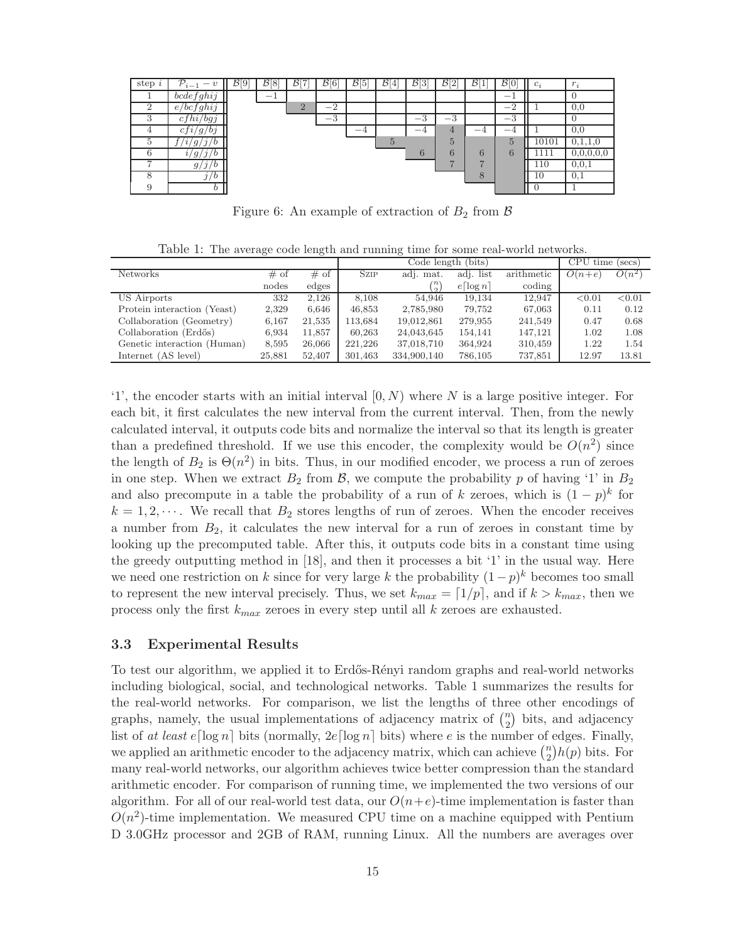| step $i$  | $\mathcal{P}_{i-1}$<br>$\boldsymbol{v}$            | $\mathcal{B}$<br>[9] | $\mathcal{B}[8]$ | $\overline{B}$ [7] | $\mathcal{B}[6]$ | $\mathcal{B}[5]$ | $\mathcal{B}[4]$ | $\mathcal{B}[3]$ | $\overline{B}$ <sup>2</sup> | $\mathcal{B}^{\mathsf{r}}$<br>ᆠ | $\mathcal{B}$ [0] | $c_i$ | $r$ .<br>$\overline{1}$ |
|-----------|----------------------------------------------------|----------------------|------------------|--------------------|------------------|------------------|------------------|------------------|-----------------------------|---------------------------------|-------------------|-------|-------------------------|
|           | bcdefghi j                                         |                      | $-$              |                    |                  |                  |                  |                  |                             |                                 |                   |       |                         |
|           | e/bcfghij                                          |                      |                  | $\Omega$<br>▵      | $-2$             |                  |                  |                  |                             |                                 | $\Omega$<br>— 1   |       | 0.0                     |
| $\cdot$ 1 | $\frac{h_l}{bg_l}$<br>C i                          |                      |                  |                    | $-3$             |                  |                  | $\Omega$<br>ω    | $^{-3}$                     |                                 | $\Omega$<br>-5    |       |                         |
|           | $\overline{g}$<br>b <sub>1</sub><br>$\imath$<br>c: |                      |                  |                    |                  | $-4$             |                  | $-4$             | 4                           | $-4$                            | $-\sqrt{2}$       |       | 0.0                     |
|           | q<br>$\lambda$                                     |                      |                  |                    |                  |                  | 5                |                  | $\overline{5}$              |                                 | $\overline{5}$    | 10101 |                         |
| 6         | $\mathcal{L}$<br>$g_{\scriptscriptstyle I}$        |                      |                  |                    |                  |                  |                  | 6                | 6                           | 6                               | 6                 | 111   |                         |
|           | $\mathcal{L}$<br>' b<br>$g_{\scriptscriptstyle I}$ |                      |                  |                    |                  |                  |                  |                  | ⇁                           | $\overline{ }$                  |                   | 110   | 0.0.1                   |
|           | b                                                  |                      |                  |                    |                  |                  |                  |                  |                             | 8                               |                   | 10    | 0.1                     |
|           |                                                    |                      |                  |                    |                  |                  |                  |                  |                             |                                 |                   |       |                         |

Figure 6: An example of extraction of  $B_2$  from  $\beta$ 

Table 1: The average code length and running time for some real-world networks.

|                             |        |        |             | Code length (bits)  | CPU time<br>$(\sec s)$  |            |          |          |
|-----------------------------|--------|--------|-------------|---------------------|-------------------------|------------|----------|----------|
| <b>Networks</b>             | # of   | # of   | <b>SZIP</b> | adj. mat.           | adj. list               | arithmetic | $O(n+e)$ | $O(n^2)$ |
|                             | nodes  | edges  |             | $\langle n \rangle$ | $e\lceil \log n \rceil$ | coding     |          |          |
| US Airports                 | 332    | 2,126  | 8.108       | 54.946              | 19.134                  | 12.947     | < 0.01   | < 0.01   |
| Protein interaction (Yeast) | 2,329  | 6,646  | 46,853      | 2,785,980           | 79,752                  | 67,063     | 0.11     | 0.12     |
| Collaboration (Geometry)    | 6,167  | 21,535 | 113,684     | 19,012,861          | 279,955                 | 241,549    | 0.47     | 0.68     |
| Collaboration (Erdős)       | 6,934  | 11,857 | 60,263      | 24,043,645          | 154,141                 | 147.121    | 1.02     | 1.08     |
| Genetic interaction (Human) | 8,595  | 26,066 | 221,226     | 37,018,710          | 364,924                 | 310,459    | 1.22     | 1.54     |
| Internet (AS level)         | 25,881 | 52,407 | 301,463     | 334,900,140         | 786,105                 | 737.851    | 12.97    | 13.81    |

'1', the encoder starts with an initial interval  $[0, N)$  where N is a large positive integer. For each bit, it first calculates the new interval from the current interval. Then, from the newly calculated interval, it outputs code bits and normalize the interval so that its length is greater than a predefined threshold. If we use this encoder, the complexity would be  $O(n^2)$  since the length of  $B_2$  is  $\Theta(n^2)$  in bits. Thus, in our modified encoder, we process a run of zeroes in one step. When we extract  $B_2$  from  $\beta$ , we compute the probability p of having '1' in  $B_2$ and also precompute in a table the probability of a run of k zeroes, which is  $(1-p)^k$  for  $k = 1, 2, \cdots$ . We recall that  $B_2$  stores lengths of run of zeroes. When the encoder receives a number from  $B_2$ , it calculates the new interval for a run of zeroes in constant time by looking up the precomputed table. After this, it outputs code bits in a constant time using the greedy outputting method in [18], and then it processes a bit '1' in the usual way. Here we need one restriction on k since for very large k the probability  $(1-p)^k$  becomes too small to represent the new interval precisely. Thus, we set  $k_{max} = \lfloor 1/p \rfloor$ , and if  $k > k_{max}$ , then we process only the first  $k_{max}$  zeroes in every step until all k zeroes are exhausted.

#### 3.3 Experimental Results

To test our algorithm, we applied it to Erdős-Rényi random graphs and real-world networks including biological, social, and technological networks. Table 1 summarizes the results for the real-world networks. For comparison, we list the lengths of three other encodings of graphs, namely, the usual implementations of adjacency matrix of  $\binom{n}{2}$  $\binom{n}{2}$  bits, and adjacency list of at least  $e[\log n]$  bits (normally,  $2e[\log n]$  bits) where e is the number of edges. Finally, we applied an arithmetic encoder to the adjacency matrix, which can achieve  $\binom{n}{2}$  $n \choose 2$  *h*(*p*) bits. For many real-world networks, our algorithm achieves twice better compression than the standard arithmetic encoder. For comparison of running time, we implemented the two versions of our algorithm. For all of our real-world test data, our  $O(n+e)$ -time implementation is faster than  $O(n^2)$ -time implementation. We measured CPU time on a machine equipped with Pentium D 3.0GHz processor and 2GB of RAM, running Linux. All the numbers are averages over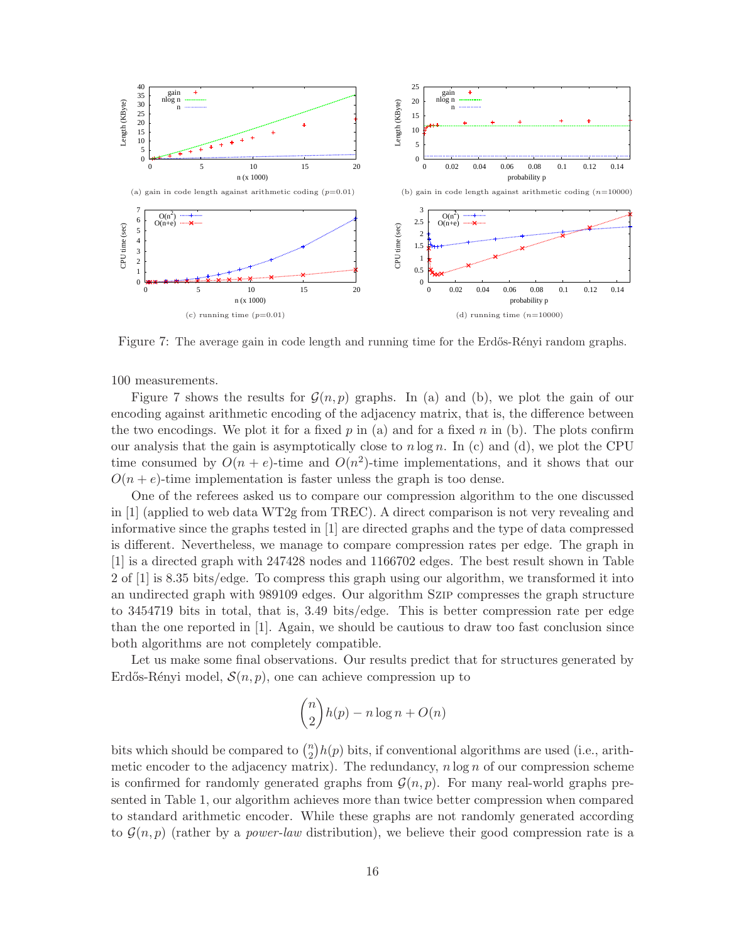

Figure 7: The average gain in code length and running time for the Erdős-Rényi random graphs.

100 measurements.

Figure 7 shows the results for  $\mathcal{G}(n, p)$  graphs. In (a) and (b), we plot the gain of our encoding against arithmetic encoding of the adjacency matrix, that is, the difference between the two encodings. We plot it for a fixed p in (a) and for a fixed n in (b). The plots confirm our analysis that the gain is asymptotically close to  $n \log n$ . In (c) and (d), we plot the CPU time consumed by  $O(n + e)$ -time and  $O(n^2)$ -time implementations, and it shows that our  $O(n + e)$ -time implementation is faster unless the graph is too dense.

One of the referees asked us to compare our compression algorithm to the one discussed in [1] (applied to web data WT2g from TREC). A direct comparison is not very revealing and informative since the graphs tested in [1] are directed graphs and the type of data compressed is different. Nevertheless, we manage to compare compression rates per edge. The graph in [1] is a directed graph with 247428 nodes and 1166702 edges. The best result shown in Table 2 of [1] is 8.35 bits/edge. To compress this graph using our algorithm, we transformed it into an undirected graph with 989109 edges. Our algorithm Szip compresses the graph structure to 3454719 bits in total, that is, 3.49 bits/edge. This is better compression rate per edge than the one reported in [1]. Again, we should be cautious to draw too fast conclusion since both algorithms are not completely compatible.

Let us make some final observations. Our results predict that for structures generated by Erdős-Rényi model,  $\mathcal{S}(n, p)$ , one can achieve compression up to

$$
\binom{n}{2}h(p) - n\log n + O(n)
$$

bits which should be compared to  $\binom{n}{2}$  $\binom{n}{2}h(p)$  bits, if conventional algorithms are used (i.e., arithmetic encoder to the adjacency matrix). The redundancy,  $n \log n$  of our compression scheme is confirmed for randomly generated graphs from  $\mathcal{G}(n, p)$ . For many real-world graphs presented in Table 1, our algorithm achieves more than twice better compression when compared to standard arithmetic encoder. While these graphs are not randomly generated according to  $\mathcal{G}(n, p)$  (rather by a *power-law* distribution), we believe their good compression rate is a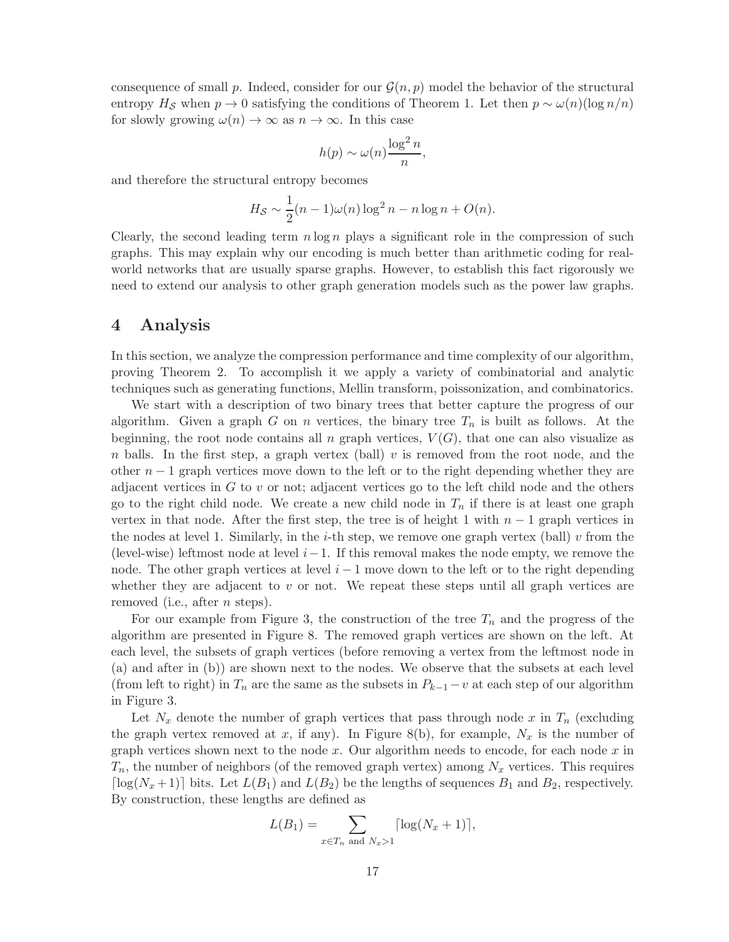consequence of small p. Indeed, consider for our  $\mathcal{G}(n, p)$  model the behavior of the structural entropy  $H_{\mathcal{S}}$  when  $p \to 0$  satisfying the conditions of Theorem 1. Let then  $p \sim \omega(n)(\log n/n)$ for slowly growing  $\omega(n) \to \infty$  as  $n \to \infty$ . In this case

$$
h(p) \sim \omega(n) \frac{\log^2 n}{n},
$$

and therefore the structural entropy becomes

$$
H_{\mathcal{S}} \sim \frac{1}{2}(n-1)\omega(n)\log^2 n - n\log n + O(n).
$$

Clearly, the second leading term  $n \log n$  plays a significant role in the compression of such graphs. This may explain why our encoding is much better than arithmetic coding for realworld networks that are usually sparse graphs. However, to establish this fact rigorously we need to extend our analysis to other graph generation models such as the power law graphs.

## 4 Analysis

In this section, we analyze the compression performance and time complexity of our algorithm, proving Theorem 2. To accomplish it we apply a variety of combinatorial and analytic techniques such as generating functions, Mellin transform, poissonization, and combinatorics.

We start with a description of two binary trees that better capture the progress of our algorithm. Given a graph G on n vertices, the binary tree  $T_n$  is built as follows. At the beginning, the root node contains all n graph vertices,  $V(G)$ , that one can also visualize as n balls. In the first step, a graph vertex (ball) v is removed from the root node, and the other  $n-1$  graph vertices move down to the left or to the right depending whether they are adjacent vertices in  $G$  to  $v$  or not; adjacent vertices go to the left child node and the others go to the right child node. We create a new child node in  $T_n$  if there is at least one graph vertex in that node. After the first step, the tree is of height 1 with  $n-1$  graph vertices in the nodes at level 1. Similarly, in the *i*-th step, we remove one graph vertex (ball) v from the (level-wise) leftmost node at level  $i-1$ . If this removal makes the node empty, we remove the node. The other graph vertices at level  $i - 1$  move down to the left or to the right depending whether they are adjacent to v or not. We repeat these steps until all graph vertices are removed (i.e., after *n* steps).

For our example from Figure 3, the construction of the tree  $T_n$  and the progress of the algorithm are presented in Figure 8. The removed graph vertices are shown on the left. At each level, the subsets of graph vertices (before removing a vertex from the leftmost node in (a) and after in (b)) are shown next to the nodes. We observe that the subsets at each level (from left to right) in  $T_n$  are the same as the subsets in  $P_{k-1}-v$  at each step of our algorithm in Figure 3.

Let  $N_x$  denote the number of graph vertices that pass through node x in  $T_n$  (excluding the graph vertex removed at x, if any). In Figure 8(b), for example,  $N_x$  is the number of graph vertices shown next to the node  $x$ . Our algorithm needs to encode, for each node  $x$  in  $T_n$ , the number of neighbors (of the removed graph vertex) among  $N_x$  vertices. This requires [ $log(N_x+1)$ ] bits. Let  $L(B_1)$  and  $L(B_2)$  be the lengths of sequences  $B_1$  and  $B_2$ , respectively. By construction, these lengths are defined as

$$
L(B_1) = \sum_{x \in T_n \text{ and } N_x > 1} \lceil \log(N_x + 1) \rceil,
$$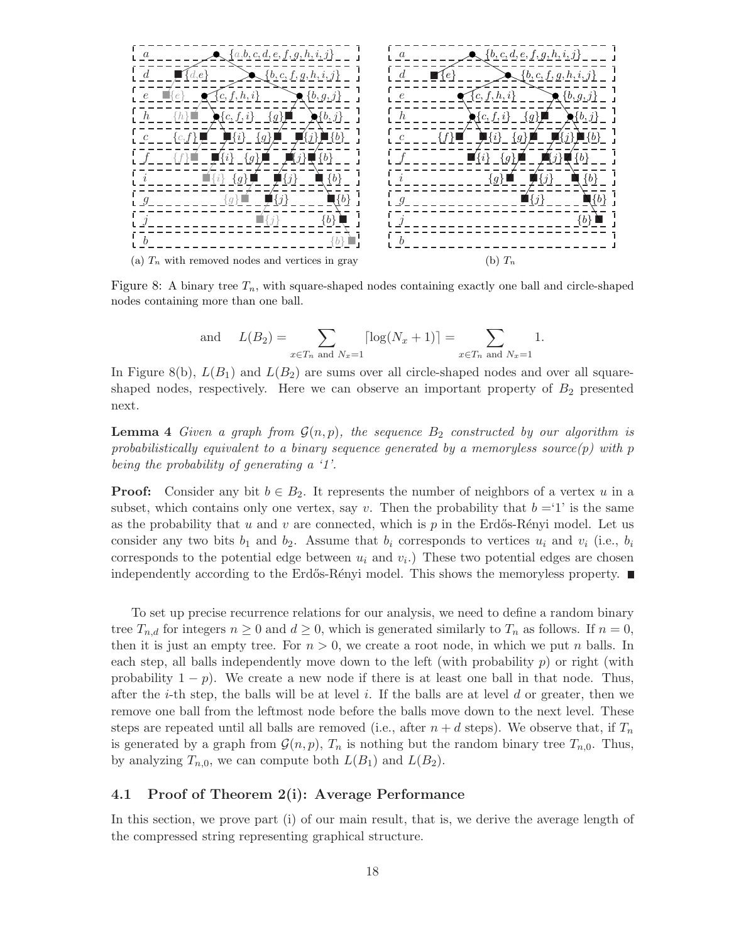

Figure 8: A binary tree  $T_n$ , with square-shaped nodes containing exactly one ball and circle-shaped nodes containing more than one ball.

and 
$$
L(B_2) = \sum_{x \in T_n \text{ and } N_x = 1} \lceil \log(N_x + 1) \rceil = \sum_{x \in T_n \text{ and } N_x = 1} 1.
$$

In Figure 8(b),  $L(B_1)$  and  $L(B_2)$  are sums over all circle-shaped nodes and over all squareshaped nodes, respectively. Here we can observe an important property of  $B_2$  presented next.

**Lemma 4** Given a graph from  $\mathcal{G}(n, p)$ , the sequence  $B_2$  constructed by our algorithm is probabilistically equivalent to a binary sequence generated by a memoryless source $(p)$  with p being the probability of generating a '1'.

**Proof:** Consider any bit  $b \in B_2$ . It represents the number of neighbors of a vertex u in a subset, which contains only one vertex, say v. Then the probability that  $b = 1$  is the same as the probability that u and v are connected, which is  $p$  in the Erdős-Rényi model. Let us consider any two bits  $b_1$  and  $b_2$ . Assume that  $b_i$  corresponds to vertices  $u_i$  and  $v_i$  (i.e.,  $b_i$ corresponds to the potential edge between  $u_i$  and  $v_i$ . These two potential edges are chosen independently according to the Erdős-Rényi model. This shows the memoryless property.  $\blacksquare$ 

To set up precise recurrence relations for our analysis, we need to define a random binary tree  $T_{n,d}$  for integers  $n \geq 0$  and  $d \geq 0$ , which is generated similarly to  $T_n$  as follows. If  $n = 0$ , then it is just an empty tree. For  $n > 0$ , we create a root node, in which we put n balls. In each step, all balls independently move down to the left (with probability  $p$ ) or right (with probability  $1 - p$ ). We create a new node if there is at least one ball in that node. Thus, after the *i*-th step, the balls will be at level i. If the balls are at level d or greater, then we remove one ball from the leftmost node before the balls move down to the next level. These steps are repeated until all balls are removed (i.e., after  $n + d$  steps). We observe that, if  $T_n$ is generated by a graph from  $\mathcal{G}(n, p)$ ,  $T_n$  is nothing but the random binary tree  $T_{n,0}$ . Thus, by analyzing  $T_{n,0}$ , we can compute both  $L(B_1)$  and  $L(B_2)$ .

#### 4.1 Proof of Theorem 2(i): Average Performance

In this section, we prove part (i) of our main result, that is, we derive the average length of the compressed string representing graphical structure.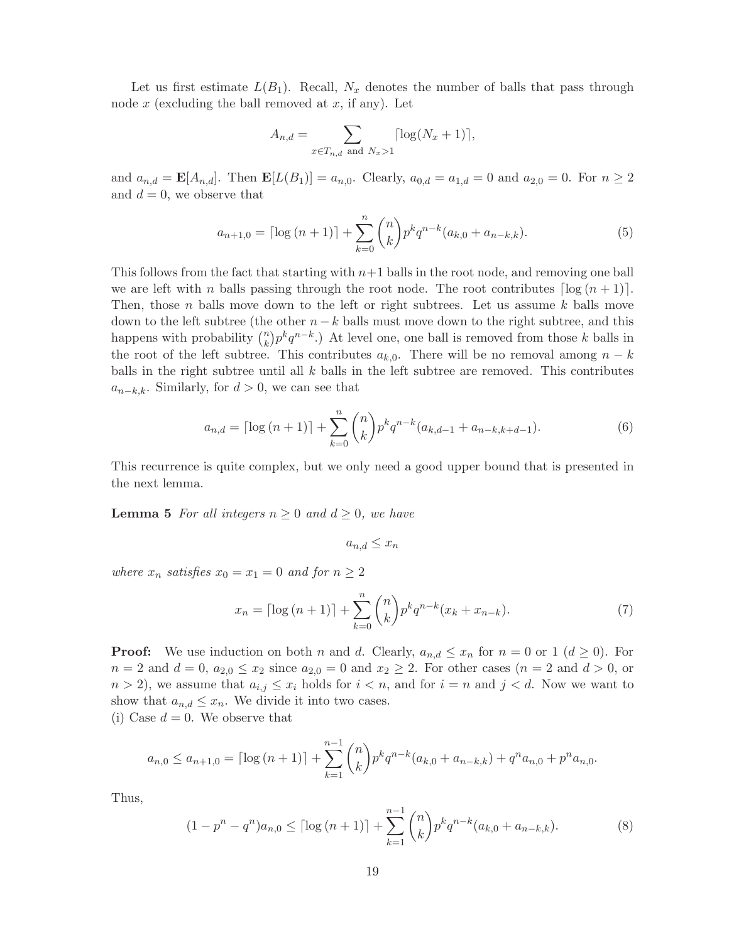Let us first estimate  $L(B_1)$ . Recall,  $N_x$  denotes the number of balls that pass through node  $x$  (excluding the ball removed at  $x$ , if any). Let

$$
A_{n,d} = \sum_{x \in T_{n,d} \text{ and } N_x > 1} \lceil \log(N_x + 1) \rceil,
$$

and  $a_{n,d} = \mathbf{E}[A_{n,d}]$ . Then  $\mathbf{E}[L(B_1)] = a_{n,0}$ . Clearly,  $a_{0,d} = a_{1,d} = 0$  and  $a_{2,0} = 0$ . For  $n \ge 2$ and  $d = 0$ , we observe that

$$
a_{n+1,0} = \lceil \log (n+1) \rceil + \sum_{k=0}^{n} \binom{n}{k} p^k q^{n-k} (a_{k,0} + a_{n-k,k}). \tag{5}
$$

This follows from the fact that starting with  $n+1$  balls in the root node, and removing one ball we are left with n balls passing through the root node. The root contributes  $\lceil \log(n+1) \rceil$ . Then, those n balls move down to the left or right subtrees. Let us assume  $k$  balls move down to the left subtree (the other  $n - k$  balls must move down to the right subtree, and this happens with probability  $\binom{n}{k}$  $\binom{n}{k} p^k q^{n-k}$ .) At level one, one ball is removed from those k balls in the root of the left subtree. This contributes  $a_{k,0}$ . There will be no removal among  $n - k$ balls in the right subtree until all  $k$  balls in the left subtree are removed. This contributes  $a_{n-k,k}$ . Similarly, for  $d > 0$ , we can see that

$$
a_{n,d} = \lceil \log (n+1) \rceil + \sum_{k=0}^{n} \binom{n}{k} p^k q^{n-k} (a_{k,d-1} + a_{n-k,k+d-1}). \tag{6}
$$

This recurrence is quite complex, but we only need a good upper bound that is presented in the next lemma.

**Lemma 5** For all integers  $n \geq 0$  and  $d \geq 0$ , we have

$$
a_{n,d} \le x_n
$$

where  $x_n$  satisfies  $x_0 = x_1 = 0$  and for  $n \geq 2$ 

$$
x_n = \lceil \log(n+1) \rceil + \sum_{k=0}^n \binom{n}{k} p^k q^{n-k} (x_k + x_{n-k}). \tag{7}
$$

**Proof:** We use induction on both n and d. Clearly,  $a_{n,d} \leq x_n$  for  $n = 0$  or 1  $(d \geq 0)$ . For  $n = 2$  and  $d = 0$ ,  $a_{2,0} \le x_2$  since  $a_{2,0} = 0$  and  $x_2 \ge 2$ . For other cases  $(n = 2 \text{ and } d > 0)$ , or  $n > 2$ , we assume that  $a_{i,j} \leq x_i$  holds for  $i < n$ , and for  $i = n$  and  $j < d$ . Now we want to show that  $a_{n,d} \leq x_n$ . We divide it into two cases.

(i) Case  $d = 0$ . We observe that

$$
a_{n,0} \le a_{n+1,0} = \lceil \log{(n+1)} \rceil + \sum_{k=1}^{n-1} {n \choose k} p^k q^{n-k} (a_{k,0} + a_{n-k,k}) + q^n a_{n,0} + p^n a_{n,0}.
$$

Thus,

$$
(1 - pn - qn)an,0 \leq \lceil \log (n+1) \rceil + \sum_{k=1}^{n-1} {n \choose k} p^k q^{n-k} (a_{k,0} + a_{n-k,k}).
$$
 (8)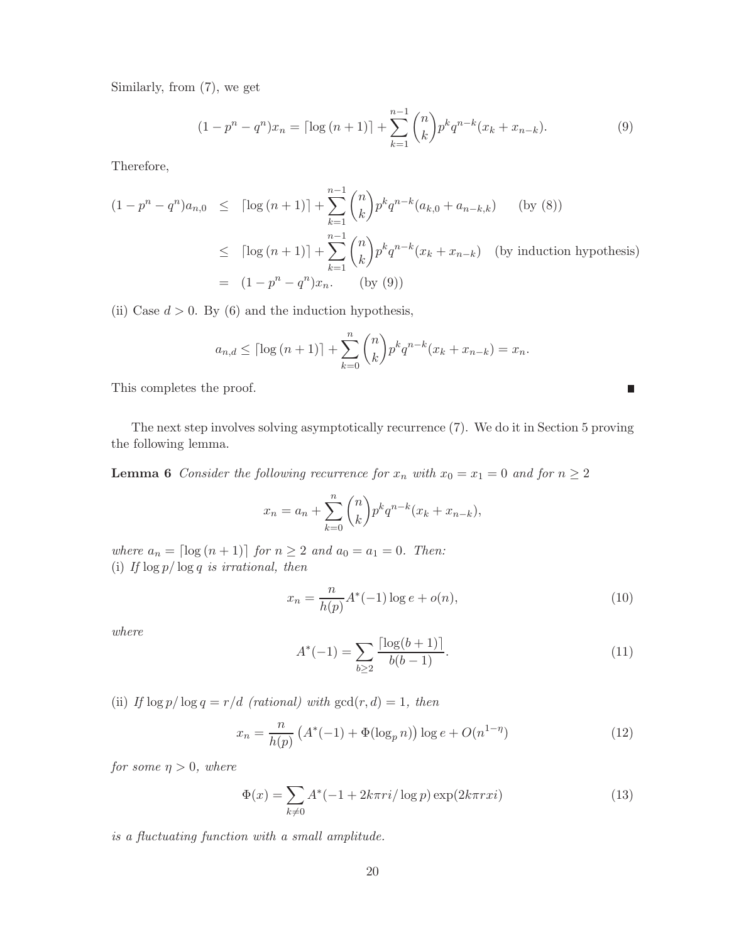Similarly, from (7), we get

$$
(1 - pn - qn)xn = \lceil \log (n + 1) \rceil + \sum_{k=1}^{n-1} {n \choose k} p^k q^{n-k} (x_k + x_{n-k}).
$$
 (9)

Therefore,

$$
(1 - p^{n} - q^{n})a_{n,0} \leq \left[ \log (n+1) \right] + \sum_{k=1}^{n-1} {n \choose k} p^{k} q^{n-k} (a_{k,0} + a_{n-k,k}) \qquad \text{(by (8))}
$$
  

$$
\leq \left[ \log (n+1) \right] + \sum_{k=1}^{n-1} {n \choose k} p^{k} q^{n-k} (x_{k} + x_{n-k}) \qquad \text{(by induction hypothesis)}
$$
  

$$
= (1 - p^{n} - q^{n})x_{n}. \qquad \text{(by (9))}
$$

(ii) Case  $d > 0$ . By (6) and the induction hypothesis,

$$
a_{n,d} \leq \lceil \log (n+1) \rceil + \sum_{k=0}^{n} {n \choose k} p^k q^{n-k} (x_k + x_{n-k}) = x_n.
$$

This completes the proof.

The next step involves solving asymptotically recurrence (7). We do it in Section 5 proving the following lemma.

**Lemma 6** Consider the following recurrence for  $x_n$  with  $x_0 = x_1 = 0$  and for  $n \geq 2$ 

$$
x_n = a_n + \sum_{k=0}^n \binom{n}{k} p^k q^{n-k} (x_k + x_{n-k}),
$$

where  $a_n = \lceil \log (n + 1) \rceil$  for  $n \ge 2$  and  $a_0 = a_1 = 0$ . Then: (i) If  $\log p / \log q$  is irrational, then

$$
x_n = \frac{n}{h(p)} A^*(-1) \log e + o(n),
$$
\n(10)

 $\overline{\phantom{a}}$ 

where

$$
A^*(-1) = \sum_{b \ge 2} \frac{\lceil \log(b+1) \rceil}{b(b-1)}.
$$
\n(11)

(ii) If  $\log p / \log q = r/d$  (rational) with  $gcd(r, d) = 1$ , then

$$
x_n = \frac{n}{h(p)} \left( A^*(-1) + \Phi(\log_p n) \right) \log e + O(n^{1-\eta}) \tag{12}
$$

for some  $\eta > 0$ , where

$$
\Phi(x) = \sum_{k \neq 0} A^*(-1 + 2k\pi ri/\log p) \exp(2k\pi rxi)
$$
\n(13)

is a fluctuating function with a small amplitude.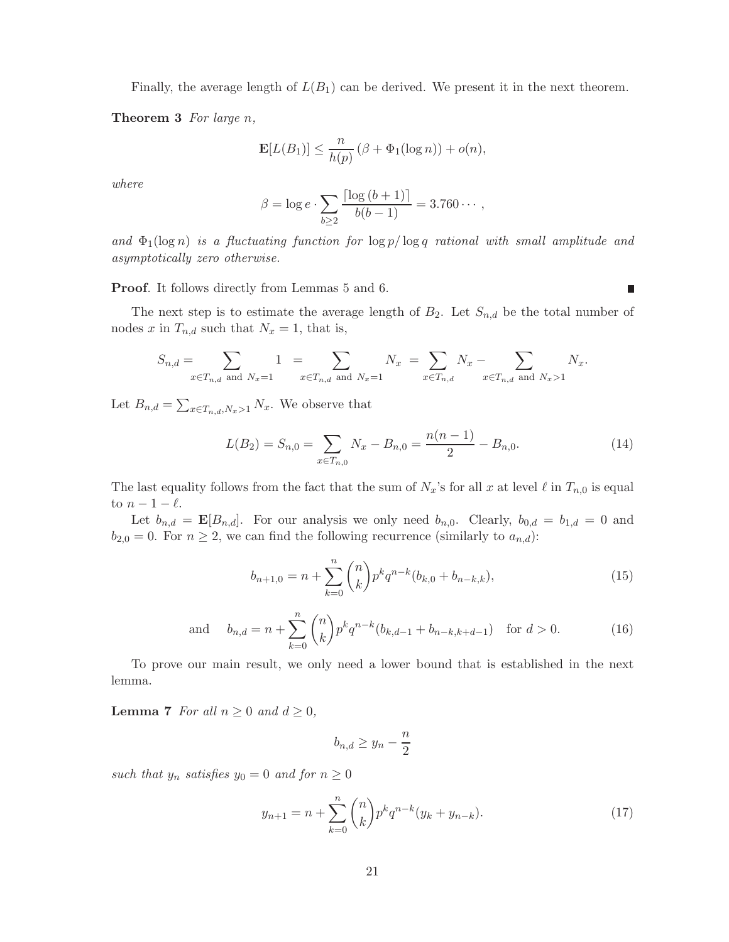Finally, the average length of  $L(B_1)$  can be derived. We present it in the next theorem.

**Theorem 3** For large  $n$ ,

$$
\mathbf{E}[L(B_1)] \le \frac{n}{h(p)} (\beta + \Phi_1(\log n)) + o(n),
$$

where

$$
\beta = \log e \cdot \sum_{b \ge 2} \frac{\lceil \log (b+1) \rceil}{b(b-1)} = 3.760 \cdots,
$$

and  $\Phi_1(\log n)$  is a fluctuating function for  $\log p/\log q$  rational with small amplitude and asymptotically zero otherwise.

Proof. It follows directly from Lemmas 5 and 6.

The next step is to estimate the average length of  $B_2$ . Let  $S_{n,d}$  be the total number of nodes x in  $T_{n,d}$  such that  $N_x = 1$ , that is,

$$
S_{n,d} = \sum_{x \in T_{n,d} \text{ and } N_x = 1} 1 = \sum_{x \in T_{n,d} \text{ and } N_x = 1} N_x = \sum_{x \in T_{n,d}} N_x - \sum_{x \in T_{n,d} \text{ and } N_x > 1} N_x.
$$

Let  $B_{n,d} = \sum_{x \in T_{n,d}, N_x > 1} N_x$ . We observe that

$$
L(B_2) = S_{n,0} = \sum_{x \in T_{n,0}} N_x - B_{n,0} = \frac{n(n-1)}{2} - B_{n,0}.
$$
 (14)

 $\overline{\phantom{a}}$ 

The last equality follows from the fact that the sum of  $N_x$ 's for all x at level  $\ell$  in  $T_{n,0}$  is equal to  $n-1-\ell$ .

Let  $b_{n,d} = \mathbf{E}[B_{n,d}]$ . For our analysis we only need  $b_{n,0}$ . Clearly,  $b_{0,d} = b_{1,d} = 0$  and  $b_{2,0} = 0$ . For  $n \geq 2$ , we can find the following recurrence (similarly to  $a_{n,d}$ ):

$$
b_{n+1,0} = n + \sum_{k=0}^{n} \binom{n}{k} p^k q^{n-k} (b_{k,0} + b_{n-k,k}),
$$
\n(15)

and 
$$
b_{n,d} = n + \sum_{k=0}^{n} {n \choose k} p^k q^{n-k} (b_{k,d-1} + b_{n-k,k+d-1})
$$
 for  $d > 0$ . (16)

To prove our main result, we only need a lower bound that is established in the next lemma.

**Lemma 7** For all  $n \geq 0$  and  $d \geq 0$ ,

$$
b_{n,d} \ge y_n - \frac{n}{2}
$$

such that  $y_n$  satisfies  $y_0 = 0$  and for  $n \geq 0$ 

$$
y_{n+1} = n + \sum_{k=0}^{n} {n \choose k} p^k q^{n-k} (y_k + y_{n-k}).
$$
 (17)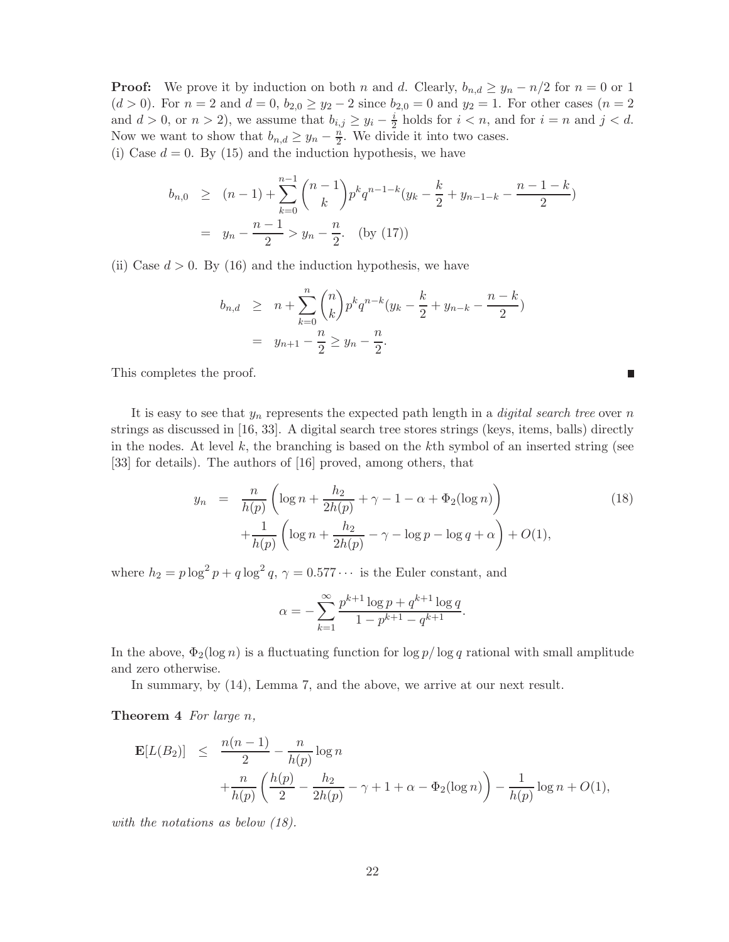**Proof:** We prove it by induction on both n and d. Clearly,  $b_{n,d} \geq y_n - n/2$  for  $n = 0$  or 1  $(d > 0)$ . For  $n = 2$  and  $d = 0$ ,  $b_{2,0} \ge y_2 - 2$  since  $b_{2,0} = 0$  and  $y_2 = 1$ . For other cases  $(n = 2)$ and  $d > 0$ , or  $n > 2$ ), we assume that  $b_{i,j} \ge y_i - \frac{i}{2}$  $\frac{i}{2}$  holds for  $i < n$ , and for  $i = n$  and  $j < d$ . Now we want to show that  $b_{n,d} \ge y_n - \frac{n}{2}$ . We divide it into two cases. (i) Case  $d = 0$ . By (15) and the induction hypothesis, we have

$$
b_{n,0} \ge (n-1) + \sum_{k=0}^{n-1} {n-1 \choose k} p^k q^{n-1-k} (y_k - \frac{k}{2} + y_{n-1-k} - \frac{n-1-k}{2})
$$
  
=  $y_n - \frac{n-1}{2} > y_n - \frac{n}{2}$ . (by (17))

(ii) Case  $d > 0$ . By (16) and the induction hypothesis, we have

$$
b_{n,d} \geq n + \sum_{k=0}^{n} {n \choose k} p^k q^{n-k} (y_k - \frac{k}{2} + y_{n-k} - \frac{n-k}{2})
$$
  
=  $y_{n+1} - \frac{n}{2} \geq y_n - \frac{n}{2}.$ 

This completes the proof.

It is easy to see that  $y_n$  represents the expected path length in a *digital search tree* over n strings as discussed in [16, 33]. A digital search tree stores strings (keys, items, balls) directly in the nodes. At level  $k$ , the branching is based on the kth symbol of an inserted string (see [33] for details). The authors of [16] proved, among others, that

$$
y_n = \frac{n}{h(p)} \left( \log n + \frac{h_2}{2h(p)} + \gamma - 1 - \alpha + \Phi_2(\log n) \right) + \frac{1}{h(p)} \left( \log n + \frac{h_2}{2h(p)} - \gamma - \log p - \log q + \alpha \right) + O(1),
$$
\n(18)

 $\overline{\phantom{a}}$ 

where  $h_2 = p \log^2 p + q \log^2 q$ ,  $\gamma = 0.577 \cdots$  is the Euler constant, and

$$
\alpha = -\sum_{k=1}^{\infty} \frac{p^{k+1} \log p + q^{k+1} \log q}{1 - p^{k+1} - q^{k+1}}.
$$

In the above,  $\Phi_2(\log n)$  is a fluctuating function for  $\log p/\log q$  rational with small amplitude and zero otherwise.

In summary, by (14), Lemma 7, and the above, we arrive at our next result.

**Theorem 4** For large  $n$ ,

$$
\mathbf{E}[L(B_2)] \leq \frac{n(n-1)}{2} - \frac{n}{h(p)} \log n + \frac{n}{h(p)} \left(\frac{h(p)}{2} - \frac{h_2}{2h(p)} - \gamma + 1 + \alpha - \Phi_2(\log n)\right) - \frac{1}{h(p)} \log n + O(1),
$$

with the notations as below  $(18)$ .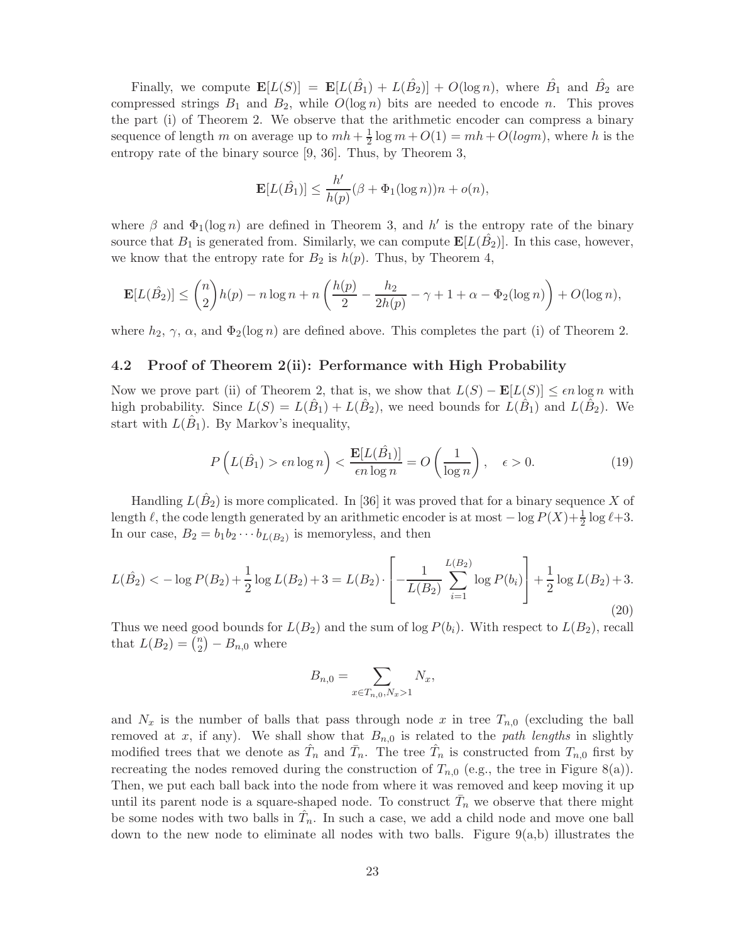Finally, we compute  $\mathbf{E}[L(S)] = \mathbf{E}[L(\hat{B}_1) + L(\hat{B}_2)] + O(\log n)$ , where  $\hat{B}_1$  and  $\hat{B}_2$  are compressed strings  $B_1$  and  $B_2$ , while  $O(\log n)$  bits are needed to encode n. This proves the part (i) of Theorem 2. We observe that the arithmetic encoder can compress a binary sequence of length m on average up to  $mh + \frac{1}{2} \log m + O(1) = mh + O(logm)$ , where h is the entropy rate of the binary source [9, 36]. Thus, by Theorem 3,

$$
\mathbf{E}[L(\hat{B}_1)] \leq \frac{h'}{h(p)}(\beta + \Phi_1(\log n))n + o(n),
$$

where  $\beta$  and  $\Phi_1(\log n)$  are defined in Theorem 3, and h' is the entropy rate of the binary source that  $B_1$  is generated from. Similarly, we can compute  $\mathbf{E}[L(\hat{B_2})]$ . In this case, however, we know that the entropy rate for  $B_2$  is  $h(p)$ . Thus, by Theorem 4,

$$
\mathbf{E}[L(\hat{B}_2)] \leq {n \choose 2}h(p) - n\log n + n\left(\frac{h(p)}{2} - \frac{h_2}{2h(p)} - \gamma + 1 + \alpha - \Phi_2(\log n)\right) + O(\log n),
$$

where  $h_2$ ,  $\gamma$ ,  $\alpha$ , and  $\Phi_2(\log n)$  are defined above. This completes the part (i) of Theorem 2.

### 4.2 Proof of Theorem 2(ii): Performance with High Probability

Now we prove part (ii) of Theorem 2, that is, we show that  $L(S) - \mathbf{E}[L(S)] \leq \epsilon n \log n$  with high probability. Since  $L(S) = L(\hat{B}_1) + L(\hat{B}_2)$ , we need bounds for  $L(\hat{B}_1)$  and  $L(\hat{B}_2)$ . We start with  $L(\hat{B}_1)$ . By Markov's inequality,

$$
P\left(L(\hat{B}_1) > \epsilon n \log n\right) < \frac{\mathbf{E}[L(\hat{B}_1)]}{\epsilon n \log n} = O\left(\frac{1}{\log n}\right), \quad \epsilon > 0.
$$
 (19)

Handling  $L(\hat{B}_2)$  is more complicated. In [36] it was proved that for a binary sequence X of length  $\ell$ , the code length generated by an arithmetic encoder is at most  $-\log P(X) + \frac{1}{2} \log \ell + 3$ . In our case,  $B_2 = b_1 b_2 \cdots b_{L(B_2)}$  is memoryless, and then

$$
L(\hat{B}_2) < -\log P(B_2) + \frac{1}{2}\log L(B_2) + 3 = L(B_2) \cdot \left[ -\frac{1}{L(B_2)} \sum_{i=1}^{L(B_2)} \log P(b_i) \right] + \frac{1}{2}\log L(B_2) + 3.
$$
\n(20)

Thus we need good bounds for  $L(B_2)$  and the sum of log  $P(b_i)$ . With respect to  $L(B_2)$ , recall that  $L(B_2) = \binom{n}{2}$  $\binom{n}{2} - B_{n,0}$  where

$$
B_{n,0} = \sum_{x \in T_{n,0}, N_x > 1} N_x,
$$

and  $N_x$  is the number of balls that pass through node x in tree  $T_{n,0}$  (excluding the ball removed at x, if any). We shall show that  $B_{n,0}$  is related to the path lengths in slightly modified trees that we denote as  $\hat{T}_n$  and  $\bar{T}_n$ . The tree  $\hat{T}_n$  is constructed from  $T_{n,0}$  first by recreating the nodes removed during the construction of  $T_{n,0}$  (e.g., the tree in Figure 8(a)). Then, we put each ball back into the node from where it was removed and keep moving it up until its parent node is a square-shaped node. To construct  $\bar{T}_n$  we observe that there might be some nodes with two balls in  $\hat{T}_n$ . In such a case, we add a child node and move one ball down to the new node to eliminate all nodes with two balls. Figure 9(a,b) illustrates the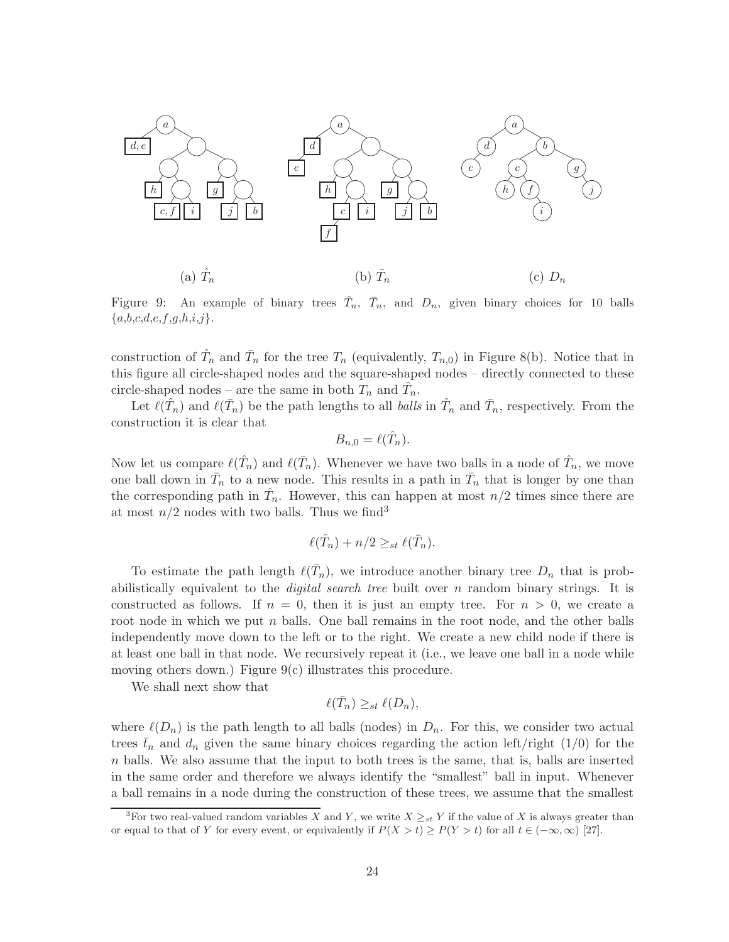

Figure 9: An example of binary trees  $\hat{T}_n$ ,  $\bar{T}_n$ , and  $D_n$ , given binary choices for 10 balls  ${a,b,c,d,e,f,g,h,i,j}.$ 

construction of  $\hat{T}_n$  and  $\bar{T}_n$  for the tree  $T_n$  (equivalently,  $T_{n,0}$ ) in Figure 8(b). Notice that in this figure all circle-shaped nodes and the square-shaped nodes – directly connected to these circle-shaped nodes – are the same in both  $T_n$  and  $\hat{T}_n$ .

Let  $\ell(\hat{T}_n)$  and  $\ell(\bar{T}_n)$  be the path lengths to all *balls* in  $\hat{T}_n$  and  $\bar{T}_n$ , respectively. From the construction it is clear that

$$
B_{n,0} = \ell(\hat{T}_n).
$$

Now let us compare  $\ell(\hat{T}_n)$  and  $\ell(\bar{T}_n)$ . Whenever we have two balls in a node of  $\hat{T}_n$ , we move one ball down in  $\bar{T}_n$  to a new node. This results in a path in  $\bar{T}_n$  that is longer by one than the corresponding path in  $\hat{T}_n$ . However, this can happen at most  $n/2$  times since there are at most  $n/2$  nodes with two balls. Thus we find<sup>3</sup>

$$
\ell(\hat{T}_n) + n/2 \geq_{st} \ell(\bar{T}_n).
$$

To estimate the path length  $\ell(\bar{T}_n)$ , we introduce another binary tree  $D_n$  that is probabilistically equivalent to the *digital search tree* built over  $n$  random binary strings. It is constructed as follows. If  $n = 0$ , then it is just an empty tree. For  $n > 0$ , we create a root node in which we put  $n$  balls. One ball remains in the root node, and the other balls independently move down to the left or to the right. We create a new child node if there is at least one ball in that node. We recursively repeat it (i.e., we leave one ball in a node while moving others down.) Figure  $9(c)$  illustrates this procedure.

We shall next show that

$$
\ell(\bar{T}_n) \geq_{st} \ell(D_n),
$$

where  $\ell(D_n)$  is the path length to all balls (nodes) in  $D_n$ . For this, we consider two actual trees  $\bar{t}_n$  and  $d_n$  given the same binary choices regarding the action left/right (1/0) for the  $n$  balls. We also assume that the input to both trees is the same, that is, balls are inserted in the same order and therefore we always identify the "smallest" ball in input. Whenever a ball remains in a node during the construction of these trees, we assume that the smallest

<sup>&</sup>lt;sup>3</sup>For two real-valued random variables X and Y, we write  $X \geq_{st} Y$  if the value of X is always greater than or equal to that of Y for every event, or equivalently if  $P(X > t) \ge P(Y > t)$  for all  $t \in (-\infty, \infty)$  [27].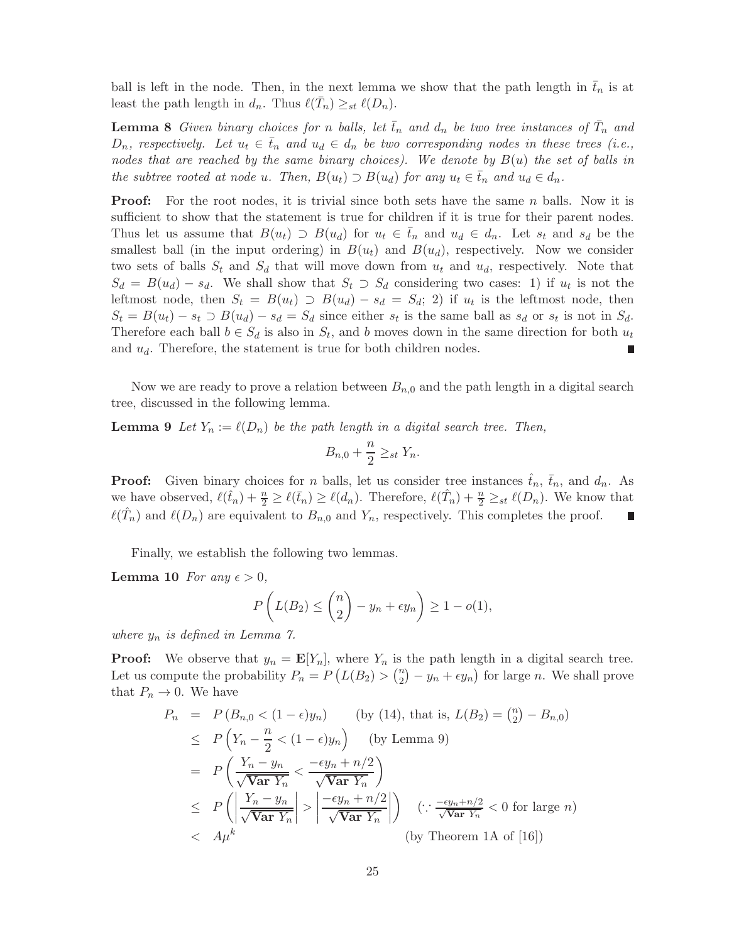ball is left in the node. Then, in the next lemma we show that the path length in  $\bar{t}_n$  is at least the path length in  $d_n$ . Thus  $\ell(\bar{T}_n) \geq_{st} \ell(D_n)$ .

**Lemma 8** Given binary choices for n balls, let  $\bar{t}_n$  and  $d_n$  be two tree instances of  $\bar{T}_n$  and  $D_n$ , respectively. Let  $u_t \in \bar{t}_n$  and  $u_d \in d_n$  be two corresponding nodes in these trees (i.e., nodes that are reached by the same binary choices). We denote by  $B(u)$  the set of balls in the subtree rooted at node u. Then,  $B(u_t) \supset B(u_d)$  for any  $u_t \in \overline{t}_n$  and  $u_d \in d_n$ .

**Proof:** For the root nodes, it is trivial since both sets have the same n balls. Now it is sufficient to show that the statement is true for children if it is true for their parent nodes. Thus let us assume that  $B(u_t) \supset B(u_d)$  for  $u_t \in \overline{t}_n$  and  $u_d \in d_n$ . Let  $s_t$  and  $s_d$  be the smallest ball (in the input ordering) in  $B(u_t)$  and  $B(u_d)$ , respectively. Now we consider two sets of balls  $S_t$  and  $S_d$  that will move down from  $u_t$  and  $u_d$ , respectively. Note that  $S_d = B(u_d) - s_d$ . We shall show that  $S_t \supset S_d$  considering two cases: 1) if  $u_t$  is not the leftmost node, then  $S_t = B(u_t) \supset B(u_d) - s_d = S_d$ ; 2) if  $u_t$  is the leftmost node, then  $S_t = B(u_t) - s_t \supset B(u_d) - s_d = S_d$  since either  $s_t$  is the same ball as  $s_d$  or  $s_t$  is not in  $S_d$ . Therefore each ball  $b \in S_d$  is also in  $S_t$ , and b moves down in the same direction for both  $u_t$ and  $u_d$ . Therefore, the statement is true for both children nodes. г

Now we are ready to prove a relation between  $B_{n,0}$  and the path length in a digital search tree, discussed in the following lemma.

**Lemma 9** Let  $Y_n := \ell(D_n)$  be the path length in a digital search tree. Then,

$$
B_{n,0} + \frac{n}{2} \geq_{st} Y_n.
$$

**Proof:** Given binary choices for n balls, let us consider tree instances  $\hat{t}_n$ ,  $\bar{t}_n$ , and  $d_n$ . As we have observed,  $\ell(\hat{t}_n) + \frac{n}{2} \geq \ell(\bar{t}_n) \geq \ell(d_n)$ . Therefore,  $\ell(\hat{T}_n) + \frac{n}{2} \geq_{st} \ell(D_n)$ . We know that  $\ell(\hat{T}_n)$  and  $\ell(D_n)$  are equivalent to  $B_{n,0}$  and  $Y_n$ , respectively. This completes the proof. Ш

Finally, we establish the following two lemmas.

**Lemma 10** For any  $\epsilon > 0$ ,

$$
P\left(L(B_2) \leq {n \choose 2} - y_n + \epsilon y_n\right) \geq 1 - o(1),
$$

where  $y_n$  is defined in Lemma 7.

**Proof:** We observe that  $y_n = \mathbf{E}[Y_n]$ , where  $Y_n$  is the path length in a digital search tree. Let us compute the probability  $P_n = P(L(B_2) > \binom{n}{2})$  $\binom{n}{2} - y_n + \epsilon y_n$  for large *n*. We shall prove that  $P_n \to 0$ . We have

$$
P_n = P(B_{n,0} < (1 - \epsilon)y_n) \qquad \text{(by (14), that is, } L(B_2) = {n \choose 2} - B_{n,0})
$$
\n
$$
\leq P\left(Y_n - \frac{n}{2} < (1 - \epsilon)y_n\right) \qquad \text{(by Lemma 9)}
$$
\n
$$
= P\left(\frac{Y_n - y_n}{\sqrt{\text{Var } Y_n}} < \frac{-\epsilon y_n + n/2}{\sqrt{\text{Var } Y_n}}\right)
$$
\n
$$
\leq P\left(\left|\frac{Y_n - y_n}{\sqrt{\text{Var } Y_n}}\right| > \left|\frac{-\epsilon y_n + n/2}{\sqrt{\text{Var } Y_n}}\right|\right) \qquad \left(\because \frac{-\epsilon y_n + n/2}{\sqrt{\text{Var } Y_n}} < 0 \text{ for large } n\right)
$$
\n
$$
< A\mu^k \qquad \qquad \text{(by Theorem 1A of [16])}
$$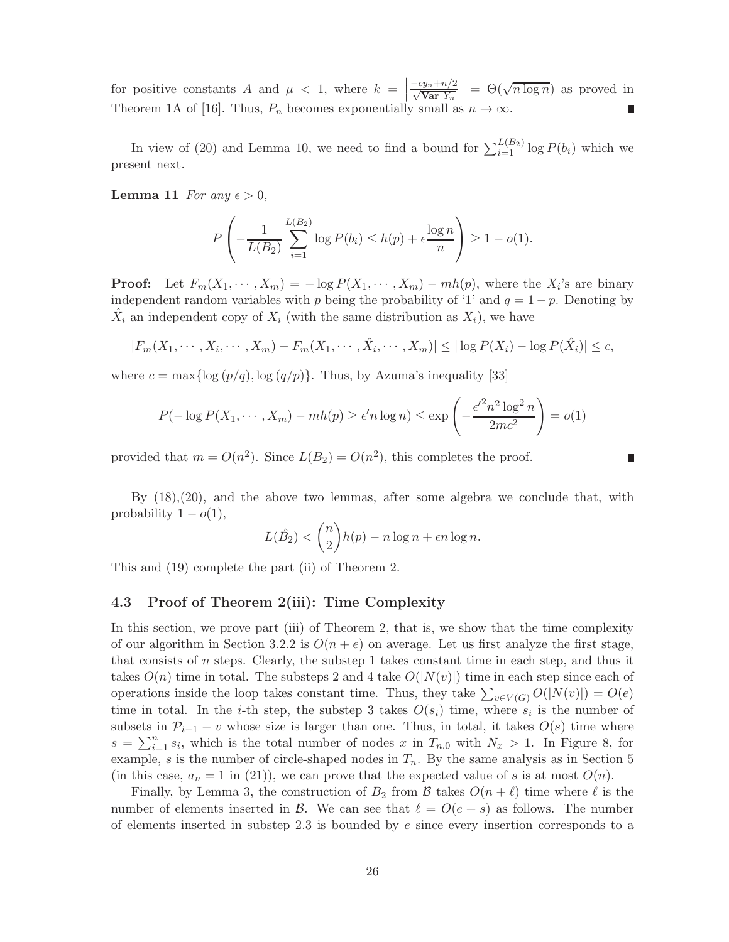for positive constants A and  $\mu < 1$ , where  $k = \begin{bmatrix} 1 & 1 & 1 \end{bmatrix}$  $\frac{-\epsilon y_n+n/2}{\sqrt{\text{Var }Y_n}}$  $\Big| = \Theta(\sqrt{n \log n})$  as proved in Theorem 1A of [16]. Thus,  $P_n$  becomes exponentially small as  $n \to \infty$ .

In view of (20) and Lemma 10, we need to find a bound for  $\sum_{i=1}^{L(B_2)} \log P(b_i)$  which we present next.

**Lemma 11** For any  $\epsilon > 0$ ,

$$
P\left(-\frac{1}{L(B_2)}\sum_{i=1}^{L(B_2)}\log P(b_i) \le h(p) + \epsilon \frac{\log n}{n}\right) \ge 1 - o(1).
$$

**Proof:** Let  $F_m(X_1, \dots, X_m) = -\log P(X_1, \dots, X_m) - mh(p)$ , where the  $X_i$ 's are binary independent random variables with p being the probability of '1' and  $q = 1 - p$ . Denoting by  $\hat{X}_i$  an independent copy of  $X_i$  (with the same distribution as  $X_i$ ), we have

$$
|F_m(X_1,\dots,X_i,\dots,X_m)-F_m(X_1,\dots,\hat{X}_i,\dots,X_m)|\leq |\log P(X_i)-\log P(\hat{X}_i)|\leq c,
$$

where  $c = \max\{\log (p/q), \log (q/p)\}\)$ . Thus, by Azuma's inequality [33]

$$
P(-\log P(X_1, \dots, X_m) - mh(p) \ge \epsilon' n \log n) \le \exp\left(-\frac{\epsilon'^2 n^2 \log^2 n}{2mc^2}\right) = o(1)
$$

provided that  $m = O(n^2)$ . Since  $L(B_2) = O(n^2)$ , this completes the proof.

By  $(18),(20)$ , and the above two lemmas, after some algebra we conclude that, with probability  $1 - o(1)$ ,

$$
L(\hat{B}_2) < {n \choose 2} h(p) - n \log n + \epsilon n \log n.
$$

This and (19) complete the part (ii) of Theorem 2.

#### 4.3 Proof of Theorem 2(iii): Time Complexity

In this section, we prove part (iii) of Theorem 2, that is, we show that the time complexity of our algorithm in Section 3.2.2 is  $O(n+e)$  on average. Let us first analyze the first stage, that consists of n steps. Clearly, the substep 1 takes constant time in each step, and thus it takes  $O(n)$  time in total. The substeps 2 and 4 take  $O(|N(v)|)$  time in each step since each of operations inside the loop takes constant time. Thus, they take  $\sum_{v \in V(G)} O(|N(v)|) = O(e)$ time in total. In the *i*-th step, the substep 3 takes  $O(s_i)$  time, where  $s_i$  is the number of subsets in  $\mathcal{P}_{i-1} - v$  whose size is larger than one. Thus, in total, it takes  $O(s)$  time where  $s = \sum_{i=1}^{n} s_i$ , which is the total number of nodes x in  $T_{n,0}$  with  $N_x > 1$ . In Figure 8, for example, s is the number of circle-shaped nodes in  $T_n$ . By the same analysis as in Section 5 (in this case,  $a_n = 1$  in (21)), we can prove that the expected value of s is at most  $O(n)$ .

Finally, by Lemma 3, the construction of  $B_2$  from  $\beta$  takes  $O(n+\ell)$  time where  $\ell$  is the number of elements inserted in B. We can see that  $\ell = O(e + s)$  as follows. The number of elements inserted in substep 2.3 is bounded by  $e$  since every insertion corresponds to a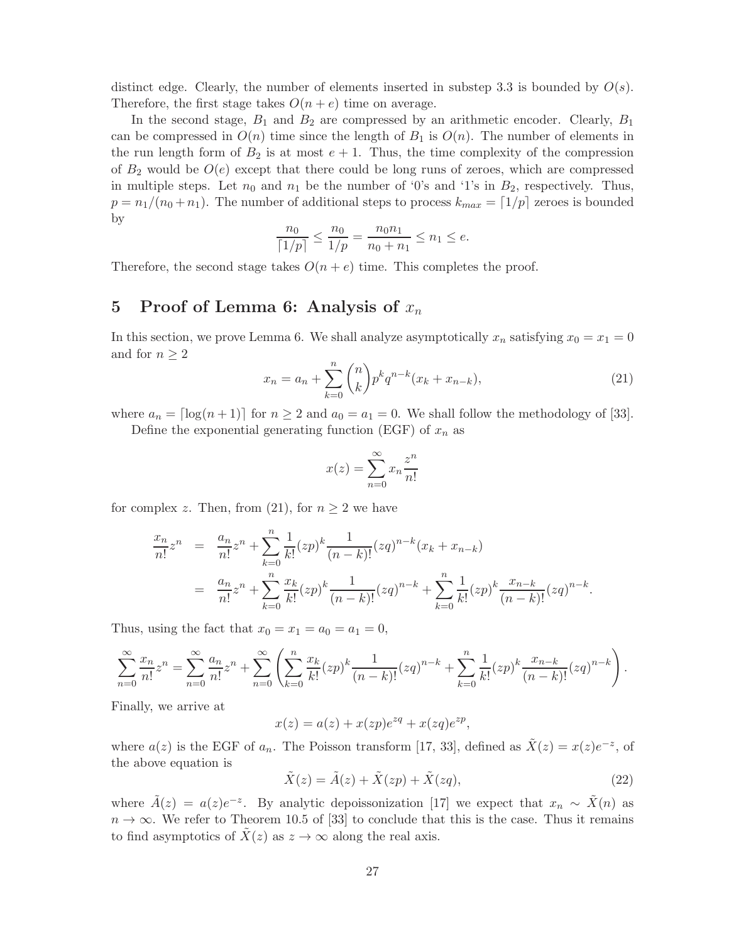distinct edge. Clearly, the number of elements inserted in substep 3.3 is bounded by  $O(s)$ . Therefore, the first stage takes  $O(n + e)$  time on average.

In the second stage,  $B_1$  and  $B_2$  are compressed by an arithmetic encoder. Clearly,  $B_1$ can be compressed in  $O(n)$  time since the length of  $B_1$  is  $O(n)$ . The number of elements in the run length form of  $B_2$  is at most  $e + 1$ . Thus, the time complexity of the compression of  $B_2$  would be  $O(e)$  except that there could be long runs of zeroes, which are compressed in multiple steps. Let  $n_0$  and  $n_1$  be the number of '0's and '1's in  $B_2$ , respectively. Thus,  $p = n_1/(n_0 + n_1)$ . The number of additional steps to process  $k_{max} = \lfloor 1/p \rfloor$  zeroes is bounded by

$$
\frac{n_0}{\lceil 1/p \rceil} \le \frac{n_0}{1/p} = \frac{n_0 n_1}{n_0 + n_1} \le n_1 \le e.
$$

Therefore, the second stage takes  $O(n + e)$  time. This completes the proof.

## 5 Proof of Lemma 6: Analysis of  $x_n$

In this section, we prove Lemma 6. We shall analyze asymptotically  $x_n$  satisfying  $x_0 = x_1 = 0$ and for  $n \geq 2$ 

$$
x_n = a_n + \sum_{k=0}^n \binom{n}{k} p^k q^{n-k} (x_k + x_{n-k}),
$$
\n(21)

where  $a_n = \lfloor \log(n+1) \rfloor$  for  $n \geq 2$  and  $a_0 = a_1 = 0$ . We shall follow the methodology of [33].

Define the exponential generating function (EGF) of  $x_n$  as

$$
x(z) = \sum_{n=0}^{\infty} x_n \frac{z^n}{n!}
$$

for complex z. Then, from (21), for  $n \geq 2$  we have

$$
\frac{x_n}{n!}z^n = \frac{a_n}{n!}z^n + \sum_{k=0}^n \frac{1}{k!}(zp)^k \frac{1}{(n-k)!}(zq)^{n-k}(x_k + x_{n-k})
$$
  

$$
= \frac{a_n}{n!}z^n + \sum_{k=0}^n \frac{x_k}{k!}(zp)^k \frac{1}{(n-k)!}(zq)^{n-k} + \sum_{k=0}^n \frac{1}{k!}(zp)^k \frac{x_{n-k}}{(n-k)!}(zq)^{n-k}.
$$

Thus, using the fact that  $x_0 = x_1 = a_0 = a_1 = 0$ ,

$$
\sum_{n=0}^{\infty} \frac{x_n}{n!} z^n = \sum_{n=0}^{\infty} \frac{a_n}{n!} z^n + \sum_{n=0}^{\infty} \left( \sum_{k=0}^n \frac{x_k}{k!} (zp)^k \frac{1}{(n-k)!} (zq)^{n-k} + \sum_{k=0}^n \frac{1}{k!} (zp)^k \frac{x_{n-k}}{(n-k)!} (zq)^{n-k} \right).
$$

Finally, we arrive at

$$
x(z) = a(z) + x(zp)e^{zq} + x(zq)e^{zp},
$$

where  $a(z)$  is the EGF of  $a_n$ . The Poisson transform [17, 33], defined as  $\tilde{X}(z) = x(z)e^{-z}$ , of the above equation is

$$
\tilde{X}(z) = \tilde{A}(z) + \tilde{X}(zp) + \tilde{X}(zq),
$$
\n(22)

where  $\tilde{A}(z) = a(z)e^{-z}$ . By analytic depoissonization [17] we expect that  $x_n \sim \tilde{X}(n)$  as  $n \to \infty$ . We refer to Theorem 10.5 of [33] to conclude that this is the case. Thus it remains to find asymptotics of  $\bar{X}(z)$  as  $z \to \infty$  along the real axis.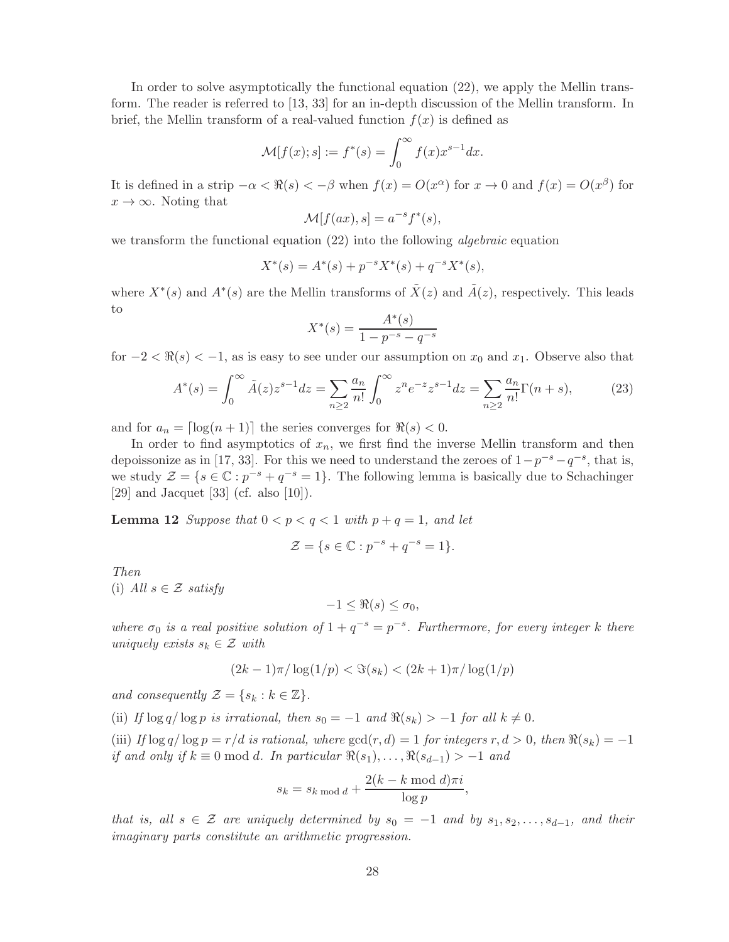In order to solve asymptotically the functional equation (22), we apply the Mellin transform. The reader is referred to [13, 33] for an in-depth discussion of the Mellin transform. In brief, the Mellin transform of a real-valued function  $f(x)$  is defined as

$$
\mathcal{M}[f(x);s] := f^*(s) = \int_0^\infty f(x)x^{s-1}dx.
$$

It is defined in a strip  $-\alpha < \Re(s) < -\beta$  when  $f(x) = O(x^{\alpha})$  for  $x \to 0$  and  $f(x) = O(x^{\beta})$  for  $x \to \infty$ . Noting that

$$
\mathcal{M}[f(ax), s] = a^{-s}f^*(s),
$$

we transform the functional equation (22) into the following *algebraic* equation

$$
X^*(s) = A^*(s) + p^{-s}X^*(s) + q^{-s}X^*(s),
$$

where  $X^*(s)$  and  $A^*(s)$  are the Mellin transforms of  $\tilde{X}(z)$  and  $\tilde{A}(z)$ , respectively. This leads to

$$
X^*(s) = \frac{A^*(s)}{1 - p^{-s} - q^{-s}}
$$

for  $-2 < \Re(s) < -1$ , as is easy to see under our assumption on  $x_0$  and  $x_1$ . Observe also that

$$
A^*(s) = \int_0^\infty \tilde{A}(z) z^{s-1} dz = \sum_{n \ge 2} \frac{a_n}{n!} \int_0^\infty z^n e^{-z} z^{s-1} dz = \sum_{n \ge 2} \frac{a_n}{n!} \Gamma(n+s),\tag{23}
$$

and for  $a_n = \lceil \log(n+1) \rceil$  the series converges for  $\Re(s) < 0$ .

In order to find asymptotics of  $x_n$ , we first find the inverse Mellin transform and then depoissonize as in [17, 33]. For this we need to understand the zeroes of  $1-p^{-s}-q^{-s}$ , that is, we study  $\mathcal{Z} = \{s \in \mathbb{C} : p^{-s} + q^{-s} = 1\}$ . The following lemma is basically due to Schachinger [29] and Jacquet [33] (cf. also [10]).

**Lemma 12** Suppose that  $0 < p < q < 1$  with  $p + q = 1$ , and let

$$
\mathcal{Z} = \{ s \in \mathbb{C} : p^{-s} + q^{-s} = 1 \}.
$$

Then (i) All  $s \in \mathcal{Z}$  satisfy

$$
-1 \leq \Re(s) \leq \sigma_0,
$$

where  $\sigma_0$  is a real positive solution of  $1 + q^{-s} = p^{-s}$ . Furthermore, for every integer k there uniquely exists  $s_k \in \mathcal{Z}$  with

$$
(2k-1)\pi/\log(1/p) < \Im(s_k) < (2k+1)\pi/\log(1/p)
$$

and consequently  $\mathcal{Z} = \{s_k : k \in \mathbb{Z}\}.$ 

(ii) If  $\log q / \log p$  is irrational, then  $s_0 = -1$  and  $\Re(s_k) > -1$  for all  $k \neq 0$ .

(iii) If  $\log q / \log p = r/d$  is rational, where  $\gcd(r, d) = 1$  for integers r,  $d > 0$ , then  $\Re(s_k) = -1$ if and only if  $k \equiv 0 \mod d$ . In particular  $\Re(s_1), \ldots, \Re(s_{d-1}) > -1$  and

$$
s_k = s_{k \bmod d} + \frac{2(k-k \bmod d)\pi i}{\log p},
$$

that is, all  $s \in \mathcal{Z}$  are uniquely determined by  $s_0 = -1$  and by  $s_1, s_2, \ldots, s_{d-1}$ , and their imaginary parts constitute an arithmetic progression.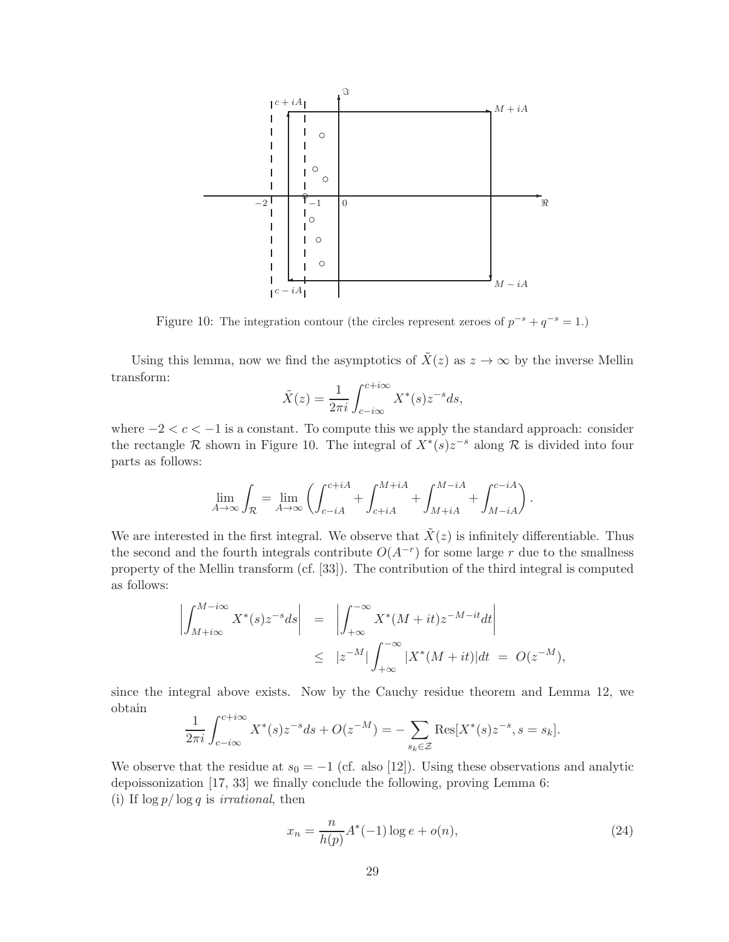

Figure 10: The integration contour (the circles represent zeroes of  $p^{-s} + q^{-s} = 1$ .)

Using this lemma, now we find the asymptotics of  $\tilde{X}(z)$  as  $z \to \infty$  by the inverse Mellin transform:

$$
\tilde{X}(z) = \frac{1}{2\pi i} \int_{c-i\infty}^{c+i\infty} X^*(s) z^{-s} ds,
$$

where  $-2 < c < -1$  is a constant. To compute this we apply the standard approach: consider the rectangle R shown in Figure 10. The integral of  $X^*(s)z^{-s}$  along R is divided into four parts as follows:

$$
\lim_{A\to\infty}\int_{\mathcal{R}}=\lim_{A\to\infty}\left(\int_{c-iA}^{c+iA}+\int_{c+iA}^{M+iA}+\int_{M+iA}^{M-iA}+\int_{M-iA}^{c-iA}\right).
$$

We are interested in the first integral. We observe that  $\tilde{X}(z)$  is infinitely differentiable. Thus the second and the fourth integrals contribute  $O(A^{-r})$  for some large r due to the smallness property of the Mellin transform (cf. [33]). The contribution of the third integral is computed as follows:

$$
\left| \int_{M+i\infty}^{M-i\infty} X^*(s) z^{-s} ds \right| = \left| \int_{+\infty}^{-\infty} X^*(M+it) z^{-M-it} dt \right|
$$
  

$$
\leq |z^{-M}| \int_{+\infty}^{-\infty} |X^*(M+it)| dt = O(z^{-M}),
$$

since the integral above exists. Now by the Cauchy residue theorem and Lemma 12, we obtain

$$
\frac{1}{2\pi i} \int_{c-i\infty}^{c+i\infty} X^*(s) z^{-s} ds + O(z^{-M}) = -\sum_{s_k \in \mathcal{Z}} \text{Res}[X^*(s) z^{-s}, s = s_k].
$$

We observe that the residue at  $s_0 = -1$  (cf. also [12]). Using these observations and analytic depoissonization [17, 33] we finally conclude the following, proving Lemma 6: (i) If  $\log p / \log q$  is *irrational*, then

$$
x_n = \frac{n}{h(p)} A^*(-1) \log e + o(n),
$$
\n(24)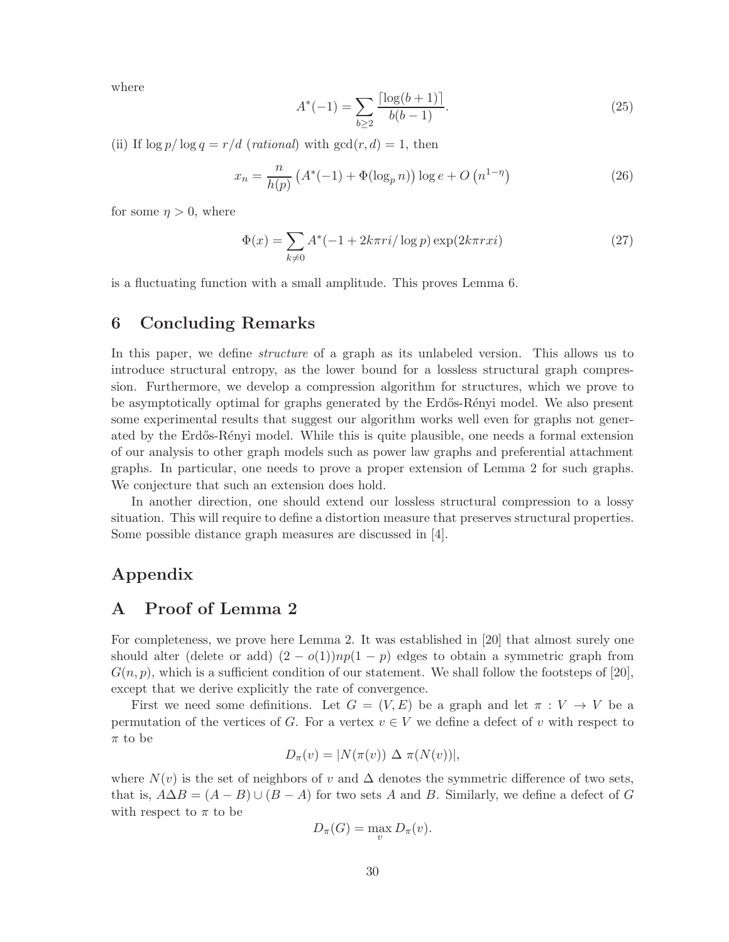where

$$
A^*(-1) = \sum_{b \ge 2} \frac{\lceil \log(b+1) \rceil}{b(b-1)}.
$$
\n(25)

(ii) If  $\log p / \log q = r/d$  (rational) with  $gcd(r, d) = 1$ , then

$$
x_n = \frac{n}{h(p)} \left( A^*(-1) + \Phi(\log_p n) \right) \log e + O\left( n^{1-\eta} \right)
$$
 (26)

for some  $\eta > 0$ , where

$$
\Phi(x) = \sum_{k \neq 0} A^*(-1 + 2k\pi ri/\log p) \exp(2k\pi rxi)
$$
\n<sup>(27)</sup>

is a fluctuating function with a small amplitude. This proves Lemma 6.

## 6 Concluding Remarks

In this paper, we define structure of a graph as its unlabeled version. This allows us to introduce structural entropy, as the lower bound for a lossless structural graph compression. Furthermore, we develop a compression algorithm for structures, which we prove to be asymptotically optimal for graphs generated by the Erdős-Rényi model. We also present some experimental results that suggest our algorithm works well even for graphs not generated by the Erdős-Rényi model. While this is quite plausible, one needs a formal extension of our analysis to other graph models such as power law graphs and preferential attachment graphs. In particular, one needs to prove a proper extension of Lemma 2 for such graphs. We conjecture that such an extension does hold.

In another direction, one should extend our lossless structural compression to a lossy situation. This will require to define a distortion measure that preserves structural properties. Some possible distance graph measures are discussed in [4].

## Appendix

# A Proof of Lemma 2

For completeness, we prove here Lemma 2. It was established in [20] that almost surely one should alter (delete or add)  $(2 - o(1))np(1 - p)$  edges to obtain a symmetric graph from  $G(n, p)$ , which is a sufficient condition of our statement. We shall follow the footsteps of [20], except that we derive explicitly the rate of convergence.

First we need some definitions. Let  $G = (V, E)$  be a graph and let  $\pi : V \to V$  be a permutation of the vertices of G. For a vertex  $v \in V$  we define a defect of v with respect to  $\pi$  to be

$$
D_{\pi}(v) = |N(\pi(v)) \Delta \pi(N(v))|,
$$

where  $N(v)$  is the set of neighbors of v and  $\Delta$  denotes the symmetric difference of two sets, that is,  $A\Delta B = (A - B) \cup (B - A)$  for two sets A and B. Similarly, we define a defect of G with respect to  $\pi$  to be

$$
D_{\pi}(G) = \max_{v} D_{\pi}(v).
$$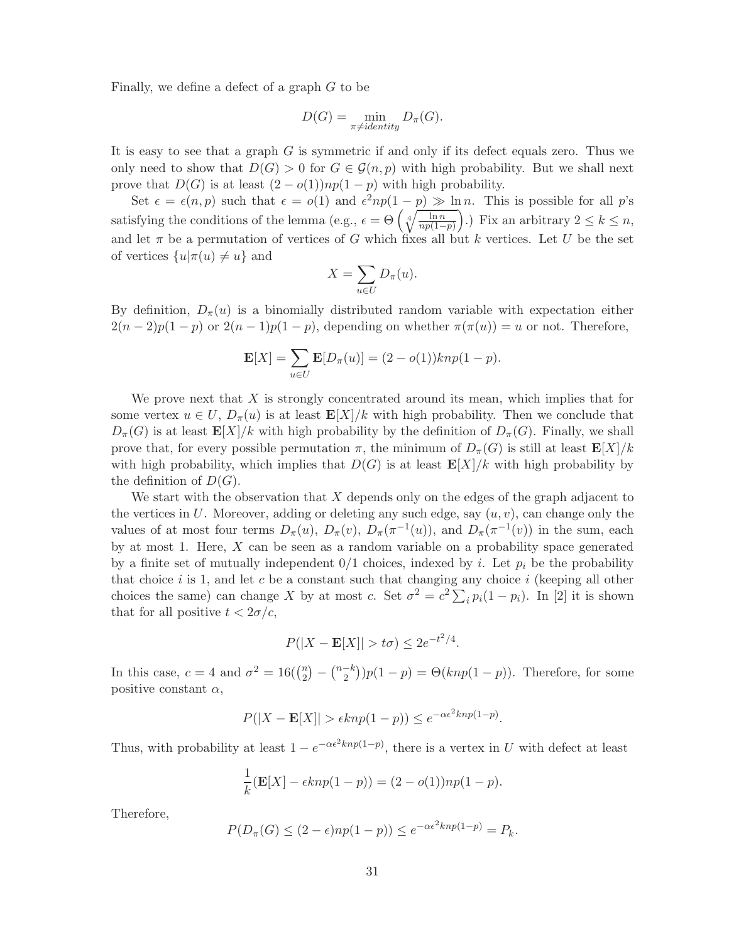Finally, we define a defect of a graph G to be

$$
D(G) = \min_{\pi \neq identity} D_{\pi}(G).
$$

It is easy to see that a graph  $G$  is symmetric if and only if its defect equals zero. Thus we only need to show that  $D(G) > 0$  for  $G \in \mathcal{G}(n, p)$  with high probability. But we shall next prove that  $D(G)$  is at least  $(2 - o(1))np(1 - p)$  with high probability.

Set  $\epsilon = \epsilon(n, p)$  such that  $\epsilon = o(1)$  and  $\epsilon^2 np(1-p) \gg \ln n$ . This is possible for all p's satisfying the conditions of the lemma (e.g.,  $\epsilon = \Theta \left( \sqrt[4]{\frac{\ln n}{n} \epsilon^2} \right)$  $np(1-p)$ ).) Fix an arbitrary  $2 \leq k \leq n$ , and let  $\pi$  be a permutation of vertices of G which fixes all but k vertices. Let U be the set of vertices  $\{u | \pi(u) \neq u\}$  and

$$
X = \sum_{u \in U} D_{\pi}(u).
$$

By definition,  $D_{\pi}(u)$  is a binomially distributed random variable with expectation either  $2(n-2)p(1-p)$  or  $2(n-1)p(1-p)$ , depending on whether  $\pi(\pi(u)) = u$  or not. Therefore,

$$
\mathbf{E}[X] = \sum_{u \in U} \mathbf{E}[D_{\pi}(u)] = (2 - o(1))knp(1 - p).
$$

We prove next that  $X$  is strongly concentrated around its mean, which implies that for some vertex  $u \in U$ ,  $D_{\pi}(u)$  is at least  $\mathbf{E}[X]/k$  with high probability. Then we conclude that  $D_{\pi}(G)$  is at least  $\mathbf{E}[X]/k$  with high probability by the definition of  $D_{\pi}(G)$ . Finally, we shall prove that, for every possible permutation  $\pi$ , the minimum of  $D_{\pi}(G)$  is still at least  $\mathbf{E}[X]/k$ with high probability, which implies that  $D(G)$  is at least  $\mathbf{E}[X]/k$  with high probability by the definition of  $D(G)$ .

We start with the observation that  $X$  depends only on the edges of the graph adjacent to the vertices in U. Moreover, adding or deleting any such edge, say  $(u, v)$ , can change only the values of at most four terms  $D_{\pi}(u)$ ,  $D_{\pi}(v)$ ,  $D_{\pi}(\pi^{-1}(u))$ , and  $D_{\pi}(\pi^{-1}(v))$  in the sum, each by at most 1. Here,  $X$  can be seen as a random variable on a probability space generated by a finite set of mutually independent  $0/1$  choices, indexed by i. Let  $p_i$  be the probability that choice i is 1, and let c be a constant such that changing any choice i (keeping all other choices the same) can change X by at most c. Set  $\sigma^2 = c^2 \sum_i p_i (1 - p_i)$ . In [2] it is shown that for all positive  $t < 2\sigma/c$ ,

$$
P(|X - \mathbf{E}[X]| > t\sigma) \le 2e^{-t^2/4}.
$$

In this case,  $c = 4$  and  $\sigma^2 = 16\binom{n}{2}$  $\binom{n}{2} - \binom{n-k}{2} p(1-p) = \Theta(knp(1-p)).$  Therefore, for some positive constant  $\alpha$ ,

$$
P(|X - \mathbf{E}[X]| > \epsilon k n p (1 - p)) \le e^{-\alpha \epsilon^2 k n p (1 - p)}.
$$

Thus, with probability at least  $1 - e^{-\alpha \epsilon^2 k n p(1-p)}$ , there is a vertex in U with defect at least

$$
\frac{1}{k}(\mathbf{E}[X] - \epsilon k n p(1-p)) = (2 - o(1))np(1-p).
$$

Therefore,

$$
P(D_{\pi}(G) \le (2 - \epsilon)np(1 - p)) \le e^{-\alpha \epsilon^2 knp(1 - p)} = P_k.
$$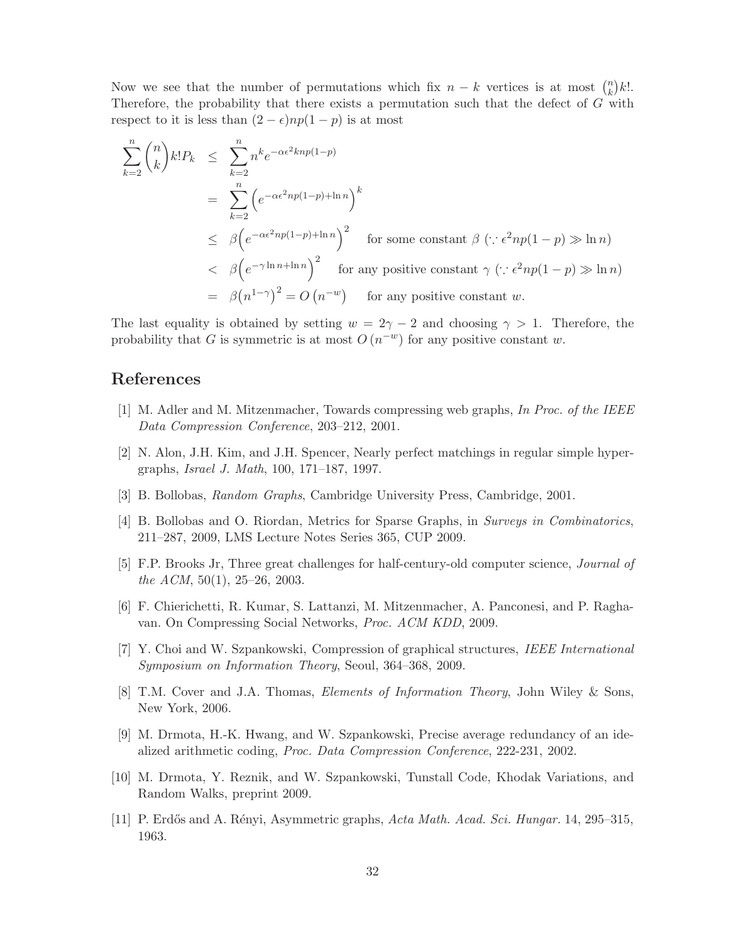Now we see that the number of permutations which fix  $n - k$  vertices is at most  $\binom{n}{k}$  $\binom{n}{k}k!$ . Therefore, the probability that there exists a permutation such that the defect of G with respect to it is less than  $(2 - \epsilon)np(1 - p)$  is at most

$$
\sum_{k=2}^{n} {n \choose k} k! P_k \leq \sum_{k=2}^{n} n^k e^{-\alpha \epsilon^2 k n p (1-p)} \n= \sum_{k=2}^{n} \left( e^{-\alpha \epsilon^2 n p (1-p) + \ln n} \right)^k \n\leq \beta \left( e^{-\alpha \epsilon^2 n p (1-p) + \ln n} \right)^2 \quad \text{for some constant } \beta \ (\because \epsilon^2 n p (1-p) \gg \ln n) \n< \beta \left( e^{-\gamma \ln n + \ln n} \right)^2 \quad \text{for any positive constant } \gamma \ (\because \epsilon^2 n p (1-p) \gg \ln n) \n= \beta (n^{1-\gamma})^2 = O(n^{-w}) \quad \text{for any positive constant } w.
$$

The last equality is obtained by setting  $w = 2\gamma - 2$  and choosing  $\gamma > 1$ . Therefore, the probability that G is symmetric is at most  $O(n^{-w})$  for any positive constant w.

## References

- [1] M. Adler and M. Mitzenmacher, Towards compressing web graphs, In Proc. of the IEEE Data Compression Conference, 203–212, 2001.
- [2] N. Alon, J.H. Kim, and J.H. Spencer, Nearly perfect matchings in regular simple hypergraphs, Israel J. Math, 100, 171–187, 1997.
- [3] B. Bollobas, Random Graphs, Cambridge University Press, Cambridge, 2001.
- [4] B. Bollobas and O. Riordan, Metrics for Sparse Graphs, in Surveys in Combinatorics, 211–287, 2009, LMS Lecture Notes Series 365, CUP 2009.
- [5] F.P. Brooks Jr, Three great challenges for half-century-old computer science, Journal of the ACM,  $50(1)$ ,  $25-26$ ,  $2003$ .
- [6] F. Chierichetti, R. Kumar, S. Lattanzi, M. Mitzenmacher, A. Panconesi, and P. Raghavan. On Compressing Social Networks, Proc. ACM KDD, 2009.
- [7] Y. Choi and W. Szpankowski, Compression of graphical structures, IEEE International Symposium on Information Theory, Seoul, 364–368, 2009.
- [8] T.M. Cover and J.A. Thomas, Elements of Information Theory, John Wiley & Sons, New York, 2006.
- [9] M. Drmota, H.-K. Hwang, and W. Szpankowski, Precise average redundancy of an idealized arithmetic coding, Proc. Data Compression Conference, 222-231, 2002.
- [10] M. Drmota, Y. Reznik, and W. Szpankowski, Tunstall Code, Khodak Variations, and Random Walks, preprint 2009.
- [11] P. Erdős and A. Rényi, Asymmetric graphs, Acta Math. Acad. Sci. Hungar. 14, 295–315, 1963.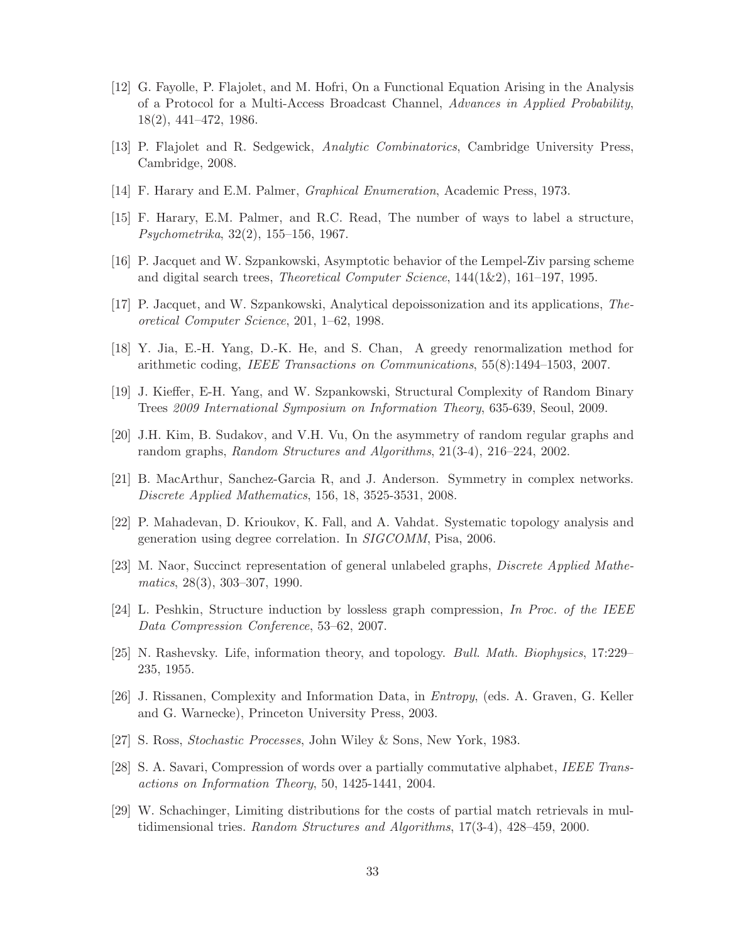- [12] G. Fayolle, P. Flajolet, and M. Hofri, On a Functional Equation Arising in the Analysis of a Protocol for a Multi-Access Broadcast Channel, Advances in Applied Probability, 18(2), 441–472, 1986.
- [13] P. Flajolet and R. Sedgewick, Analytic Combinatorics, Cambridge University Press, Cambridge, 2008.
- [14] F. Harary and E.M. Palmer, Graphical Enumeration, Academic Press, 1973.
- [15] F. Harary, E.M. Palmer, and R.C. Read, The number of ways to label a structure, Psychometrika, 32(2), 155–156, 1967.
- [16] P. Jacquet and W. Szpankowski, Asymptotic behavior of the Lempel-Ziv parsing scheme and digital search trees, *Theoretical Computer Science*,  $144(1\&2)$ ,  $161-197$ , 1995.
- [17] P. Jacquet, and W. Szpankowski, Analytical depoissonization and its applications, Theoretical Computer Science, 201, 1–62, 1998.
- [18] Y. Jia, E.-H. Yang, D.-K. He, and S. Chan, A greedy renormalization method for arithmetic coding, IEEE Transactions on Communications, 55(8):1494–1503, 2007.
- [19] J. Kieffer, E-H. Yang, and W. Szpankowski, Structural Complexity of Random Binary Trees 2009 International Symposium on Information Theory, 635-639, Seoul, 2009.
- [20] J.H. Kim, B. Sudakov, and V.H. Vu, On the asymmetry of random regular graphs and random graphs, Random Structures and Algorithms, 21(3-4), 216–224, 2002.
- [21] B. MacArthur, Sanchez-Garcia R, and J. Anderson. Symmetry in complex networks. Discrete Applied Mathematics, 156, 18, 3525-3531, 2008.
- [22] P. Mahadevan, D. Krioukov, K. Fall, and A. Vahdat. Systematic topology analysis and generation using degree correlation. In SIGCOMM, Pisa, 2006.
- [23] M. Naor, Succinct representation of general unlabeled graphs, Discrete Applied Mathematics, 28(3), 303–307, 1990.
- [24] L. Peshkin, Structure induction by lossless graph compression, In Proc. of the IEEE Data Compression Conference, 53–62, 2007.
- [25] N. Rashevsky. Life, information theory, and topology. Bull. Math. Biophysics, 17:229– 235, 1955.
- [26] J. Rissanen, Complexity and Information Data, in Entropy, (eds. A. Graven, G. Keller and G. Warnecke), Princeton University Press, 2003.
- [27] S. Ross, Stochastic Processes, John Wiley & Sons, New York, 1983.
- [28] S. A. Savari, Compression of words over a partially commutative alphabet, IEEE Transactions on Information Theory, 50, 1425-1441, 2004.
- [29] W. Schachinger, Limiting distributions for the costs of partial match retrievals in multidimensional tries. Random Structures and Algorithms, 17(3-4), 428–459, 2000.